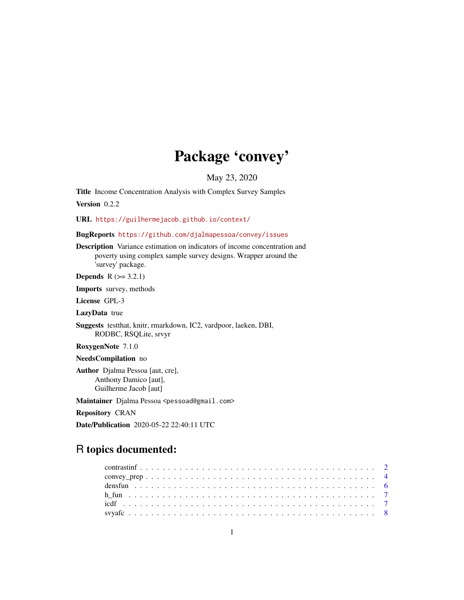# Package 'convey'

May 23, 2020

Title Income Concentration Analysis with Complex Survey Samples Version 0.2.2

URL <https://guilhermejacob.github.io/context/>

BugReports <https://github.com/djalmapessoa/convey/issues>

Description Variance estimation on indicators of income concentration and poverty using complex sample survey designs. Wrapper around the 'survey' package.

**Depends**  $R$  ( $>= 3.2.1$ )

Imports survey, methods

License GPL-3

LazyData true

Suggests testthat, knitr, rmarkdown, IC2, vardpoor, laeken, DBI, RODBC, RSQLite, srvyr

RoxygenNote 7.1.0

NeedsCompilation no

Author Djalma Pessoa [aut, cre], Anthony Damico [aut], Guilherme Jacob [aut]

Maintainer Djalma Pessoa <pessoad@gmail.com>

Repository CRAN

Date/Publication 2020-05-22 22:40:11 UTC

## R topics documented: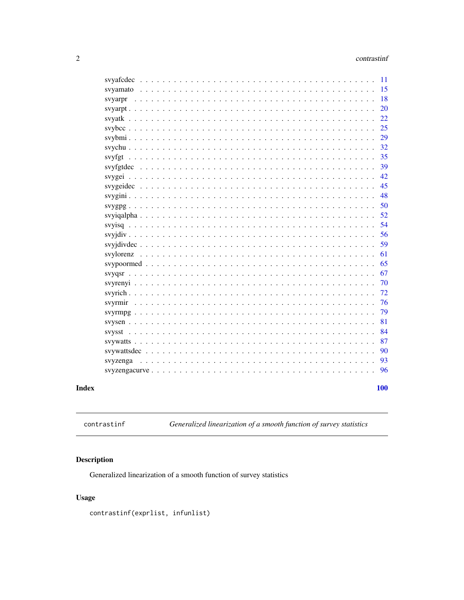<span id="page-1-0"></span>

|            | 11 |
|------------|----|
|            | 15 |
|            | 18 |
| svyarpr    |    |
|            | 20 |
|            | 22 |
|            | 25 |
|            | 29 |
|            | 32 |
|            | 35 |
|            | 39 |
|            | 42 |
|            | 45 |
|            | 48 |
|            | 50 |
|            | 52 |
|            | 54 |
|            | 56 |
|            | 59 |
|            | 61 |
|            | 65 |
|            | 67 |
|            | 70 |
|            | 72 |
|            |    |
|            | 76 |
|            | 79 |
|            | 81 |
|            | 84 |
|            | 87 |
|            | 90 |
| svyzenga   | 93 |
|            | 96 |
|            |    |
| <b>100</b> |    |

## **Index**

contrastinf

Generalized linearization of a smooth function of survey statistics

## Description

Generalized linearization of a smooth function of survey statistics

## **Usage**

contrastinf(exprlist, infunlist)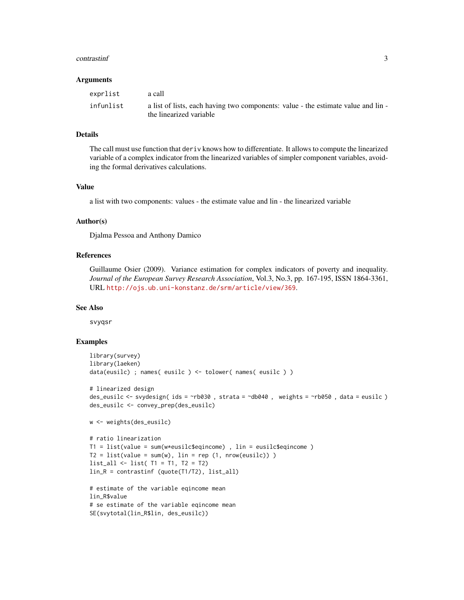#### contrastinf 3

#### **Arguments**

| exprlist  | a call                                                                                                       |
|-----------|--------------------------------------------------------------------------------------------------------------|
| infunlist | a list of lists, each having two components: value - the estimate value and lin -<br>the linearized variable |

## Details

The call must use function that deriv knows how to differentiate. It allows to compute the linearized variable of a complex indicator from the linearized variables of simpler component variables, avoiding the formal derivatives calculations.

## Value

a list with two components: values - the estimate value and lin - the linearized variable

## Author(s)

Djalma Pessoa and Anthony Damico

#### References

Guillaume Osier (2009). Variance estimation for complex indicators of poverty and inequality. *Journal of the European Survey Research Association*, Vol.3, No.3, pp. 167-195, ISSN 1864-3361, URL <http://ojs.ub.uni-konstanz.de/srm/article/view/369>.

#### See Also

svyqsr

```
library(survey)
library(laeken)
data(eusilc) ; names( eusilc ) <- tolower( names( eusilc ) )
# linearized design
des_eusilc <- svydesign( ids = ~rb030 , strata = ~db040 , weights = ~rb050 , data = eusilc )
des_eusilc <- convey_prep(des_eusilc)
w <- weights(des_eusilc)
# ratio linearization
T1 = list(value = sum(w*eusilc$eqincome) , lin = eusilc$eqincome )
T2 = list(value = sum(w), lin = rep(1, nrow(eusile)))list_all <- list( T1 = T1, T2 = T2)
lin_R = contrastinf (quote(T1/T2), list_all)
# estimate of the variable eqincome mean
lin R$value
# se estimate of the variable eqincome mean
```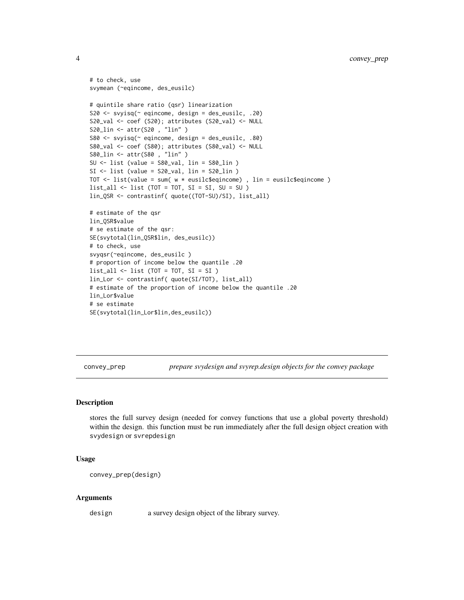```
# to check, use
svymean (~eqincome, des_eusilc)
# quintile share ratio (qsr) linearization
S20 \leq - svyisq(\sim eqincome, design = des_eusilc, .20)
S20_val <- coef (S20); attributes (S20_val) <- NULL
S20_lin <- attr(S20 , "lin" )
S80 <- svyisq(~ eqincome, design = des_eusilc, .80)
S80_val <- coef (S80); attributes (S80_val) <- NULL
S80_lin <- attr(S80 , "lin" )
SU <- list (value = S80_val, lin = S80_lin )
SI <- list (value = S20_val, lin = S20_lin )
TOT \le list(value = sum( w * eusilc$eqincome), lin = eusilc$eqincome)
list\_all \leftarrow list (TOT = TOT, SI = SI, SU = SU)lin_QSR <- contrastinf( quote((TOT-SU)/SI), list_all)
# estimate of the qsr
lin_QSR$value
# se estimate of the qsr:
SE(svytotal(lin_QSR$lin, des_eusilc))
# to check, use
svyqsr(~eqincome, des_eusilc )
# proportion of income below the quantile .20
list_all <- list (TOT = TOT, SI = SI )
lin_Lor <- contrastinf( quote(SI/TOT), list_all)
# estimate of the proportion of income below the quantile .20
lin_Lor$value
# se estimate
SE(svytotal(lin_Lor$lin,des_eusilc))
```
convey\_prep *prepare svydesign and svyrep.design objects for the convey package*

### Description

stores the full survey design (needed for convey functions that use a global poverty threshold) within the design. this function must be run immediately after the full design object creation with svydesign or svrepdesign

#### Usage

convey\_prep(design)

#### Arguments

design a survey design object of the library survey.

<span id="page-3-0"></span>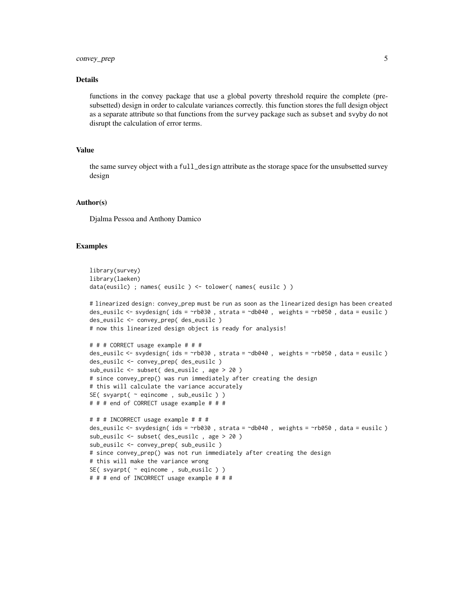#### Details

functions in the convey package that use a global poverty threshold require the complete (presubsetted) design in order to calculate variances correctly. this function stores the full design object as a separate attribute so that functions from the survey package such as subset and svyby do not disrupt the calculation of error terms.

## Value

the same survey object with a full\_design attribute as the storage space for the unsubsetted survey design

#### Author(s)

Djalma Pessoa and Anthony Damico

```
library(survey)
library(laeken)
data(eusilc) ; names( eusilc ) <- tolower( names( eusilc ) )
# linearized design: convey_prep must be run as soon as the linearized design has been created
des_eusilc <- svydesign( ids = ~rb030 , strata = ~db040 , weights = ~rb050 , data = eusilc )
des_eusilc <- convey_prep( des_eusilc )
# now this linearized design object is ready for analysis!
# # # CORRECT usage example # # #
des_eusilc <- svydesign( ids = ~rb030 , strata = ~db040 , weights = ~rb050 , data = eusilc )
des_eusilc <- convey_prep( des_eusilc )
sub_eusilc <- subset( des_eusilc , age > 20 )
# since convey_prep() was run immediately after creating the design
# this will calculate the variance accurately
SE( svyarpt( ~ eqincome , sub_eusilc ) )
# # # end of CORRECT usage example # # #
# # # INCORRECT usage example # # #
des_eusilc <- svydesign( ids = ~rb030 , strata = ~db040 , weights = ~rb050 , data = eusilc )
sub_eusilc <- subset( des_eusilc , age > 20 )
sub_eusilc <- convey_prep( sub_eusilc )
# since convey_prep() was not run immediately after creating the design
# this will make the variance wrong
SE( svyarpt( \sim eqincome, sub_eusilc ) )
# # # end of INCORRECT usage example # # #
```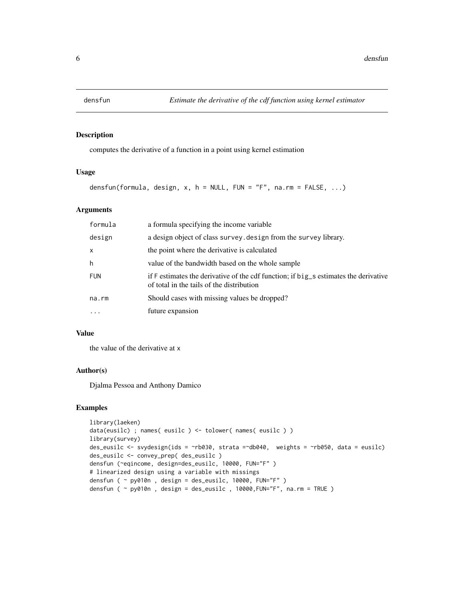<span id="page-5-0"></span>

## Description

computes the derivative of a function in a point using kernel estimation

#### Usage

densfun(formula, design, x, h = NULL, FUN = "F", na.rm = FALSE,  $\dots$ )

#### Arguments

| formula    | a formula specifying the income variable                                                                                          |
|------------|-----------------------------------------------------------------------------------------------------------------------------------|
| design     | a design object of class survey. design from the survey library.                                                                  |
| $\times$   | the point where the derivative is calculated                                                                                      |
| h          | value of the bandwidth based on the whole sample                                                                                  |
| <b>FUN</b> | if F estimates the derivative of the cdf function; if big_s estimates the derivative<br>of total in the tails of the distribution |
| na.rm      | Should cases with missing values be dropped?                                                                                      |
| $\ddotsc$  | future expansion                                                                                                                  |

## Value

the value of the derivative at x

#### Author(s)

Djalma Pessoa and Anthony Damico

```
library(laeken)
data(eusilc) ; names( eusilc ) <- tolower( names( eusilc ) )
library(survey)
des_eusilc <- svydesign(ids = ~rb030, strata =~db040, weights = ~rb050, data = eusilc)
des_eusilc <- convey_prep( des_eusilc )
densfun (~eqincome, design=des_eusilc, 10000, FUN="F" )
# linearized design using a variable with missings
densfun ( ~ py010n , design = des_eusilc, 10000, FUN="F" )
densfun ( \sim py010n , design = des_eusilc , 10000, FUN="F", na.rm = TRUE )
```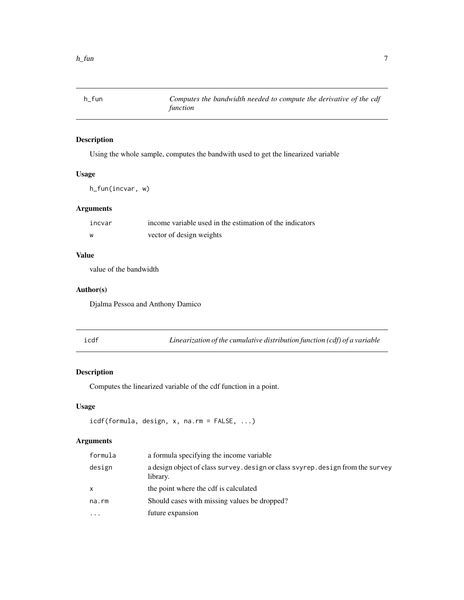<span id="page-6-0"></span>

## Description

Using the whole sample, computes the bandwith used to get the linearized variable

## Usage

h\_fun(incvar, w)

## Arguments

| incvar | income variable used in the estimation of the indicators |
|--------|----------------------------------------------------------|
| W      | vector of design weights                                 |

## Value

value of the bandwidth

#### Author(s)

Djalma Pessoa and Anthony Damico

| .,<br>۰, |  |
|----------|--|

Linearization of the cumulative distribution function (cdf) of a variable

## Description

Computes the linearized variable of the cdf function in a point.

## Usage

icdf(formula, design, x, na.rm = FALSE, ...)

## Arguments

| formula   | a formula specifying the income variable                                                    |
|-----------|---------------------------------------------------------------------------------------------|
| design    | a design object of class survey, design or class svyrep, design from the survey<br>library. |
| X         | the point where the cdf is calculated                                                       |
| na.rm     | Should cases with missing values be dropped?                                                |
| $\ddotsc$ | future expansion                                                                            |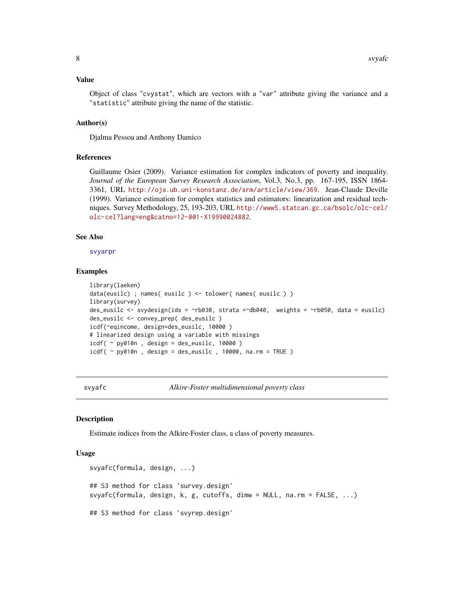#### <span id="page-7-0"></span>Value

Object of class "cvystat", which are vectors with a "var" attribute giving the variance and a "statistic" attribute giving the name of the statistic.

#### Author(s)

Djalma Pessoa and Anthony Damico

#### References

Guillaume Osier (2009). Variance estimation for complex indicators of poverty and inequality. *Journal of the European Survey Research Association*, Vol.3, No.3, pp. 167-195, ISSN 1864- 3361, URL <http://ojs.ub.uni-konstanz.de/srm/article/view/369>. Jean-Claude Deville (1999). Variance estimation for complex statistics and estimators: linearization and residual techniques. Survey Methodology, 25, 193-203, URL [http://www5.statcan.gc.ca/bsolc/olc-cel/](http://www5.statcan.gc.ca/bsolc/olc-cel/olc-cel?lang=eng&catno=12-001-X19990024882) [olc-cel?lang=eng&catno=12-001-X19990024882](http://www5.statcan.gc.ca/bsolc/olc-cel/olc-cel?lang=eng&catno=12-001-X19990024882).

#### See Also

[svyarpr](#page-17-1)

#### Examples

```
library(laeken)
data(eusilc) ; names( eusilc ) <- tolower( names( eusilc ) )
library(survey)
des_eusilc <- svydesign(ids = ~rb030, strata =~db040, weights = ~rb050, data = eusilc)
des_eusilc <- convey_prep( des_eusilc )
icdf(~eqincome, design=des_eusilc, 10000 )
# linearized design using a variable with missings
icdf( ~ py010n, design = des_eusilc, 10000)
icdf( \sim py010n, design = des_eusilc, 10000, na.rm = TRUE )
```
<span id="page-7-1"></span>svyafc *Alkire-Foster multidimensional poverty class*

#### **Description**

Estimate indices from the Alkire-Foster class, a class of poverty measures.

```
svyafc(formula, design, ...)
## S3 method for class 'survey.design'
svyafc(formula, design, k, g, cutoffs, dimw = NULL, na.rm = FALSE, ...)
## S3 method for class 'svyrep.design'
```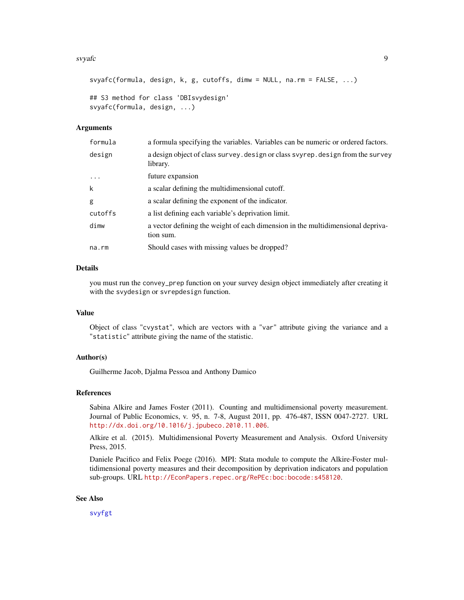#### svyafc<sup>9</sup> 9

```
svyafc(formula, design, k, g, cutoffs, dimw = NULL, na.rm = FALSE, ...)
## S3 method for class 'DBIsvydesign'
svyafc(formula, design, ...)
```
#### Arguments

| formula  | a formula specifying the variables. Variables can be numeric or ordered factors.             |
|----------|----------------------------------------------------------------------------------------------|
| design   | a design object of class survey. design or class svyrep. design from the survey<br>library.  |
| $\ddots$ | future expansion                                                                             |
| k        | a scalar defining the multidimensional cutoff.                                               |
| g        | a scalar defining the exponent of the indicator.                                             |
| cutoffs  | a list defining each variable's deprivation limit.                                           |
| dimw     | a vector defining the weight of each dimension in the multidimensional depriva-<br>tion sum. |
| na.rm    | Should cases with missing values be dropped?                                                 |
|          |                                                                                              |

## Details

you must run the convey\_prep function on your survey design object immediately after creating it with the svydesign or svrepdesign function.

#### Value

Object of class "cvystat", which are vectors with a "var" attribute giving the variance and a "statistic" attribute giving the name of the statistic.

## Author(s)

Guilherme Jacob, Djalma Pessoa and Anthony Damico

### References

Sabina Alkire and James Foster (2011). Counting and multidimensional poverty measurement. Journal of Public Economics, v. 95, n. 7-8, August 2011, pp. 476-487, ISSN 0047-2727. URL <http://dx.doi.org/10.1016/j.jpubeco.2010.11.006>.

Alkire et al. (2015). Multidimensional Poverty Measurement and Analysis. Oxford University Press, 2015.

Daniele Pacifico and Felix Poege (2016). MPI: Stata module to compute the Alkire-Foster multidimensional poverty measures and their decomposition by deprivation indicators and population sub-groups. URL <http://EconPapers.repec.org/RePEc:boc:bocode:s458120>.

#### See Also

[svyfgt](#page-34-1)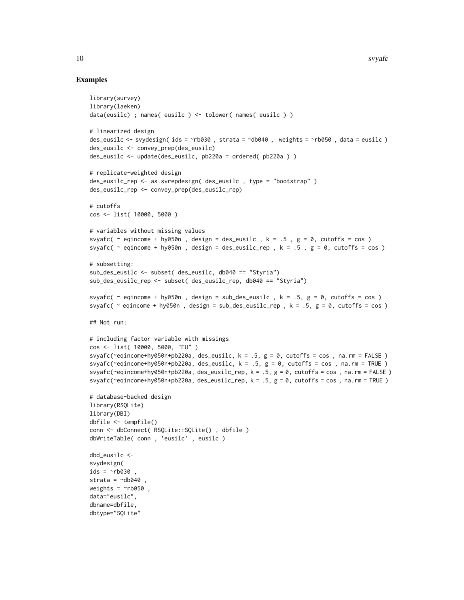```
library(survey)
library(laeken)
data(eusilc) ; names( eusilc ) <- tolower( names( eusilc ) )
# linearized design
des_eusilc \le svydesign( ids = \simrb030, strata = \simdb040, weights = \simrb050, data = eusilc)
des_eusilc <- convey_prep(des_eusilc)
des_eusilc <- update(des_eusilc, pb220a = ordered( pb220a ) )
# replicate-weighted design
des_eusilc_rep <- as.svrepdesign( des_eusilc , type = "bootstrap" )
des_eusilc_rep <- convey_prep(des_eusilc_rep)
# cutoffs
cos <- list( 10000, 5000 )
# variables without missing values
svyafc( \sim eqincome + hy050n, design = des_eusilc, k = .5, g = 0, cutoffs = cos)
svyafc( \sim eqincome + hy050n, design = des_eusilc_rep, k = .5, g = 0, cutoffs = cos)
# subsetting:
sub_des_eusilc <- subset( des_eusilc, db040 == "Styria")
sub_des_eusilc_rep <- subset( des_eusilc_rep, db040 == "Styria")
svyafc( \sim eqincome + hy050n, design = sub_des_eusilc, k = .5, g = 0, cutoffs = cos)
svyafc( \sim eqincome + hy050n, design = sub_des_eusilc_rep, k = .5, g = 0, cutoffs = cos)
## Not run:
# including factor variable with missings
cos <- list( 10000, 5000, "EU" )
svyafc(~eqincome+hy050n+pb220a, des_eusilc, k = .5, g = 0, cutoffs = cos, na.rm = FALSE)
svyafc(~eqincome+hy050n+pb220a, des_eusilc, k = .5, g = 0, cutoffs = cos, na.rm = TRUE)
svyafc(~eqincome+hy050n+pb220a, des_eusilc_rep, k = .5, g = 0, cutoffs = cos, na.rm = FALSE)
svyafc(~eqincome+hy050n+pb220a, des_eusilc_rep, k = .5, g = 0, cutoffs = cos , na.rm = TRUE )
# database-backed design
library(RSQLite)
library(DBI)
dbfile <- tempfile()
conn <- dbConnect( RSQLite::SQLite() , dbfile )
dbWriteTable( conn , 'eusilc' , eusilc )
dbd_eusilc <-
svydesign(
ids = \sim b030,
strata = \negdb040
weights = \negrb050,
data="eusilc",
dbname=dbfile,
dbtype="SQLite"
```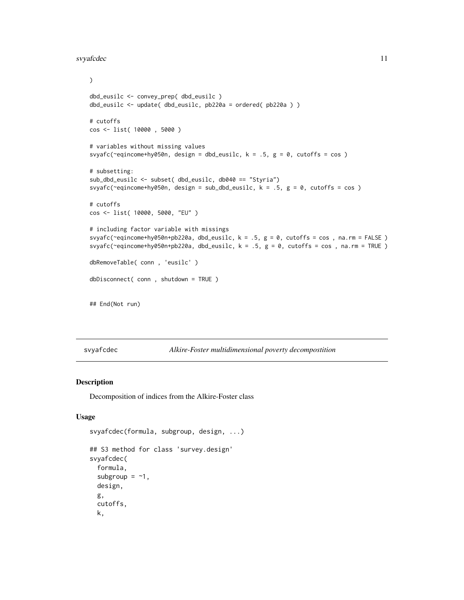#### <span id="page-10-0"></span>svyafcdec 11

```
\mathcal{L}dbd_eusilc <- convey_prep( dbd_eusilc )
dbd_eusilc <- update( dbd_eusilc, pb220a = ordered( pb220a ) )
# cutoffs
cos <- list( 10000 , 5000 )
# variables without missing values
svyafc(~eqincome+hy050n, design = dbd_eusilc, k = .5, g = 0, cutoffs = cos )
# subsetting:
sub_dbd_eusilc <- subset( dbd_eusilc, db040 == "Styria")
svyafc(~eqincome+hy050n, design = sub_dbd_eusilc, k = .5, g = 0, cutoffs = cos )
# cutoffs
cos <- list( 10000, 5000, "EU" )
# including factor variable with missings
svyafc(~eqincome+hy050n+pb220a, dbd_eusilc, k = .5, g = 0, cutoffs = cos, na.rm = FALSE)
svyafc(~eqincome+hy050n+pb220a, dbd_eusilc, k = .5, g = 0, cutoffs = cos, na.rm = TRUE)
dbRemoveTable( conn , 'eusilc' )
dbDisconnect( conn , shutdown = TRUE )
## End(Not run)
```
svyafcdec *Alkire-Foster multidimensional poverty decompostition*

#### Description

Decomposition of indices from the Alkire-Foster class

```
svyafcdec(formula, subgroup, design, ...)
## S3 method for class 'survey.design'
svyafcdec(
  formula,
  subgroup = -1,
 design,
  g,
  cutoffs,
 k,
```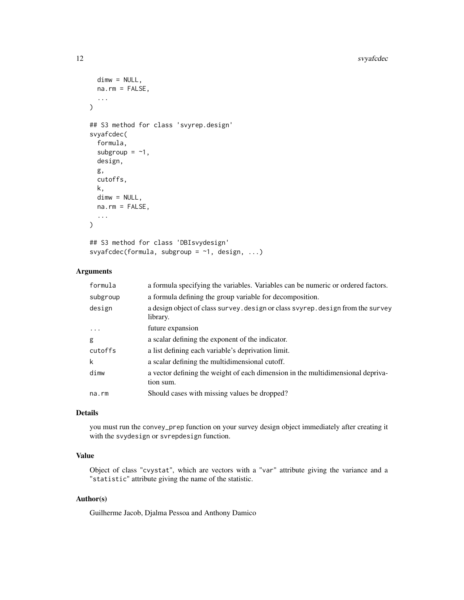```
dimw = NULL,
  na.rm = FALSE,
  ...
\lambda## S3 method for class 'svyrep.design'
svyafcdec(
  formula,
  subgroup = -1,
  design,
  g,
  cutoffs,
  k,
  dimw = NULL,na.rm = FALSE,
  ...
\mathcal{L}## S3 method for class 'DBIsvydesign'
```

```
svyafcdec(formula, subgroup = \sim1, design, ...)
```
## Arguments

| formula  | a formula specifying the variables. Variables can be numeric or ordered factors.            |
|----------|---------------------------------------------------------------------------------------------|
| subgroup | a formula defining the group variable for decomposition.                                    |
| design   | a design object of class survey. design or class svyrep. design from the survey<br>library. |
| $\cdot$  | future expansion                                                                            |
| g        | a scalar defining the exponent of the indicator.                                            |
| cutoffs  | a list defining each variable's deprivation limit.                                          |
| k        | a scalar defining the multidimensional cutoff.                                              |
| dimw     | a vector defining the weight of each dimension in the multidimensional depriva-             |
|          | tion sum.                                                                                   |
| na.rm    | Should cases with missing values be dropped?                                                |

## Details

you must run the convey\_prep function on your survey design object immediately after creating it with the svydesign or svrepdesign function.

#### Value

Object of class "cvystat", which are vectors with a "var" attribute giving the variance and a "statistic" attribute giving the name of the statistic.

## Author(s)

Guilherme Jacob, Djalma Pessoa and Anthony Damico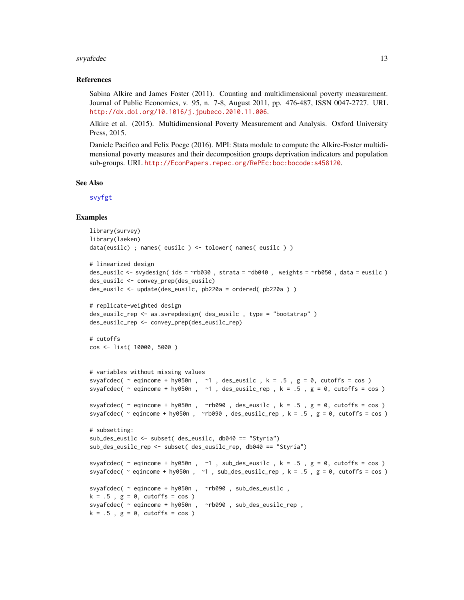#### svyafcdec 13

#### References

Sabina Alkire and James Foster (2011). Counting and multidimensional poverty measurement. Journal of Public Economics, v. 95, n. 7-8, August 2011, pp. 476-487, ISSN 0047-2727. URL <http://dx.doi.org/10.1016/j.jpubeco.2010.11.006>.

Alkire et al. (2015). Multidimensional Poverty Measurement and Analysis. Oxford University Press, 2015.

Daniele Pacifico and Felix Poege (2016). MPI: Stata module to compute the Alkire-Foster multidimensional poverty measures and their decomposition groups deprivation indicators and population sub-groups. URL <http://EconPapers.repec.org/RePEc:boc:bocode:s458120>.

#### See Also

[svyfgt](#page-34-1)

```
library(survey)
library(laeken)
data(eusilc) ; names( eusilc ) <- tolower( names( eusilc ) )
# linearized design
des_eusilc <- svydesign( ids = ~rb030 , strata = ~db040 , weights = ~rb050 , data = eusilc )
des_eusilc <- convey_prep(des_eusilc)
des_eusilc <- update(des_eusilc, pb220a = ordered( pb220a ) )
# replicate-weighted design
des_eusilc_rep <- as.svrepdesign( des_eusilc , type = "bootstrap" )
des_eusilc_rep <- convey_prep(des_eusilc_rep)
# cutoffs
cos <- list( 10000, 5000 )
# variables without missing values
svyafcdec( \sim eqincome + hy050n, \sim1, des_eusilc, k = .5, g = 0, cutoffs = cos)
svyafcdec( \sim eqincome + hy050n, \sim1, des_eusilc_rep, k = .5, g = 0, cutoffs = cos)
svyafcdec( \sim eqincome + hy050n, \simrb090, des_eusilc, k = .5, g = 0, cutoffs = cos)
svyafcdec( \sim eqincome + hy050n, \simrb090, des_eusilc_rep, k = .5, g = 0, cutoffs = cos)
# subsetting:
sub_des_eusilc <- subset( des_eusilc, db040 == "Styria")
sub_des_eusilc_rep <- subset( des_eusilc_rep, db040 == "Styria")
svyafcdec( \sim eqincome + hy050n, \sim1, sub_des_eusilc, k = .5, g = 0, cutoffs = cos)
svyafcdec( ~ eqincome + hy050n , ~1 , sub_des_eusilc_rep , k = .5 , g = 0, cutoffs = cos )
svyafcdec( ~ eqincome + hy050n , ~rb090 , sub_des_eusilc ,
k = .5, g = 0, cutoffs = cos )
svyafcdec( ~ eqincome + hy050n , ~rb090 , sub_des_eusilc_rep ,
k = .5, g = 0, cutoffs = cos )
```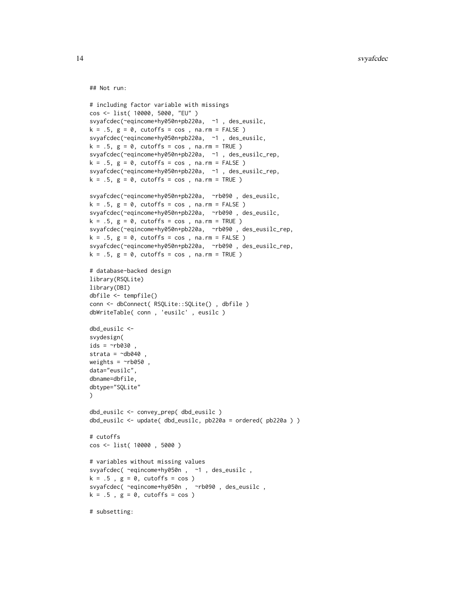## Not run:

```
# including factor variable with missings
cos <- list( 10000, 5000, "EU" )
svyafcdec(~eqincome+hy050n+pb220a, ~1 , des_eusilc,
k = .5, g = 0, cutoffs = cos, na.rm = FALSE)
svyafcdec(~eqincome+hy050n+pb220a, ~1 , des_eusilc,
k = .5, g = 0, cutoffs = cos, na.rm = TRUE)
svyafcdec(~eqincome+hy050n+pb220a, ~1 , des_eusilc_rep,
k = .5, g = 0, cutoffs = cos, na.rm = FALSE)
svyafcdec(~eqincome+hy050n+pb220a, ~1 , des_eusilc_rep,
k = .5, g = 0, cutoffs = cos, na.rm = TRUE)
svyafcdec(~eqincome+hy050n+pb220a, ~rb090 , des_eusilc,
k = .5, g = 0, cutoffs = cos, na.rm = FALSE)
svyafcdec(~eqincome+hy050n+pb220a, ~rb090 , des_eusilc,
k = .5, g = 0, cutoffs = cos, na.rm = TRUE)
svyafcdec(~eqincome+hy050n+pb220a, ~rb090 , des_eusilc_rep,
k = .5, g = 0, cutoffs = cos, na.rm = FALSE)
svyafcdec(~eqincome+hy050n+pb220a, ~rb090 , des_eusilc_rep,
k = .5, g = 0, cutoffs = cos, na.rm = TRUE)
# database-backed design
library(RSQLite)
library(DBI)
dbfile <- tempfile()
conn <- dbConnect( RSQLite::SQLite() , dbfile )
dbWriteTable( conn , 'eusilc' , eusilc )
dbd_eusilc <-
svydesign(
ids = \sim b030,
strata = \negdb040,
weights = \nightharpoonuprb050,
data="eusilc",
dbname=dbfile,
dbtype="SQLite"
)
dbd_eusilc <- convey_prep( dbd_eusilc )
dbd_eusilc <- update( dbd_eusilc, pb220a = ordered( pb220a ) )
# cutoffs
cos <- list( 10000 , 5000 )
# variables without missing values
svyafcdec( ~eqincome+hy050n , ~1 , des_eusilc ,
k = .5, g = 0, cutoffs = cos )
svyafcdec( ~eqincome+hy050n , ~rb090 , des_eusilc ,
k = .5, g = 0, cutoffs = cos )
# subsetting:
```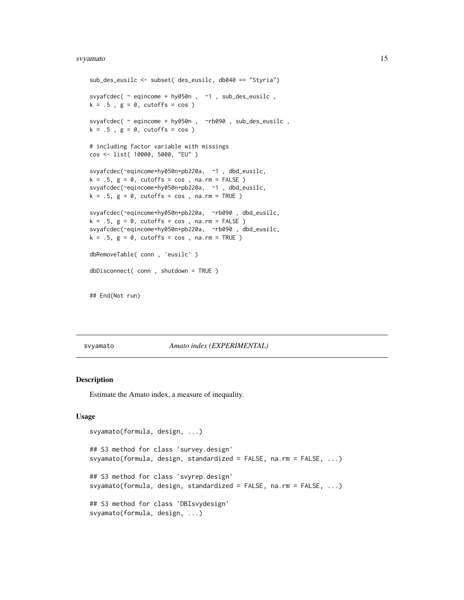#### <span id="page-14-0"></span>svyamato ili suomen kuningas kuningas kuningas kuningas kuningas kuningas kuningas kuningas kuningas kuningas k

```
sub_des_eusilc <- subset( des_eusilc, db040 == "Styria")
svyafcdec( ~ eqincome + hy050n , ~1 , sub_des_eusilc ,
k = .5, g = 0, cutoffs = cos)
svyafcdec( ~ eqincome + hy050n , ~rb090 , sub_des_eusilc ,
k = .5, g = 0, cutoffs = cos)
# including factor variable with missings
cos <- list( 10000, 5000, "EU" )
svyafcdec(~eqincome+hy050n+pb220a, ~1 , dbd_eusilc,
k = .5, g = 0, cutoffs = cos, na.rm = FALSE)
svyafcdec(~eqincome+hy050n+pb220a, ~1 , dbd_eusilc,
k = .5, g = 0, cutoffs = cos, na.rm = TRUE)
svyafcdec(~eqincome+hy050n+pb220a, ~rb090 , dbd_eusilc,
k = .5, g = 0, cutoffs = cos, na.rm = FALSE)
svyafcdec(~eqincome+hy050n+pb220a, ~rb090 , dbd_eusilc,
k = .5, g = 0, cutoffs = cos, na.rm = TRUE)
dbRemoveTable( conn , 'eusilc' )
dbDisconnect( conn , shutdown = TRUE )
```
## End(Not run)

#### svyamato *Amato index (EXPERIMENTAL)*

#### Description

Estimate the Amato index, a measure of inequality.

```
svyamato(formula, design, ...)
## S3 method for class 'survey.design'
svyamato(formula, design, standardized = FALSE, na.rm = FALSE, ...)
## S3 method for class 'svyrep.design'
svyamato(formula, design, standardized = FALSE, na.rm = FALSE, ...)
## S3 method for class 'DBIsvydesign'
svyamato(formula, design, ...)
```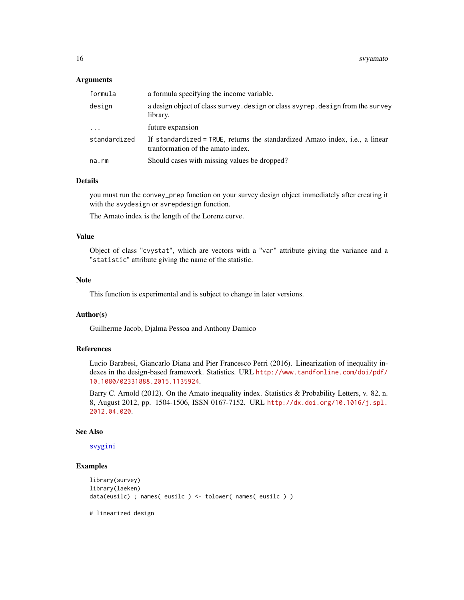### Arguments

| formula      | a formula specifying the income variable.                                                                         |
|--------------|-------------------------------------------------------------------------------------------------------------------|
| design       | a design object of class survey. design or class svyrep. design from the survey<br>library.                       |
| $\cdots$     | future expansion                                                                                                  |
| standardized | If standardized = TRUE, returns the standardized Amato index, i.e., a linear<br>tranformation of the amato index. |
| na.rm        | Should cases with missing values be dropped?                                                                      |

## Details

you must run the convey\_prep function on your survey design object immediately after creating it with the svydesign or svrepdesign function.

The Amato index is the length of the Lorenz curve.

#### Value

Object of class "cvystat", which are vectors with a "var" attribute giving the variance and a "statistic" attribute giving the name of the statistic.

#### Note

This function is experimental and is subject to change in later versions.

#### Author(s)

Guilherme Jacob, Djalma Pessoa and Anthony Damico

#### References

Lucio Barabesi, Giancarlo Diana and Pier Francesco Perri (2016). Linearization of inequality indexes in the design-based framework. Statistics. URL [http://www.tandfonline.com/doi/pdf/](http://www.tandfonline.com/doi/pdf/10.1080/02331888.2015.1135924) [10.1080/02331888.2015.1135924](http://www.tandfonline.com/doi/pdf/10.1080/02331888.2015.1135924).

Barry C. Arnold (2012). On the Amato inequality index. Statistics & Probability Letters, v. 82, n. 8, August 2012, pp. 1504-1506, ISSN 0167-7152. URL [http://dx.doi.org/10.1016/j.spl.](http://dx.doi.org/10.1016/j.spl.2012.04.020) [2012.04.020](http://dx.doi.org/10.1016/j.spl.2012.04.020).

#### See Also

[svygini](#page-47-1)

## Examples

```
library(survey)
library(laeken)
data(eusilc) ; names( eusilc ) <- tolower( names( eusilc ) )
```
# linearized design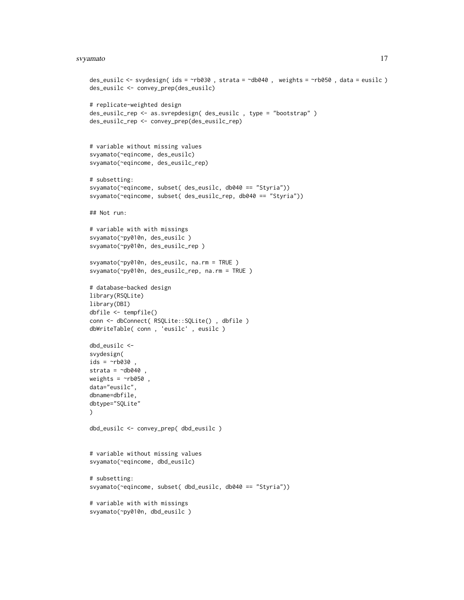#### svyamato ili ili suomen kuningas kuningas kuningas kuningas kuningas kuningas kuningas kuningas kuningas kuningas kuningas kuningas kuningas kuningas kuningas kuningas kuningas kuningas kuningas kuningas kuningas kuningas

```
des_eusilc <- svydesign( ids = ~rb030 , strata = ~db040 , weights = ~rb050 , data = eusilc )
des_eusilc <- convey_prep(des_eusilc)
# replicate-weighted design
des_eusilc_rep <- as.svrepdesign( des_eusilc , type = "bootstrap" )
des_eusilc_rep <- convey_prep(des_eusilc_rep)
# variable without missing values
svyamato(~eqincome, des_eusilc)
svyamato(~eqincome, des_eusilc_rep)
# subsetting:
svyamato(~eqincome, subset( des_eusilc, db040 == "Styria"))
svyamato(~eqincome, subset( des_eusilc_rep, db040 == "Styria"))
## Not run:
# variable with with missings
svyamato(~py010n, des_eusilc )
svyamato(~py010n, des_eusilc_rep )
svyamato(~py010n, des_eusilc, na.rm = TRUE )
svyamato(~py010n, des_eusilc_rep, na.rm = TRUE )
# database-backed design
library(RSQLite)
library(DBI)
dbfile <- tempfile()
conn <- dbConnect( RSQLite::SQLite() , dbfile )
dbWriteTable( conn , 'eusilc' , eusilc )
dbd_eusilc <-
svydesign(
ids = \sim b030,
strata = \negdb040,
weights = \nightharpoonuprb050,
data="eusilc",
dbname=dbfile,
dbtype="SQLite"
\lambdadbd_eusilc <- convey_prep( dbd_eusilc )
# variable without missing values
svyamato(~eqincome, dbd_eusilc)
# subsetting:
svyamato(~eqincome, subset( dbd_eusilc, db040 == "Styria"))
# variable with with missings
svyamato(~py010n, dbd_eusilc )
```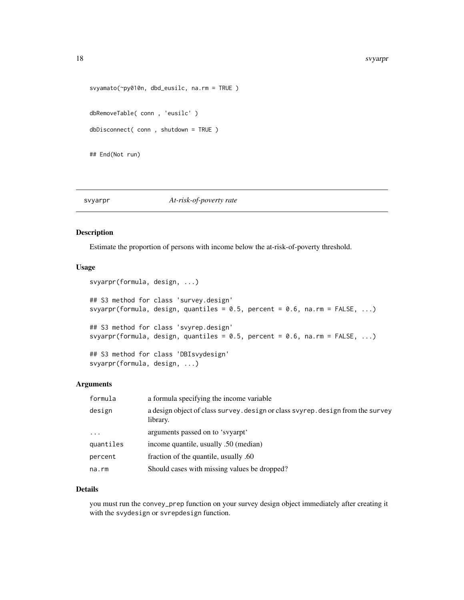#### <span id="page-17-0"></span>18 svyarpr

```
svyamato(~py010n, dbd_eusilc, na.rm = TRUE )
dbRemoveTable( conn , 'eusilc' )
dbDisconnect( conn , shutdown = TRUE )
## End(Not run)
```
## <span id="page-17-1"></span>svyarpr *At-risk-of-poverty rate*

## Description

Estimate the proportion of persons with income below the at-risk-of-poverty threshold.

#### Usage

```
svyarpr(formula, design, ...)
## S3 method for class 'survey.design'
svyarpr(formula, design, quantiles = 0.5, percent = 0.6, na.rm = FALSE, ...)
## S3 method for class 'svyrep.design'
svyarpr(formula, design, quantiles = 0.5, percent = 0.6, na.rm = FALSE, ...)
## S3 method for class 'DBIsvydesign'
svyarpr(formula, design, ...)
```
#### Arguments

| formula   | a formula specifying the income variable                                                    |
|-----------|---------------------------------------------------------------------------------------------|
| design    | a design object of class survey. design or class svyrep. design from the survey<br>library. |
| $\cdots$  | arguments passed on to 'syvarpt'                                                            |
| quantiles | income quantile, usually .50 (median)                                                       |
| percent   | fraction of the quantile, usually .60                                                       |
| na.rm     | Should cases with missing values be dropped?                                                |

#### Details

you must run the convey\_prep function on your survey design object immediately after creating it with the svydesign or svrepdesign function.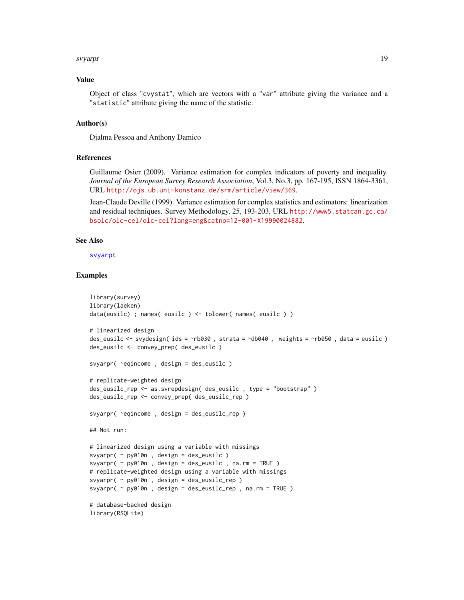#### svyarpr to the state of the state of the state of the state of the state of the state of the state of the state of the state of the state of the state of the state of the state of the state of the state of the state of the

#### Value

Object of class "cvystat", which are vectors with a "var" attribute giving the variance and a "statistic" attribute giving the name of the statistic.

#### Author(s)

Djalma Pessoa and Anthony Damico

#### References

Guillaume Osier (2009). Variance estimation for complex indicators of poverty and inequality. *Journal of the European Survey Research Association*, Vol.3, No.3, pp. 167-195, ISSN 1864-3361, URL <http://ojs.ub.uni-konstanz.de/srm/article/view/369>.

Jean-Claude Deville (1999). Variance estimation for complex statistics and estimators: linearization and residual techniques. Survey Methodology, 25, 193-203, URL [http://www5.statcan.gc.ca/](http://www5.statcan.gc.ca/bsolc/olc-cel/olc-cel?lang=eng&catno=12-001-X19990024882) [bsolc/olc-cel/olc-cel?lang=eng&catno=12-001-X19990024882](http://www5.statcan.gc.ca/bsolc/olc-cel/olc-cel?lang=eng&catno=12-001-X19990024882).

#### See Also

[svyarpt](#page-19-1)

```
library(survey)
library(laeken)
data(eusilc) ; names( eusilc ) <- tolower( names( eusilc ) )
# linearized design
des_eusilc <- svydesign( ids = ~rb030 , strata = ~db040 , weights = ~rb050 , data = eusilc )
des_eusilc <- convey_prep( des_eusilc )
svyarpr( ~eqincome , design = des_eusilc )
# replicate-weighted design
des_eusilc_rep <- as.svrepdesign( des_eusilc , type = "bootstrap" )
des_eusilc_rep <- convey_prep( des_eusilc_rep )
svyarpr( ~eqincome , design = des_eusilc_rep )
## Not run:
# linearized design using a variable with missings
svyarpr( ~ py010n , design = des_eusilc )
svyarpr( ~ py010n , design = des_eusilc , na.rm = TRUE )
# replicate-weighted design using a variable with missings
svyarpr( ~ py010n , design = des_eusilc_rep )
svyarpr( ~ py010n , design = des_eusilc_rep , na.rm = TRUE )
# database-backed design
library(RSQLite)
```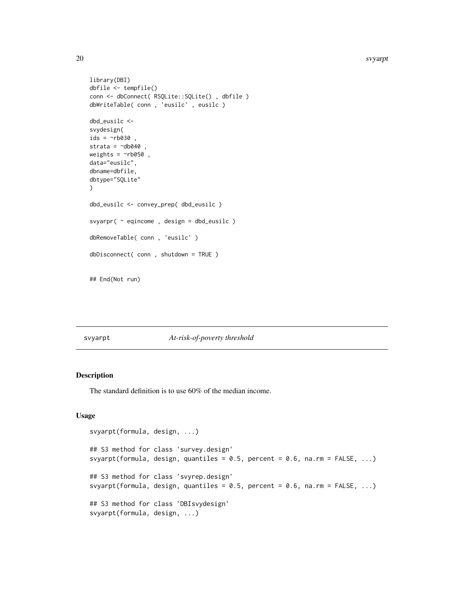#### 20 svyarpt states and the state of the state of the state of the state of the state of the state of the state of the state of the state of the state of the state of the state of the state of the state of the state of the s

```
library(DBI)
dbfile <- tempfile()
conn <- dbConnect( RSQLite::SQLite() , dbfile )
dbWriteTable( conn , 'eusilc' , eusilc )
dbd_eusilc <-
svydesign(
ids = \sim b030,
strata = \negdb040,
weights = \nightharpoonuprb050,
data="eusilc",
dbname=dbfile,
dbtype="SQLite"
)
dbd_eusilc <- convey_prep( dbd_eusilc )
svyarpr( ~ eqincome , design = dbd_eusilc )
dbRemoveTable( conn , 'eusilc' )
dbDisconnect( conn , shutdown = TRUE )
## End(Not run)
```
<span id="page-19-1"></span>svyarpt *At-risk-of-poverty threshold*

## Description

The standard definition is to use 60% of the median income.

```
svyarpt(formula, design, ...)
## S3 method for class 'survey.design'
svyarpt(formula, design, quantiles = 0.5, percent = 0.6, na.rm = FALSE, ...)
## S3 method for class 'svyrep.design'
svyarpt(formula, design, quantiles = 0.5, percent = 0.6, na.rm = FALSE, ...)
## S3 method for class 'DBIsvydesign'
svyarpt(formula, design, ...)
```
<span id="page-19-0"></span>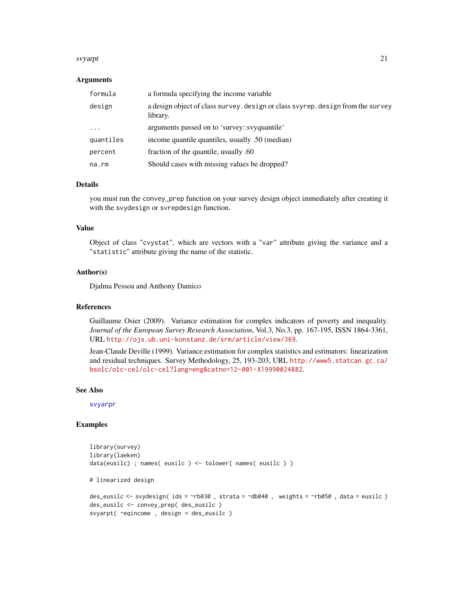#### svyarpt 21

#### Arguments

| formula   | a formula specifying the income variable                                                    |
|-----------|---------------------------------------------------------------------------------------------|
| design    | a design object of class survey. design or class svyrep. design from the survey<br>library. |
| $\ddotsc$ | arguments passed on to 'survey::svyquantile'                                                |
| quantiles | income quantile quantiles, usually .50 (median)                                             |
| percent   | fraction of the quantile, usually .60                                                       |
| na.rm     | Should cases with missing values be dropped?                                                |

## Details

you must run the convey\_prep function on your survey design object immediately after creating it with the svydesign or svrepdesign function.

#### Value

Object of class "cvystat", which are vectors with a "var" attribute giving the variance and a "statistic" attribute giving the name of the statistic.

#### Author(s)

Djalma Pessoa and Anthony Damico

## References

Guillaume Osier (2009). Variance estimation for complex indicators of poverty and inequality. *Journal of the European Survey Research Association*, Vol.3, No.3, pp. 167-195, ISSN 1864-3361, URL <http://ojs.ub.uni-konstanz.de/srm/article/view/369>.

Jean-Claude Deville (1999). Variance estimation for complex statistics and estimators: linearization and residual techniques. Survey Methodology, 25, 193-203, URL [http://www5.statcan.gc.ca/](http://www5.statcan.gc.ca/bsolc/olc-cel/olc-cel?lang=eng&catno=12-001-X19990024882) [bsolc/olc-cel/olc-cel?lang=eng&catno=12-001-X19990024882](http://www5.statcan.gc.ca/bsolc/olc-cel/olc-cel?lang=eng&catno=12-001-X19990024882).

#### See Also

[svyarpr](#page-17-1)

```
library(survey)
library(laeken)
data(eusilc) ; names( eusilc ) <- tolower( names( eusilc ) )
# linearized design
des_eusilc <- svydesign( ids = ~rb030 , strata = ~db040 , weights = ~rb050 , data = eusilc )
des_eusilc <- convey_prep( des_eusilc )
svyarpt( ~eqincome , design = des_eusilc )
```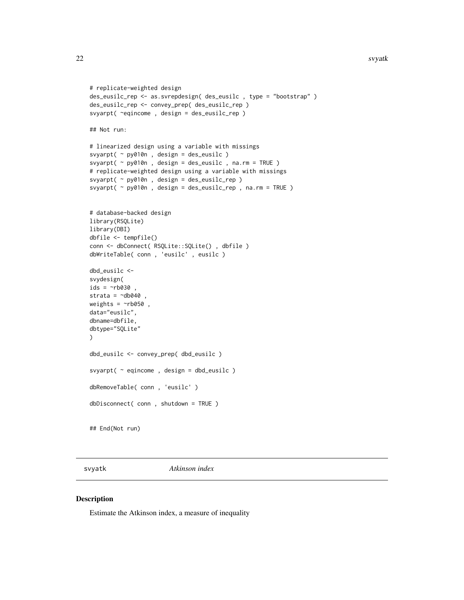#### 22 svyatk

```
# replicate-weighted design
des_eusilc_rep <- as.svrepdesign( des_eusilc , type = "bootstrap" )
des_eusilc_rep <- convey_prep( des_eusilc_rep )
svyarpt( ~eqincome , design = des_eusilc_rep )
## Not run:
# linearized design using a variable with missings
svyarpt( ~ py010n , design = des_eusilc )
svyarpt( ~ py010n , design = des_eusilc , na.rm = TRUE )
# replicate-weighted design using a variable with missings
svyarpt( ~ py010n , design = des_eusilc_rep )
svyarpt( ~ py010n , design = des_eusilc_rep , na.rm = TRUE )
# database-backed design
library(RSQLite)
library(DBI)
dbfile <- tempfile()
conn <- dbConnect( RSQLite::SQLite() , dbfile )
dbWriteTable( conn , 'eusilc' , eusilc )
dbd_eusilc <-
svydesign(
ids = \negrb030 ,
strata = \simdb040
weights = \nightharpoonuprb050,
data="eusilc",
dbname=dbfile,
dbtype="SQLite"
\mathcal{L}dbd_eusilc <- convey_prep( dbd_eusilc )
svyarpt( ~ eqincome , design = dbd_eusilc )
dbRemoveTable( conn , 'eusilc' )
dbDisconnect( conn , shutdown = TRUE )
## End(Not run)
```
svyatk *Atkinson index*

#### Description

Estimate the Atkinson index, a measure of inequality

<span id="page-21-0"></span>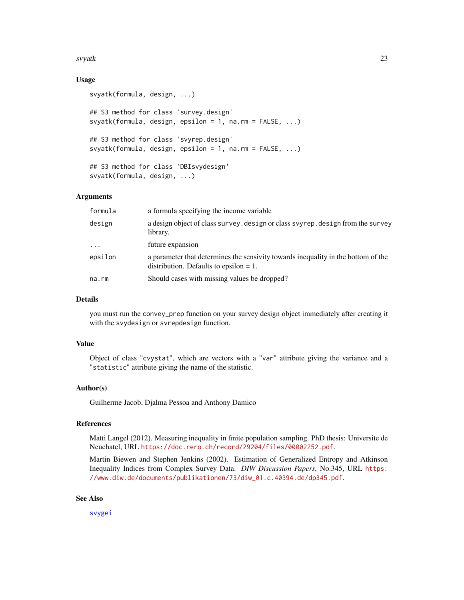#### svyatk 23

## Usage

```
svyatk(formula, design, ...)
## S3 method for class 'survey.design'
svyatk(formula, design, epsilon = 1, na.rm = FALSE, ...)
## S3 method for class 'svyrep.design'
svyatk(formula, design, epsilon = 1, na.rm = FALSE, ...)
## S3 method for class 'DBIsvydesign'
svyatk(formula, design, ...)
```
## Arguments

| formula  | a formula specifying the income variable                                                                                       |
|----------|--------------------------------------------------------------------------------------------------------------------------------|
| design   | a design object of class survey. design or class svyrep. design from the survey<br>library.                                    |
| $\cdots$ | future expansion                                                                                                               |
| epsilon  | a parameter that determines the sensivity towards inequality in the bottom of the<br>distribution. Defaults to epsilon $= 1$ . |
| na.rm    | Should cases with missing values be dropped?                                                                                   |

#### Details

you must run the convey\_prep function on your survey design object immediately after creating it with the svydesign or svrepdesign function.

#### Value

Object of class "cvystat", which are vectors with a "var" attribute giving the variance and a "statistic" attribute giving the name of the statistic.

## Author(s)

Guilherme Jacob, Djalma Pessoa and Anthony Damico

#### References

Matti Langel (2012). Measuring inequality in finite population sampling. PhD thesis: Universite de Neuchatel, URL <https://doc.rero.ch/record/29204/files/00002252.pdf>.

Martin Biewen and Stephen Jenkins (2002). Estimation of Generalized Entropy and Atkinson Inequality Indices from Complex Survey Data. *DIW Discussion Papers*, No.345, URL [https:](https://www.diw.de/documents/publikationen/73/diw_01.c.40394.de/dp345.pdf) [//www.diw.de/documents/publikationen/73/diw\\_01.c.40394.de/dp345.pdf](https://www.diw.de/documents/publikationen/73/diw_01.c.40394.de/dp345.pdf).

## See Also

[svygei](#page-41-1)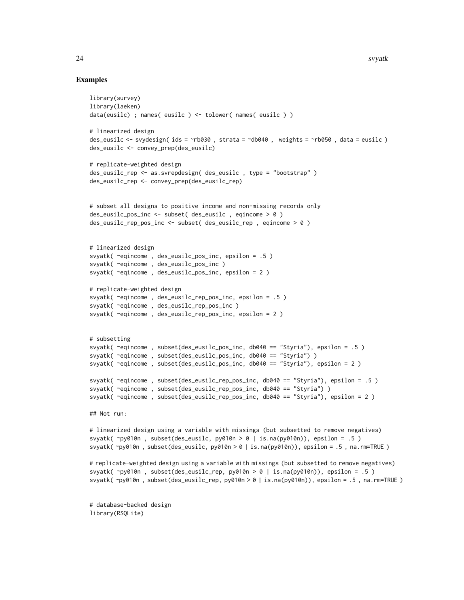#### Examples

```
library(survey)
library(laeken)
data(eusilc) ; names( eusilc ) <- tolower( names( eusilc ) )
# linearized design
des_eusilc <- svydesign( ids = ~rb030 , strata = ~db040 , weights = ~rb050 , data = eusilc )
des_eusilc <- convey_prep(des_eusilc)
# replicate-weighted design
des_eusilc_rep <- as.svrepdesign( des_eusilc , type = "bootstrap" )
des_eusilc_rep <- convey_prep(des_eusilc_rep)
# subset all designs to positive income and non-missing records only
des_eusilc_pos_inc <- subset( des_eusilc , eqincome > 0 )
des_eusilc_rep_pos_inc <- subset( des_eusilc_rep , eqincome > 0 )
# linearized design
svyatk( ~eqincome , des_eusilc_pos_inc, epsilon = .5 )
svyatk( ~eqincome , des_eusilc_pos_inc )
svyatk( ~eqincome , des_eusilc_pos_inc, epsilon = 2 )
# replicate-weighted design
svyatk( ~eqincome , des_eusilc_rep_pos_inc, epsilon = .5 )
svyatk( ~eqincome , des_eusilc_rep_pos_inc )
svyatk( ~eqincome , des_eusilc_rep_pos_inc, epsilon = 2 )
# subsetting
svyatk( ~eqincome , subset(des_eusilc_pos_inc, db040 == "Styria"), epsilon = .5 )
svyatk( ~eqincome , subset(des_eusilc_pos_inc, db040 == "Styria") )
svyatk( ~eqincome , subset(des_eusilc_pos_inc, db040 == "Styria"), epsilon = 2 )
svyatk( ~eqincome , subset(des_eusilc_rep_pos_inc, db040 == "Styria"), epsilon = .5 )
svyatk( ~eqincome , subset(des_eusilc_rep_pos_inc, db040 == "Styria") )
svyatk( ~eqincome , subset(des_eusilc_rep_pos_inc, db040 == "Styria"), epsilon = 2 )
## Not run:
# linearized design using a variable with missings (but subsetted to remove negatives)
```
svyatk( $\gamma$ y010n, subset(des\_eusilc, py010n > 0 | is.na(py010n)), epsilon = .5 ) svyatk( ~py010n , subset(des\_eusilc, py010n > 0 | is.na(py010n)), epsilon = .5 , na.rm=TRUE )

# replicate-weighted design using a variable with missings (but subsetted to remove negatives) svyatk( ~py010n , subset(des\_eusilc\_rep, py010n > 0 | is.na(py010n)), epsilon = .5 ) svyatk( ~py010n , subset(des\_eusilc\_rep, py010n > 0 | is.na(py010n)), epsilon = .5 , na.rm=TRUE )

# database-backed design library(RSQLite)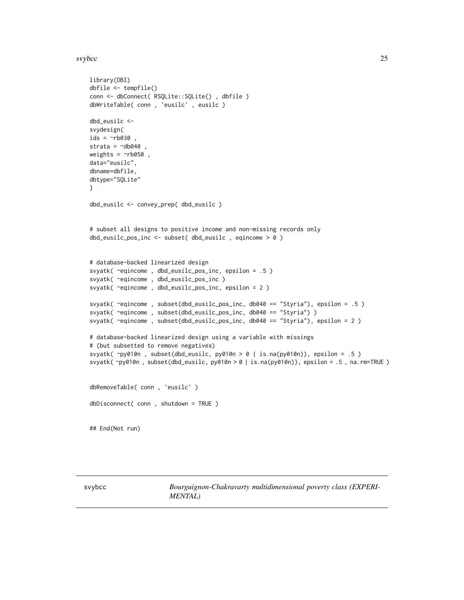#### <span id="page-24-0"></span>svybce 25

```
library(DBI)
dbfile <- tempfile()
conn <- dbConnect( RSQLite::SQLite() , dbfile )
dbWriteTable( conn , 'eusilc' , eusilc )
dbd_eusilc <-
svydesign(
ids = \sim b030,
strata = \simdb040,
weights = \nightharpoonuprb050,
data="eusilc",
dbname=dbfile,
dbtype="SQLite"
)
dbd_eusilc <- convey_prep( dbd_eusilc )
# subset all designs to positive income and non-missing records only
dbd_eusilc_pos_inc <- subset( dbd_eusilc , eqincome > 0 )
# database-backed linearized design
svyatk( ~eqincome , dbd_eusilc_pos_inc, epsilon = .5 )
svyatk( ~eqincome , dbd_eusilc_pos_inc )
svyatk( ~eqincome , dbd_eusilc_pos_inc, epsilon = 2 )
svyatk( ~eqincome , subset(dbd_eusilc_pos_inc, db040 == "Styria"), epsilon = .5 )
svyatk( ~eqincome , subset(dbd_eusilc_pos_inc, db040 == "Styria") )
svyatk( ~eqincome , subset(dbd_eusilc_pos_inc, db040 == "Styria"), epsilon = 2 )
# database-backed linearized design using a variable with missings
# (but subsetted to remove negatives)
svyatk(\gammay010n, subset(dbd_eusilc, py010n > 0 | is.na(py010n)), epsilon = .5 )
svyatk( ~py010n, subset(dbd_eusilc, py010n > 0 | is.na(py010n)), epsilon = .5, na.rm=TRUE)
dbRemoveTable( conn , 'eusilc' )
dbDisconnect( conn , shutdown = TRUE )
## End(Not run)
```
svybcc *Bourguignon-Chakravarty multidimensional poverty class (EXPERI-MENTAL)*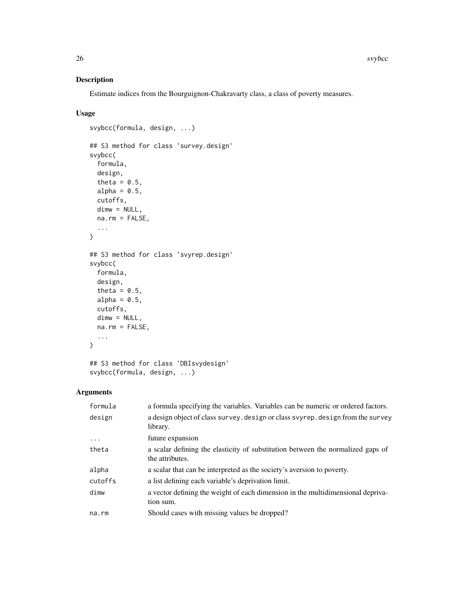## Description

Estimate indices from the Bourguignon-Chakravarty class, a class of poverty measures.

## Usage

```
svybcc(formula, design, ...)
## S3 method for class 'survey.design'
svybcc(
  formula,
 design,
  theta = 0.5,
 alpha = 0.5,
 cutoffs,
 dimw = NULL,
 na.rm = FALSE,
  ...
)
## S3 method for class 'svyrep.design'
svybcc(
 formula,
 design,
  theta = 0.5,
 alpha = 0.5,
 cutoffs,
 dimw = NULL,
 na.rm = FALSE,
  ...
\mathcal{L}
```
## S3 method for class 'DBIsvydesign' svybcc(formula, design, ...)

## Arguments

| formula  | a formula specifying the variables. Variables can be numeric or ordered factors.                   |
|----------|----------------------------------------------------------------------------------------------------|
| design   | a design object of class survey. design or class svyrep. design from the survey<br>library.        |
| $\cdots$ | future expansion                                                                                   |
| theta    | a scalar defining the elasticity of substitution between the normalized gaps of<br>the attributes. |
| alpha    | a scalar that can be interpreted as the society's aversion to poverty.                             |
| cutoffs  | a list defining each variable's deprivation limit.                                                 |
| dimw     | a vector defining the weight of each dimension in the multidimensional depriva-<br>tion sum.       |
| na.rm    | Should cases with missing values be dropped?                                                       |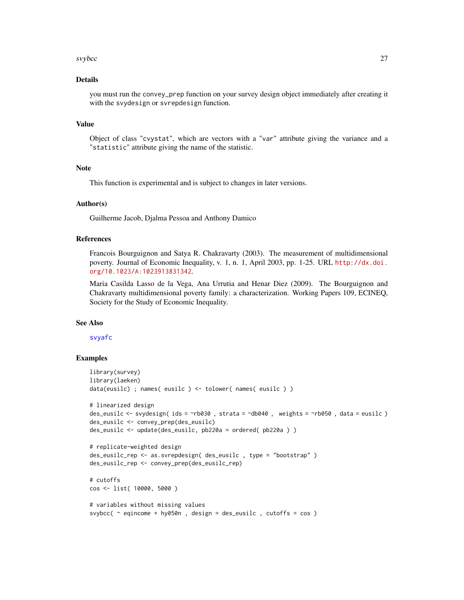#### svybcc 27

#### Details

you must run the convey\_prep function on your survey design object immediately after creating it with the svydesign or svrepdesign function.

## Value

Object of class "cvystat", which are vectors with a "var" attribute giving the variance and a "statistic" attribute giving the name of the statistic.

#### Note

This function is experimental and is subject to changes in later versions.

#### Author(s)

Guilherme Jacob, Djalma Pessoa and Anthony Damico

#### References

Francois Bourguignon and Satya R. Chakravarty (2003). The measurement of multidimensional poverty. Journal of Economic Inequality, v. 1, n. 1, April 2003, pp. 1-25. URL [http://dx.doi.](http://dx.doi.org/10.1023/A:1023913831342) [org/10.1023/A:1023913831342](http://dx.doi.org/10.1023/A:1023913831342).

Maria Casilda Lasso de la Vega, Ana Urrutia and Henar Diez (2009). The Bourguignon and Chakravarty multidimensional poverty family: a characterization. Working Papers 109, ECINEQ, Society for the Study of Economic Inequality.

#### See Also

[svyafc](#page-7-1)

```
library(survey)
library(laeken)
data(eusilc) ; names( eusilc ) <- tolower( names( eusilc ) )
# linearized design
des_eusilc <- svydesign( ids = ~rb030 , strata = ~db040 , weights = ~rb050 , data = eusilc )
des_eusilc <- convey_prep(des_eusilc)
des_eusilc <- update(des_eusilc, pb220a = ordered( pb220a ) )
# replicate-weighted design
des_eusilc_rep <- as.svrepdesign( des_eusilc , type = "bootstrap" )
des_eusilc_rep <- convey_prep(des_eusilc_rep)
# cutoffs
cos <- list( 10000, 5000 )
# variables without missing values
svybcc(\sim eqincome + hy050n, design = des_eusilc, cutoffs = cos)
```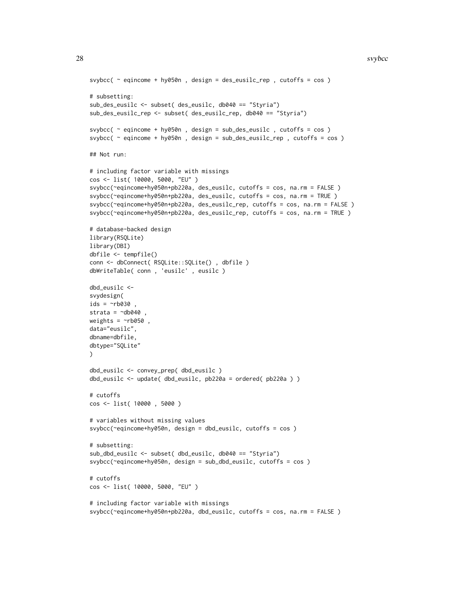```
svybcc( ~ eqincome + hy050n , design = des_eusilc_rep , cutoffs = cos )
# subsetting:
sub_des_eusilc <- subset( des_eusilc, db040 == "Styria")
sub_des_eusilc_rep <- subset( des_eusilc_rep, db040 == "Styria")
svybcc( ~ eqincome + hy050n , design = sub_des_eusilc , cutoffs = cos )
svybcc( ~ eqincome + hy050n , design = sub_des_eusilc_rep , cutoffs = cos )
## Not run:
# including factor variable with missings
cos <- list( 10000, 5000, "EU" )
svybcc(~eqincome+hy050n+pb220a, des_eusilc, cutoffs = cos, na.rm = FALSE )
svybcc(~eqincome+hy050n+pb220a, des_eusilc, cutoffs = cos, na.rm = TRUE )
svybcc(~eqincome+hy050n+pb220a, des_eusilc_rep, cutoffs = cos, na.rm = FALSE )
svybcc(~eqincome+hy050n+pb220a, des_eusilc_rep, cutoffs = cos, na.rm = TRUE )
# database-backed design
library(RSQLite)
library(DBI)
dbfile <- tempfile()
conn <- dbConnect( RSQLite::SQLite() , dbfile )
dbWriteTable( conn , 'eusilc' , eusilc )
dbd_eusilc <-
svydesign(
ids = \simrb030strata = \negdb040
weights = \negrb050,
data="eusilc",
dbname=dbfile,
dbtype="SQLite"
)
dbd_eusilc <- convey_prep( dbd_eusilc )
dbd_eusilc <- update( dbd_eusilc, pb220a = ordered( pb220a ) )
# cutoffs
cos <- list( 10000 , 5000 )
# variables without missing values
svybcc(~eqincome+hy050n, design = dbd_eusilc, cutoffs = cos )
# subsetting:
sub_dbd_eusilc <- subset( dbd_eusilc, db040 == "Styria")
svybcc(~eqincome+hy050n, design = sub_dbd_eusilc, cutoffs = cos )
# cutoffs
cos <- list( 10000, 5000, "EU" )
# including factor variable with missings
svybcc(~eqincome+hy050n+pb220a, dbd_eusilc, cutoffs = cos, na.rm = FALSE )
```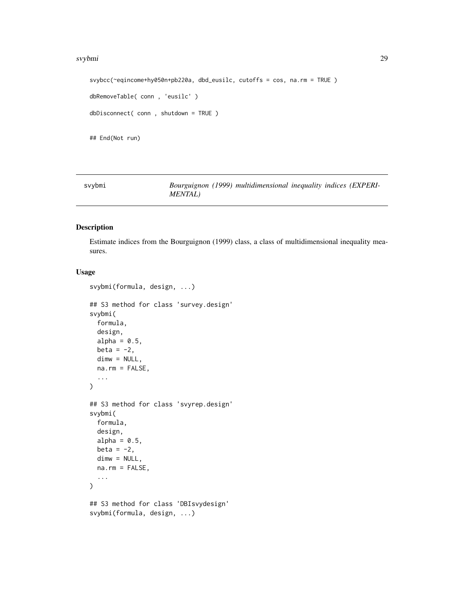#### <span id="page-28-0"></span>svybmi 29

```
svybcc(~eqincome+hy050n+pb220a, dbd_eusilc, cutoffs = cos, na.rm = TRUE )
dbRemoveTable( conn , 'eusilc' )
dbDisconnect( conn , shutdown = TRUE )
## End(Not run)
```
svybmi *Bourguignon (1999) multidimensional inequality indices (EXPERI-MENTAL)*

## Description

Estimate indices from the Bourguignon (1999) class, a class of multidimensional inequality measures.

```
svybmi(formula, design, ...)
## S3 method for class 'survey.design'
svybmi(
 formula,
 design,
 alpha = 0.5,
 beta = -2,
 dimw = NULL,
 na.rm = FALSE,
  ...
\mathcal{L}## S3 method for class 'svyrep.design'
svybmi(
 formula,
 design,
 alpha = 0.5,
 beta = -2,
 dimw = NULL,
 na.rm = FALSE,
  ...
)
## S3 method for class 'DBIsvydesign'
svybmi(formula, design, ...)
```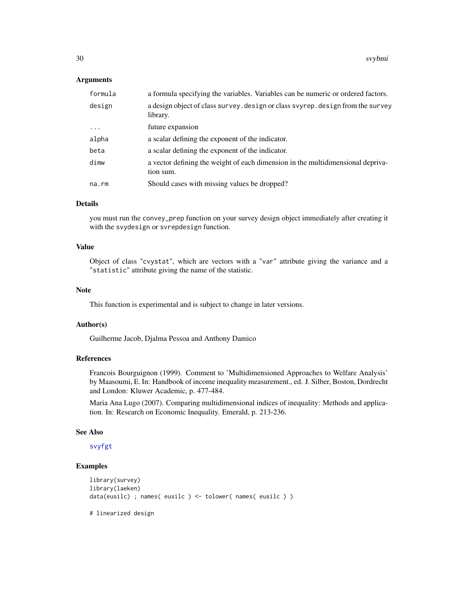#### Arguments

| formula     | a formula specifying the variables. Variables can be numeric or ordered factors.             |
|-------------|----------------------------------------------------------------------------------------------|
| design      | a design object of class survey. design or class svyrep. design from the survey<br>library.  |
| $\ddotsc$   | future expansion                                                                             |
| alpha       | a scalar defining the exponent of the indicator.                                             |
| beta        | a scalar defining the exponent of the indicator.                                             |
| dimw        | a vector defining the weight of each dimension in the multidimensional depriva-<br>tion sum. |
| $na$ . $rm$ | Should cases with missing values be dropped?                                                 |

#### Details

you must run the convey\_prep function on your survey design object immediately after creating it with the svydesign or svrepdesign function.

## Value

Object of class "cvystat", which are vectors with a "var" attribute giving the variance and a "statistic" attribute giving the name of the statistic.

#### **Note**

This function is experimental and is subject to change in later versions.

## Author(s)

Guilherme Jacob, Djalma Pessoa and Anthony Damico

## References

Francois Bourguignon (1999). Comment to 'Multidimensioned Approaches to Welfare Analysis' by Maasoumi, E. In: Handbook of income inequality measurement., ed. J. Silber, Boston, Dordrecht and London: Kluwer Academic, p. 477-484.

Maria Ana Lugo (2007). Comparing multidimensional indices of inequality: Methods and application. In: Research on Economic Inequality. Emerald, p. 213-236.

#### See Also

[svyfgt](#page-34-1)

## Examples

```
library(survey)
library(laeken)
data(eusilc) ; names( eusilc ) <- tolower( names( eusilc ) )
```
# linearized design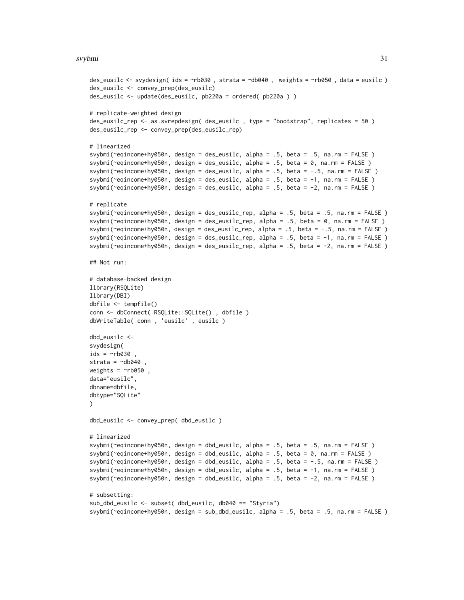#### svybmi 31

```
des_eusilc <- svydesign( ids = ~rb030 , strata = ~db040 , weights = ~rb050 , data = eusilc )
des_eusilc <- convey_prep(des_eusilc)
des_eusilc <- update(des_eusilc, pb220a = ordered( pb220a ) )
# replicate-weighted design
des_eusilc_rep <- as.svrepdesign( des_eusilc , type = "bootstrap", replicates = 50 )
des_eusilc_rep <- convey_prep(des_eusilc_rep)
# linearized
svybmi(~eqincome+hy050n, design = des_eusilc, alpha = .5, beta = .5, na.rm = FALSE )
svybmi(~eqincome+hy050n, design = des_eusilc, alpha = .5, beta = 0, na.rm = FALSE )
svybmi(~eqincome+hy050n, design = des_eusilc, alpha = .5, beta = -.5, na.rm = FALSE )
svybmi(~eqincome+hy050n, design = des_eusilc, alpha = .5, beta = -1, na.rm = FALSE )
svybmi(~eqincome+hy050n, design = des_eusilc, alpha = .5, beta = -2, na.rm = FALSE )
# replicate
svybmi(~eqincome+hy050n, design = des_eusilc_rep, alpha = .5, beta = .5, na.rm = FALSE )
svybmi(~eqincome+hy050n, design = des_eusilc_rep, alpha = .5, beta = 0, na.rm = FALSE )
svybmi(~eqincome+hy050n, design = des_eusilc_rep, alpha = .5, beta = -.5, na.rm = FALSE )
svybmi(~eqincome+hy050n, design = des_eusilc_rep, alpha = .5, beta = -1, na.rm = FALSE )
svybmi(~eqincome+hy050n, design = des_eusilc_rep, alpha = .5, beta = -2, na.rm = FALSE )
## Not run:
# database-backed design
library(RSQLite)
library(DBI)
dbfile <- tempfile()
conn <- dbConnect( RSQLite::SQLite() , dbfile )
dbWriteTable( conn , 'eusilc' , eusilc )
dbd_eusilc <-
svydesign(
ids = \nightharpoonuprb030
strata = \negdb040,
weights = \nightharpoonuprb050,
data="eusilc",
dbname=dbfile,
dbtype="SQLite"
)
dbd_eusilc <- convey_prep( dbd_eusilc )
# linearized
svybmi(~eqincome+hy050n, design = dbd_eusilc, alpha = .5, beta = .5, na.rm = FALSE )
svybmi(~eqincome+hy050n, design = dbd_eusilc, alpha = .5, beta = 0, na.rm = FALSE )
svybmi(~eqincome+hy050n, design = dbd_eusilc, alpha = .5, beta = -.5, na.rm = FALSE )
svybmi(~eqincome+hy050n, design = dbd_eusilc, alpha = .5, beta = -1, na.rm = FALSE )
svybmi(~eqincome+hy050n, design = dbd_eusilc, alpha = .5, beta = -2, na.rm = FALSE )
# subsetting:
sub_dbd_eusilc <- subset( dbd_eusilc, db040 == "Styria")
svybmi(~eqincome+hy050n, design = sub_dbd_eusilc, alpha = .5, beta = .5, na.rm = FALSE )
```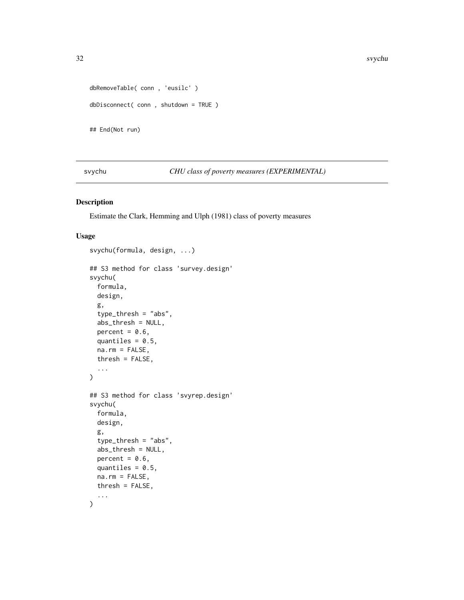```
dbRemoveTable( conn , 'eusilc' )
dbDisconnect( conn , shutdown = TRUE )
## End(Not run)
```
svychu *CHU class of poverty measures (EXPERIMENTAL)*

## Description

Estimate the Clark, Hemming and Ulph (1981) class of poverty measures

```
svychu(formula, design, ...)
## S3 method for class 'survey.design'
svychu(
 formula,
 design,
 g,
  type_thresh = "abs",
 abs_thresh = NULL,
 percent = 0.6,
 quantiles = 0.5,
 na.rm = FALSE,thresh = FALSE,
  ...
\mathcal{L}## S3 method for class 'svyrep.design'
svychu(
  formula,
 design,
 g,
  type_thresh = "abs",
  abs_thresh = NULL,
 percent = 0.6,
 quantiles = 0.5,
 na.rm = FALSE,
 thresh = FALSE,
  ...
)
```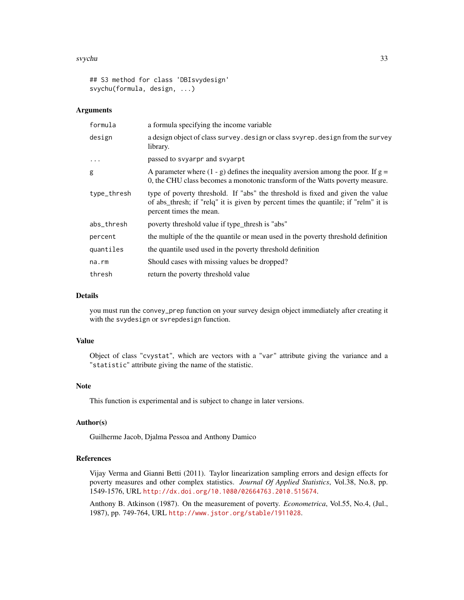#### svychu 33

```
## S3 method for class 'DBIsvydesign'
svychu(formula, design, ...)
```
#### Arguments

| formula     | a formula specifying the income variable                                                                                                                                                         |
|-------------|--------------------------------------------------------------------------------------------------------------------------------------------------------------------------------------------------|
| design      | a design object of class survey. design or class svyrep. design from the survey<br>library.                                                                                                      |
| $\cdots$    | passed to svyarpr and svyarpt                                                                                                                                                                    |
| g           | A parameter where $(1 - g)$ defines the inequality aversion among the poor. If $g =$<br>0, the CHU class becomes a monotonic transform of the Watts poverty measure.                             |
| type_thresh | type of poverty threshold. If "abs" the threshold is fixed and given the value<br>of abs_thresh; if "relq" it is given by percent times the quantile; if "relm" it is<br>percent times the mean. |
| abs_thresh  | poverty threshold value if type_thresh is "abs"                                                                                                                                                  |
| percent     | the multiple of the the quantile or mean used in the poverty threshold definition                                                                                                                |
| quantiles   | the quantile used used in the poverty threshold definition                                                                                                                                       |
| na.rm       | Should cases with missing values be dropped?                                                                                                                                                     |
| thresh      | return the poverty threshold value                                                                                                                                                               |

#### Details

you must run the convey\_prep function on your survey design object immediately after creating it with the svydesign or svrepdesign function.

#### Value

Object of class "cvystat", which are vectors with a "var" attribute giving the variance and a "statistic" attribute giving the name of the statistic.

#### Note

This function is experimental and is subject to change in later versions.

## Author(s)

Guilherme Jacob, Djalma Pessoa and Anthony Damico

### References

Vijay Verma and Gianni Betti (2011). Taylor linearization sampling errors and design effects for poverty measures and other complex statistics. *Journal Of Applied Statistics*, Vol.38, No.8, pp. 1549-1576, URL <http://dx.doi.org/10.1080/02664763.2010.515674>.

Anthony B. Atkinson (1987). On the measurement of poverty. *Econometrica*, Vol.55, No.4, (Jul., 1987), pp. 749-764, URL <http://www.jstor.org/stable/1911028>.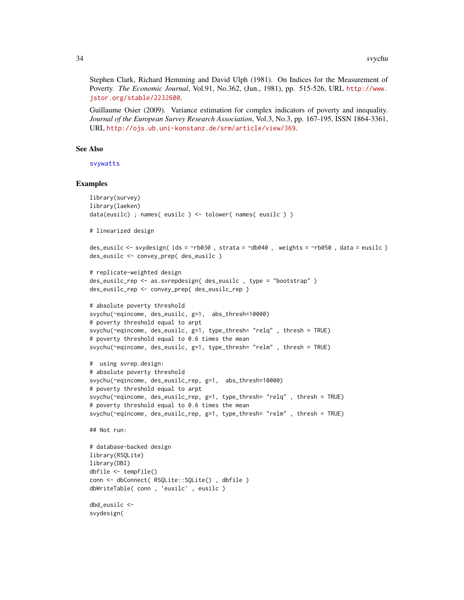Stephen Clark, Richard Hemming and David Ulph (1981). On Indices for the Measurement of Poverty. *The Economic Journal*, Vol.91, No.362, (Jun., 1981), pp. 515-526, URL [http://www.](http://www.jstor.org/stable/2232600) [jstor.org/stable/2232600](http://www.jstor.org/stable/2232600).

Guillaume Osier (2009). Variance estimation for complex indicators of poverty and inequality. *Journal of the European Survey Research Association*, Vol.3, No.3, pp. 167-195, ISSN 1864-3361, URL <http://ojs.ub.uni-konstanz.de/srm/article/view/369>.

### See Also

[svywatts](#page-86-1)

```
library(survey)
library(laeken)
data(eusilc) ; names( eusilc ) <- tolower( names( eusilc ) )
# linearized design
des_eusilc <- svydesign( ids = ~rb030 , strata = ~db040 , weights = ~rb050 , data = eusilc )
des_eusilc <- convey_prep( des_eusilc )
# replicate-weighted design
des_eusilc_rep <- as.svrepdesign( des_eusilc , type = "bootstrap" )
des_eusilc_rep <- convey_prep( des_eusilc_rep )
# absolute poverty threshold
svychu(~eqincome, des_eusilc, g=1, abs_thresh=10000)
# poverty threshold equal to arpt
svychu(~eqincome, des_eusilc, g=1, type_thresh= "relq" , thresh = TRUE)
# poverty threshold equal to 0.6 times the mean
svychu(~eqincome, des_eusilc, g=1, type_thresh= "relm" , thresh = TRUE)
# using svrep.design:
# absolute poverty threshold
svychu(~eqincome, des_eusilc_rep, g=1, abs_thresh=10000)
# poverty threshold equal to arpt
svychu(~eqincome, des_eusilc_rep, g=1, type_thresh= "relq" , thresh = TRUE)
# poverty threshold equal to 0.6 times the mean
svychu(~eqincome, des_eusilc_rep, g=1, type_thresh= "relm" , thresh = TRUE)
## Not run:
# database-backed design
library(RSQLite)
library(DBI)
dbfile <- tempfile()
conn <- dbConnect( RSQLite::SQLite() , dbfile )
dbWriteTable( conn , 'eusilc' , eusilc )
dbd_eusilc <-
svydesign(
```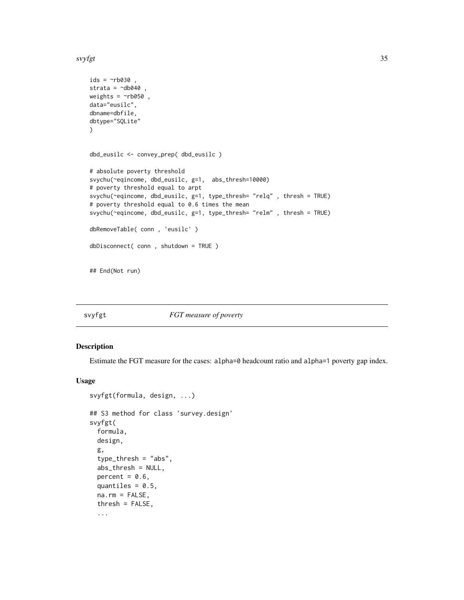<span id="page-34-0"></span>svyfgt 35

```
ids = \sim b030,
strata = \negdb040,
weights = \negrb050,
data="eusilc",
dbname=dbfile,
dbtype="SQLite"
\mathcal{L}dbd_eusilc <- convey_prep( dbd_eusilc )
# absolute poverty threshold
svychu(~eqincome, dbd_eusilc, g=1, abs_thresh=10000)
# poverty threshold equal to arpt
svychu(~eqincome, dbd_eusilc, g=1, type_thresh= "relq" , thresh = TRUE)
# poverty threshold equal to 0.6 times the mean
svychu(~eqincome, dbd_eusilc, g=1, type_thresh= "relm" , thresh = TRUE)
dbRemoveTable( conn , 'eusilc' )
dbDisconnect( conn , shutdown = TRUE )
```
## End(Not run)

<span id="page-34-1"></span>

svyfgt *FGT measure of poverty*

### Description

Estimate the FGT measure for the cases: alpha=0 headcount ratio and alpha=1 poverty gap index.

```
svyfgt(formula, design, ...)
## S3 method for class 'survey.design'
svyfgt(
  formula,
 design,
  g,
  type_thresh = "abs",
  abs_thresh = NULL,
 percent = 0.6,
  quantiles = 0.5,
  na.rm = FALSE,thresh = FALSE,
  ...
```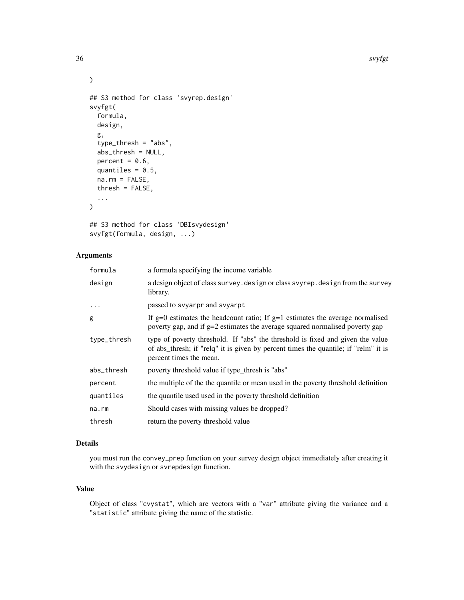```
## S3 method for class 'svyrep.design'
svyfgt(
  formula,
 design,
 g,
  type_thresh = "abs",
  abs_thresh = NULL,
 percent = 0.6,
 quantiles = 0.5,
 na.rm = FALSE,thresh = FALSE,...
)
```

```
## S3 method for class 'DBIsvydesign'
svyfgt(formula, design, ...)
```
## Arguments

| formula     | a formula specifying the income variable                                                                                                                                                         |
|-------------|--------------------------------------------------------------------------------------------------------------------------------------------------------------------------------------------------|
| design      | a design object of class survey. design or class svyrep. design from the survey<br>library.                                                                                                      |
| $\cdots$    | passed to svyarpr and svyarpt                                                                                                                                                                    |
| g           | If g=0 estimates the headcount ratio; If g=1 estimates the average normalised<br>poverty gap, and if g=2 estimates the average squared normalised poverty gap                                    |
| type_thresh | type of poverty threshold. If "abs" the threshold is fixed and given the value<br>of abs_thresh; if "relq" it is given by percent times the quantile; if "relm" it is<br>percent times the mean. |
| abs_thresh  | poverty threshold value if type_thresh is "abs"                                                                                                                                                  |
| percent     | the multiple of the the quantile or mean used in the poverty threshold definition                                                                                                                |
| quantiles   | the quantile used used in the poverty threshold definition                                                                                                                                       |
| na.rm       | Should cases with missing values be dropped?                                                                                                                                                     |
| thresh      | return the poverty threshold value                                                                                                                                                               |
|             |                                                                                                                                                                                                  |

## Details

you must run the convey\_prep function on your survey design object immediately after creating it with the svydesign or svrepdesign function.

## Value

Object of class "cvystat", which are vectors with a "var" attribute giving the variance and a "statistic" attribute giving the name of the statistic.

 $\mathcal{L}$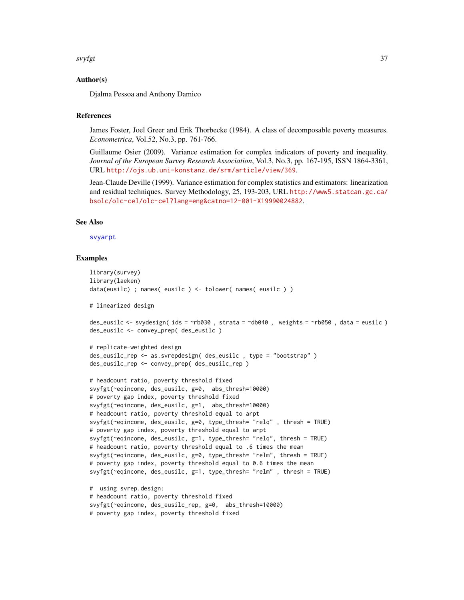#### svyfgt 37

## Author(s)

Djalma Pessoa and Anthony Damico

## References

James Foster, Joel Greer and Erik Thorbecke (1984). A class of decomposable poverty measures. *Econometrica*, Vol.52, No.3, pp. 761-766.

Guillaume Osier (2009). Variance estimation for complex indicators of poverty and inequality. *Journal of the European Survey Research Association*, Vol.3, No.3, pp. 167-195, ISSN 1864-3361, URL <http://ojs.ub.uni-konstanz.de/srm/article/view/369>.

Jean-Claude Deville (1999). Variance estimation for complex statistics and estimators: linearization and residual techniques. Survey Methodology, 25, 193-203, URL [http://www5.statcan.gc.ca/](http://www5.statcan.gc.ca/bsolc/olc-cel/olc-cel?lang=eng&catno=12-001-X19990024882) [bsolc/olc-cel/olc-cel?lang=eng&catno=12-001-X19990024882](http://www5.statcan.gc.ca/bsolc/olc-cel/olc-cel?lang=eng&catno=12-001-X19990024882).

# See Also

## [svyarpt](#page-19-0)

```
library(survey)
library(laeken)
data(eusilc) ; names( eusilc ) <- tolower( names( eusilc ) )
# linearized design
des_eusilc <- svydesign( ids = ~rb030 , strata = ~db040 , weights = ~rb050 , data = eusilc )
des_eusilc <- convey_prep( des_eusilc )
# replicate-weighted design
des_eusilc_rep <- as.svrepdesign( des_eusilc , type = "bootstrap" )
des_eusilc_rep <- convey_prep( des_eusilc_rep )
# headcount ratio, poverty threshold fixed
svyfgt(~eqincome, des_eusilc, g=0, abs_thresh=10000)
# poverty gap index, poverty threshold fixed
svyfgt(~eqincome, des_eusilc, g=1, abs_thresh=10000)
# headcount ratio, poverty threshold equal to arpt
svyfgt(~eqincome, des_eusilc, g=0, type_thresh= "relq" , thresh = TRUE)
# poverty gap index, poverty threshold equal to arpt
svyfgt(~eqincome, des_eusilc, g=1, type_thresh= "relq", thresh = TRUE)
# headcount ratio, poverty threshold equal to .6 times the mean
svyfgt(~eqincome, des_eusilc, g=0, type_thresh= "relm", thresh = TRUE)
# poverty gap index, poverty threshold equal to 0.6 times the mean
svyfgt(~eqincome, des_eusilc, g=1, type_thresh= "relm" , thresh = TRUE)
# using svrep.design:
# headcount ratio, poverty threshold fixed
svyfgt(~eqincome, des_eusilc_rep, g=0, abs_thresh=10000)
```

```
# poverty gap index, poverty threshold fixed
```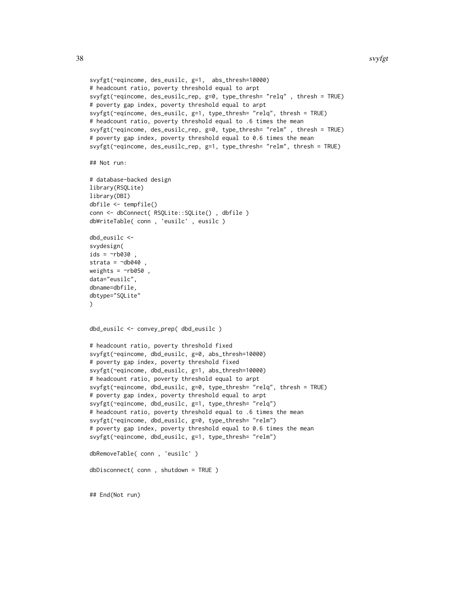```
svyfgt(~eqincome, des_eusilc, g=1, abs_thresh=10000)
# headcount ratio, poverty threshold equal to arpt
svyfgt(~eqincome, des_eusilc_rep, g=0, type_thresh= "relq" , thresh = TRUE)
# poverty gap index, poverty threshold equal to arpt
svyfgt(~eqincome, des_eusilc, g=1, type_thresh= "relq", thresh = TRUE)
# headcount ratio, poverty threshold equal to .6 times the mean
svyfgt(~eqincome, des_eusilc_rep, g=0, type_thresh= "relm" , thresh = TRUE)
# poverty gap index, poverty threshold equal to 0.6 times the mean
svyfgt(~eqincome, des_eusilc_rep, g=1, type_thresh= "relm", thresh = TRUE)
## Not run:
# database-backed design
library(RSQLite)
library(DBI)
dbfile <- tempfile()
conn <- dbConnect( RSQLite::SQLite() , dbfile )
dbWriteTable( conn , 'eusilc' , eusilc )
dbd_eusilc <-
svydesign(
ids = \negrb030,
strata = \negdb040,
weights = \negrb050,
data="eusilc",
dbname=dbfile,
dbtype="SQLite"
)
dbd_eusilc <- convey_prep( dbd_eusilc )
# headcount ratio, poverty threshold fixed
svyfgt(~eqincome, dbd_eusilc, g=0, abs_thresh=10000)
# poverty gap index, poverty threshold fixed
svyfgt(~eqincome, dbd_eusilc, g=1, abs_thresh=10000)
# headcount ratio, poverty threshold equal to arpt
svyfgt(~eqincome, dbd_eusilc, g=0, type_thresh= "relq", thresh = TRUE)
# poverty gap index, poverty threshold equal to arpt
svyfgt(~eqincome, dbd_eusilc, g=1, type_thresh= "relq")
# headcount ratio, poverty threshold equal to .6 times the mean
svyfgt(~eqincome, dbd_eusilc, g=0, type_thresh= "relm")
# poverty gap index, poverty threshold equal to 0.6 times the mean
svyfgt(~eqincome, dbd_eusilc, g=1, type_thresh= "relm")
dbRemoveTable( conn , 'eusilc' )
dbDisconnect( conn , shutdown = TRUE )
## End(Not run)
```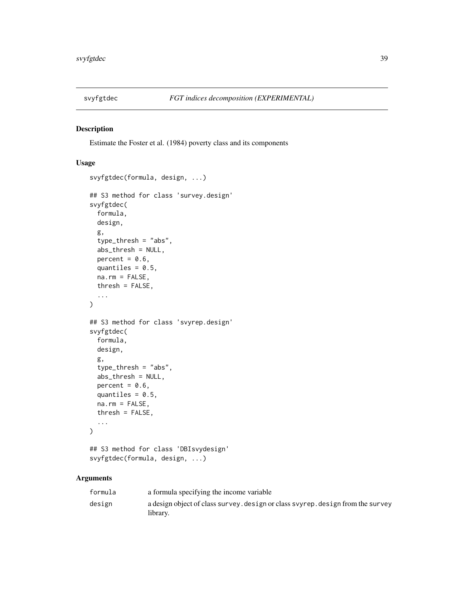# Description

Estimate the Foster et al. (1984) poverty class and its components

# Usage

```
svyfgtdec(formula, design, ...)
## S3 method for class 'survey.design'
svyfgtdec(
 formula,
 design,
 g,
 type_thresh = "abs",
 abs_thresh = NULL,
 percent = 0.6,
 quantiles = 0.5,
 na.rm = FALSE,thresh = FALSE,...
)
## S3 method for class 'svyrep.design'
svyfgtdec(
  formula,
 design,
 g,
  type_thresh = "abs",
 abs_thresh = NULL,
 percent = 0.6,
 quantiles = 0.5,
 na.rm = FALSE,
  thresh = FALSE,...
)
## S3 method for class 'DBIsvydesign'
```
svyfgtdec(formula, design, ...)

## Arguments

| formula | a formula specifying the income variable                                                    |
|---------|---------------------------------------------------------------------------------------------|
| design  | a design object of class survey, design or class syyrep, design from the survey<br>library. |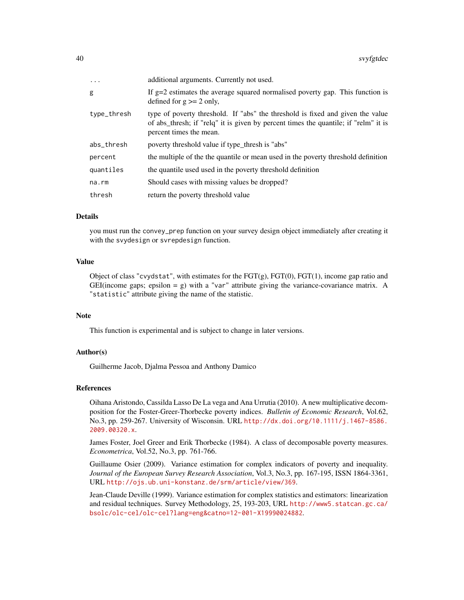| $\ddots$ .  | additional arguments. Currently not used.                                                                                                                                                        |
|-------------|--------------------------------------------------------------------------------------------------------------------------------------------------------------------------------------------------|
| g           | If $g=2$ estimates the average squared normalised poverty gap. This function is<br>defined for $g \ge 2$ only,                                                                                   |
| type_thresh | type of poverty threshold. If "abs" the threshold is fixed and given the value<br>of abs_thresh; if "relq" it is given by percent times the quantile; if "relm" it is<br>percent times the mean. |
| abs_thresh  | poverty threshold value if type_thresh is "abs"                                                                                                                                                  |
| percent     | the multiple of the the quantile or mean used in the poverty threshold definition                                                                                                                |
| quantiles   | the quantile used used in the poverty threshold definition                                                                                                                                       |
| na.rm       | Should cases with missing values be dropped?                                                                                                                                                     |
| thresh      | return the poverty threshold value                                                                                                                                                               |

# Details

you must run the convey\_prep function on your survey design object immediately after creating it with the svydesign or svrepdesign function.

## Value

Object of class "cvydstat", with estimates for the  $\text{FGT(g)}$ ,  $\text{FGT(0)}$ ,  $\text{FGT(1)}$ , income gap ratio and GEI(income gaps; epsilon = g) with a "var" attribute giving the variance-covariance matrix. A "statistic" attribute giving the name of the statistic.

## Note

This function is experimental and is subject to change in later versions.

## Author(s)

Guilherme Jacob, Djalma Pessoa and Anthony Damico

#### References

Oihana Aristondo, Cassilda Lasso De La vega and Ana Urrutia (2010). A new multiplicative decomposition for the Foster-Greer-Thorbecke poverty indices. *Bulletin of Economic Research*, Vol.62, No.3, pp. 259-267. University of Wisconsin. URL [http://dx.doi.org/10.1111/j.1467-8586.](http://dx.doi.org/10.1111/j.1467-8586.2009.00320.x) [2009.00320.x](http://dx.doi.org/10.1111/j.1467-8586.2009.00320.x).

James Foster, Joel Greer and Erik Thorbecke (1984). A class of decomposable poverty measures. *Econometrica*, Vol.52, No.3, pp. 761-766.

Guillaume Osier (2009). Variance estimation for complex indicators of poverty and inequality. *Journal of the European Survey Research Association*, Vol.3, No.3, pp. 167-195, ISSN 1864-3361, URL <http://ojs.ub.uni-konstanz.de/srm/article/view/369>.

Jean-Claude Deville (1999). Variance estimation for complex statistics and estimators: linearization and residual techniques. Survey Methodology, 25, 193-203, URL [http://www5.statcan.gc.ca/](http://www5.statcan.gc.ca/bsolc/olc-cel/olc-cel?lang=eng&catno=12-001-X19990024882) [bsolc/olc-cel/olc-cel?lang=eng&catno=12-001-X19990024882](http://www5.statcan.gc.ca/bsolc/olc-cel/olc-cel?lang=eng&catno=12-001-X19990024882).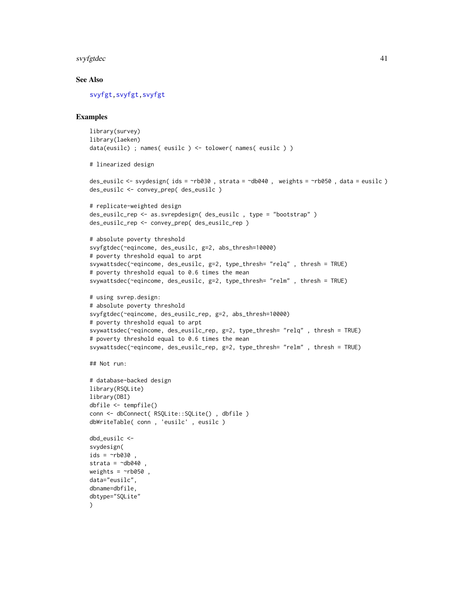#### svyfgtdec 41

# See Also

[svyfgt,svyfgt,svyfgt](#page-34-0)

```
library(survey)
library(laeken)
data(eusilc) ; names( eusilc ) <- tolower( names( eusilc ) )
# linearized design
des_eusilc <- svydesign( ids = ~rb030 , strata = ~db040 , weights = ~rb050 , data = eusilc )
des_eusilc <- convey_prep( des_eusilc )
# replicate-weighted design
des_eusilc_rep <- as.svrepdesign( des_eusilc , type = "bootstrap" )
des_eusilc_rep <- convey_prep( des_eusilc_rep )
# absolute poverty threshold
svyfgtdec(~eqincome, des_eusilc, g=2, abs_thresh=10000)
# poverty threshold equal to arpt
svywattsdec(~eqincome, des_eusilc, g=2, type_thresh= "relq" , thresh = TRUE)
# poverty threshold equal to 0.6 times the mean
svywattsdec(~eqincome, des_eusilc, g=2, type_thresh= "relm" , thresh = TRUE)
# using svrep.design:
# absolute poverty threshold
svyfgtdec(~eqincome, des_eusilc_rep, g=2, abs_thresh=10000)
# poverty threshold equal to arpt
svywattsdec(~eqincome, des_eusilc_rep, g=2, type_thresh= "relq" , thresh = TRUE)
# poverty threshold equal to 0.6 times the mean
svywattsdec(~eqincome, des_eusilc_rep, g=2, type_thresh= "relm" , thresh = TRUE)
## Not run:
# database-backed design
library(RSQLite)
library(DBI)
dbfile <- tempfile()
conn <- dbConnect( RSQLite::SQLite() , dbfile )
dbWriteTable( conn , 'eusilc' , eusilc )
dbd_eusilc <-
svydesign(
ids = \sim b030strata = \simdb040
weights = \nightharpoonuprb050,
data="eusilc",
dbname=dbfile,
dbtype="SQLite"
\lambda
```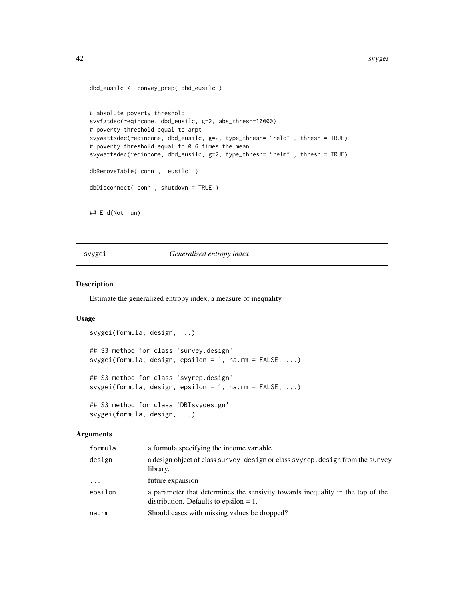```
dbd_eusilc <- convey_prep( dbd_eusilc )
# absolute poverty threshold
svyfgtdec(~eqincome, dbd_eusilc, g=2, abs_thresh=10000)
# poverty threshold equal to arpt
svywattsdec(~eqincome, dbd_eusilc, g=2, type_thresh= "relq" , thresh = TRUE)
# poverty threshold equal to 0.6 times the mean
svywattsdec(~eqincome, dbd_eusilc, g=2, type_thresh= "relm" , thresh = TRUE)
dbRemoveTable( conn , 'eusilc' )
dbDisconnect( conn , shutdown = TRUE )
## End(Not run)
```
<span id="page-41-0"></span>svygei *Generalized entropy index*

## Description

Estimate the generalized entropy index, a measure of inequality

# Usage

```
svygei(formula, design, ...)
## S3 method for class 'survey.design'
svygei(formula, design, epsilon = 1, na.rm = FALSE, ...)
## S3 method for class 'svyrep.design'
svygei(formula, design, epsilon = 1, na.rm = FALSE, ...)
## S3 method for class 'DBIsvydesign'
svygei(formula, design, ...)
```
## Arguments

| formula  | a formula specifying the income variable                                                                                    |
|----------|-----------------------------------------------------------------------------------------------------------------------------|
| design   | a design object of class survey. design or class svyrep. design from the survey<br>library.                                 |
| $\cdots$ | future expansion                                                                                                            |
| epsilon  | a parameter that determines the sensivity towards inequality in the top of the<br>distribution. Defaults to epsilon $= 1$ . |
| na.rm    | Should cases with missing values be dropped?                                                                                |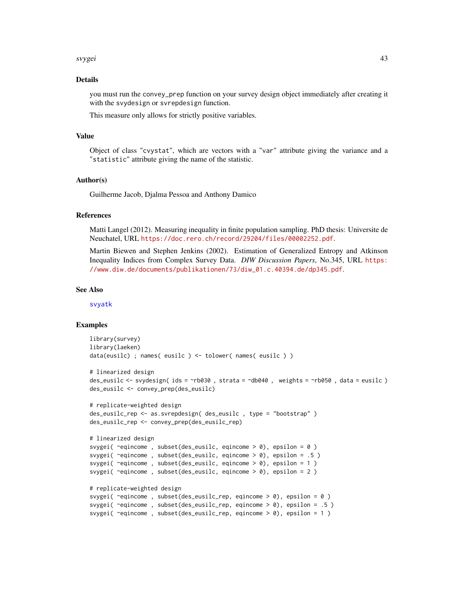#### svygei 43

### Details

you must run the convey\_prep function on your survey design object immediately after creating it with the svydesign or svrepdesign function.

This measure only allows for strictly positive variables.

### Value

Object of class "cvystat", which are vectors with a "var" attribute giving the variance and a "statistic" attribute giving the name of the statistic.

## Author(s)

Guilherme Jacob, Djalma Pessoa and Anthony Damico

## References

Matti Langel (2012). Measuring inequality in finite population sampling. PhD thesis: Universite de Neuchatel, URL <https://doc.rero.ch/record/29204/files/00002252.pdf>.

Martin Biewen and Stephen Jenkins (2002). Estimation of Generalized Entropy and Atkinson Inequality Indices from Complex Survey Data. *DIW Discussion Papers*, No.345, URL [https:](https://www.diw.de/documents/publikationen/73/diw_01.c.40394.de/dp345.pdf) [//www.diw.de/documents/publikationen/73/diw\\_01.c.40394.de/dp345.pdf](https://www.diw.de/documents/publikationen/73/diw_01.c.40394.de/dp345.pdf).

#### See Also

[svyatk](#page-21-0)

```
library(survey)
library(laeken)
data(eusilc) ; names( eusilc ) <- tolower( names( eusilc ) )
# linearized design
des_eusilc <- svydesign( ids = ~rb030 , strata = ~db040 , weights = ~rb050 , data = eusilc )
des_eusilc <- convey_prep(des_eusilc)
# replicate-weighted design
des_eusilc_rep <- as.svrepdesign( des_eusilc , type = "bootstrap" )
des_eusilc_rep <- convey_prep(des_eusilc_rep)
# linearized design
svygei( ~eqincome, subset(des_eusilc, eqincome > 0), epsilon = 0)
svygei( ~eqincome , subset(des_eusilc, eqincome > 0), epsilon = .5 )
svygei( ~eqincome , subset(des_eusilc, eqincome > 0), epsilon = 1 )
svygei( ~eqincome , subset(des_eusilc, eqincome > 0), epsilon = 2 )
# replicate-weighted design
svygei( ~eqincome , subset(des_eusilc_rep, eqincome > 0), epsilon = 0 )
svygei( ~eqincome , subset(des_eusilc_rep, eqincome > 0), epsilon = .5 )
svygei( ~eqincome , subset(des_eusilc_rep, eqincome > 0), epsilon = 1 )
```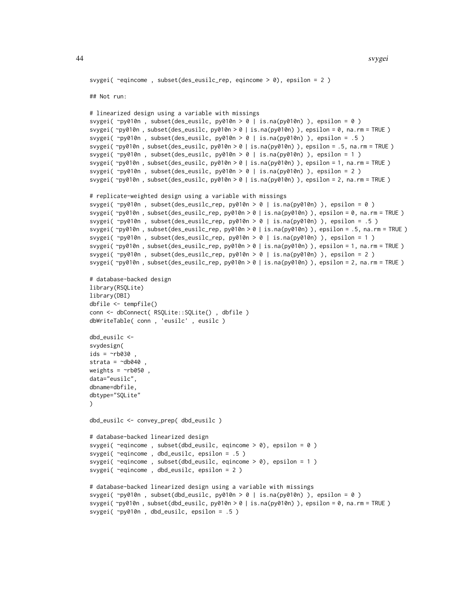```
svygei( ~eqincome , subset(des_eusilc_rep, eqincome > 0), epsilon = 2 )
## Not run:
# linearized design using a variable with missings
svygei( ~py010n , subset(des_eusilc, py010n > 0 | is.na(py010n) ), epsilon = 0 )
svygei( ~py010n , subset(des_eusilc, py010n > 0 | is.na(py010n) ), epsilon = 0, na.rm = TRUE )
svygei( ~py010n , subset(des_eusilc, py010n > 0 | is.na(py010n) ), epsilon = .5 )
svygei( ~py010n , subset(des_eusilc, py010n > 0 | is.na(py010n) ), epsilon = .5, na.rm = TRUE )
svygei( ~py010n , subset(des_eusilc, py010n > 0 | is.na(py010n) ), epsilon = 1 )
svygei( ~py010n , subset(des_eusilc, py010n > 0 | is.na(py010n) ), epsilon = 1, na.rm = TRUE )
svygei( ~py010n , subset(des_eusilc, py010n > 0 | is.na(py010n) ), epsilon = 2 )
svygei( ~py010n , subset(des_eusilc, py010n > 0 | is.na(py010n) ), epsilon = 2, na.rm = TRUE )
# replicate-weighted design using a variable with missings
svygei( ~py010n , subset(des_eusilc_rep, py010n > 0 | is.na(py010n) ), epsilon = 0 )
svygei( ~py010n , subset(des_eusilc_rep, py010n > 0 | is.na(py010n) ), epsilon = 0, na.rm = TRUE )
svygei( ~py010n , subset(des_eusilc_rep, py010n > 0 | is.na(py010n) ), epsilon = .5 )
svygei( ~py010n , subset(des_eusilc_rep, py010n > 0 | is.na(py010n) ), epsilon = .5, na.rm = TRUE )
svygei( ~py010n , subset(des_eusilc_rep, py010n > 0 | is.na(py010n) ), epsilon = 1 )
svygei( ~py010n , subset(des_eusilc_rep, py010n > 0 | is.na(py010n) ), epsilon = 1, na.rm = TRUE )
svygei( ~py010n , subset(des_eusilc_rep, py010n > 0 | is.na(py010n) ), epsilon = 2 )
svygei( ~py010n , subset(des_eusilc_rep, py010n > 0 | is.na(py010n) ), epsilon = 2, na.rm = TRUE )
# database-backed design
library(RSQLite)
library(DBI)
dbfile <- tempfile()
conn <- dbConnect( RSQLite::SQLite() , dbfile )
dbWriteTable( conn , 'eusilc' , eusilc )
dbd_eusilc <-
svydesign(
ids = \nightharpoonuprb030
strata = \negdb040,
weights = \nightharpoonuprb050,
data="eusilc",
dbname=dbfile,
dbtype="SQLite"
)
dbd_eusilc <- convey_prep( dbd_eusilc )
# database-backed linearized design
svygei( ~eqincome , subset(dbd_eusilc, eqincome > 0), epsilon = 0 )
svygei( ~eqincome , dbd_eusilc, epsilon = .5 )
svygei( ~eqincome , subset(dbd_eusilc, eqincome > 0), epsilon = 1 )
svygei( ~eqincome , dbd_eusilc, epsilon = 2 )
# database-backed linearized design using a variable with missings
svygei( ~py010n , subset(dbd_eusilc, py010n > 0 | is.na(py010n) ), epsilon = 0 )
svygei( ~py010n , subset(dbd_eusilc, py010n > 0 | is.na(py010n) ), epsilon = 0, na.rm = TRUE )
```

```
svygei( ~py010n , dbd_eusilc, epsilon = .5 )
```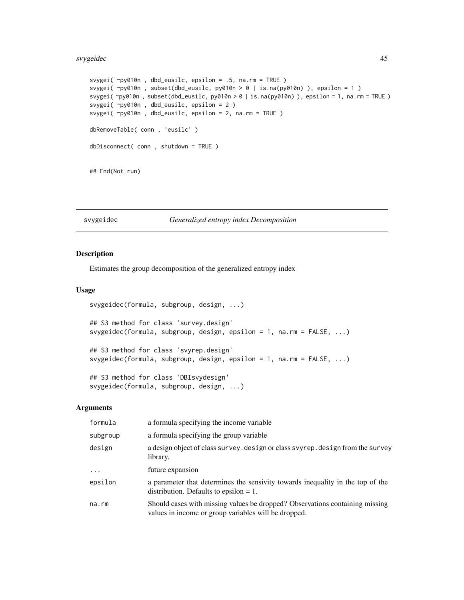#### svygeidec the contract of the contract of the contract of the contract of the contract of the contract of the contract of the contract of the contract of the contract of the contract of the contract of the contract of the

```
svygei( ~py010n , dbd_eusilc, epsilon = .5, na.rm = TRUE )
svygei( ~py010n , subset(dbd_eusilc, py010n > 0 | is.na(py010n) ), epsilon = 1 )
svygei( ~py010n , subset(dbd_eusilc, py010n > 0 | is.na(py010n) ), epsilon = 1, na.rm = TRUE )
svygei( ~py010n , dbd_eusilc, epsilon = 2 )
svygei( ~py010n , dbd_eusilc, epsilon = 2, na.rm = TRUE )
dbRemoveTable( conn , 'eusilc' )
dbDisconnect( conn , shutdown = TRUE )
## End(Not run)
```
### svygeidec *Generalized entropy index Decomposition*

## **Description**

Estimates the group decomposition of the generalized entropy index

svygeidec(formula, subgroup, design, ...)

### Usage

```
svygeidec(formula, subgroup, design, ...)
## S3 method for class 'survey.design'
svygeidec(formula, subgroup, design, epsilon = 1, na.rm = FALSE, ...)
## S3 method for class 'svyrep.design'
svygeidec(formula, subgroup, design, epsilon = 1, na.rm = FALSE, ...)
## S3 method for class 'DBIsvydesign'
```
## Arguments

| formula     | a formula specifying the income variable                                                                                             |
|-------------|--------------------------------------------------------------------------------------------------------------------------------------|
| subgroup    | a formula specifying the group variable                                                                                              |
| design      | a design object of class survey. design or class svyrep. design from the survey<br>library.                                          |
| $\ddots$ .  | future expansion                                                                                                                     |
| epsilon     | a parameter that determines the sensivity towards inequality in the top of the<br>distribution. Defaults to epsilon $= 1$ .          |
| $na$ . $rm$ | Should cases with missing values be dropped? Observations containing missing<br>values in income or group variables will be dropped. |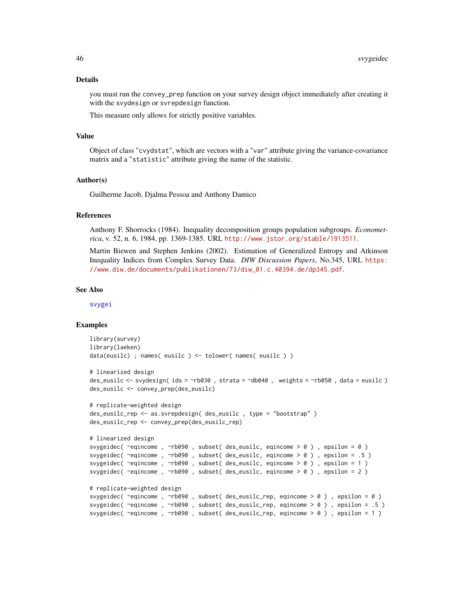#### Details

you must run the convey\_prep function on your survey design object immediately after creating it with the svydesign or svrepdesign function.

This measure only allows for strictly positive variables.

### Value

Object of class "cvydstat", which are vectors with a "var" attribute giving the variance-covariance matrix and a "statistic" attribute giving the name of the statistic.

## Author(s)

Guilherme Jacob, Djalma Pessoa and Anthony Damico

## References

Anthony F. Shorrocks (1984). Inequality decomposition groups population subgroups. *Econometrica*, v. 52, n. 6, 1984, pp. 1369-1385. URL <http://www.jstor.org/stable/1913511>.

Martin Biewen and Stephen Jenkins (2002). Estimation of Generalized Entropy and Atkinson Inequality Indices from Complex Survey Data. *DIW Discussion Papers*, No.345, URL [https:](https://www.diw.de/documents/publikationen/73/diw_01.c.40394.de/dp345.pdf) [//www.diw.de/documents/publikationen/73/diw\\_01.c.40394.de/dp345.pdf](https://www.diw.de/documents/publikationen/73/diw_01.c.40394.de/dp345.pdf).

#### See Also

[svygei](#page-41-0)

```
library(survey)
library(laeken)
data(eusilc) ; names( eusilc ) <- tolower( names( eusilc ) )
# linearized design
des_eusilc <- svydesign( ids = ~rb030 , strata = ~db040 , weights = ~rb050 , data = eusilc )
des_eusilc <- convey_prep(des_eusilc)
# replicate-weighted design
des_eusilc_rep <- as.svrepdesign( des_eusilc , type = "bootstrap" )
des_eusilc_rep <- convey_prep(des_eusilc_rep)
# linearized design
svygeidec( ~eqincome , ~rb090 , subset( des_eusilc, eqincome > 0 ) , epsilon = 0 )
svygeidec( ~eqincome , ~rb090 , subset( des_eusilc, eqincome > 0 ) , epsilon = .5 )
svygeidec( ~eqincome , ~rb090 , subset( des_eusilc, eqincome > 0 ) , epsilon = 1 )
svygeidec( ~eqincome , ~rb090 , subset( des_eusilc, eqincome > 0 ) , epsilon = 2 )
# replicate-weighted design
svygeidec( ~eqincome , ~rb090 , subset( des_eusilc_rep, eqincome > 0 ) , epsilon = 0 )
svygeidec( ~eqincome , ~rb090 , subset( des_eusilc_rep, eqincome > 0 ) , epsilon = .5 )
svygeidec( ~eqincome , ~rb090 , subset( des_eusilc_rep, eqincome > 0 ) , epsilon = 1 )
```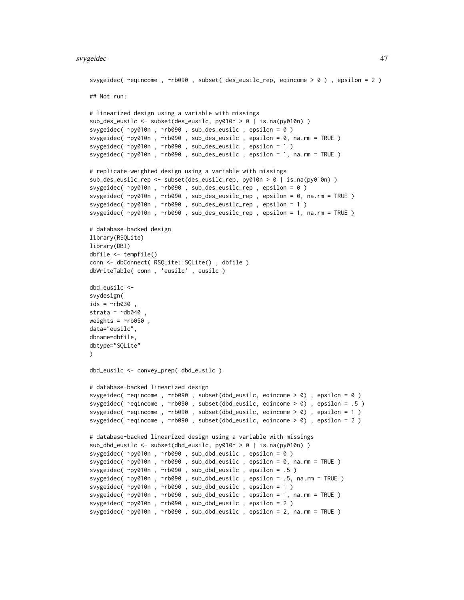```
svygeidec( ~eqincome , ~rb090 , subset( des_eusilc_rep, eqincome > 0 ) , epsilon = 2 )
## Not run:
# linearized design using a variable with missings
sub_des_eusilc <- subset(des_eusilc, py010n > 0 | is.na(py010n) )
svygeidec( ~py010n , ~rb090 , sub_des_eusilc , epsilon = 0 )
svygeidec( ~py010n , ~rb090 , sub_des_eusilc , epsilon = 0, na.rm = TRUE )
svygeidec( ~py010n , ~rb090 , sub_des_eusilc , epsilon = 1 )
svygeidec( ~py010n , ~rb090 , sub_des_eusilc , epsilon = 1, na.rm = TRUE )
# replicate-weighted design using a variable with missings
sub_des_eusilc_rep <- subset(des_eusilc_rep, py010n > 0 | is.na(py010n) )
svygeidec( ~py010n , ~rb090 , sub_des_eusilc_rep , epsilon = 0 )
svygeidec( ~py010n , ~rb090 , sub_des_eusilc_rep , epsilon = 0, na.rm = TRUE )
svygeidec( ~py010n , ~rb090 , sub_des_eusilc_rep , epsilon = 1 )
svygeidec( ~py010n , ~rb090 , sub_des_eusilc_rep , epsilon = 1, na.rm = TRUE )
# database-backed design
library(RSQLite)
library(DBI)
dbfile <- tempfile()
conn <- dbConnect( RSQLite::SQLite() , dbfile )
dbWriteTable( conn , 'eusilc' , eusilc )
dbd_eusilc <-
svydesign(
ids = \neg rb030 ,
strata = \negdb040
weights = \nightharpoonuprb050,
data="eusilc",
dbname=dbfile,
dbtype="SQLite"
\mathcal{L}dbd_eusilc <- convey_prep( dbd_eusilc )
# database-backed linearized design
svygeidec( ~eqincome , ~rb090 , subset(dbd_eusilc, eqincome > 0) , epsilon = 0 )
svygeidec( ~eqincome , ~rb090 , subset(dbd_eusilc, eqincome > 0) , epsilon = .5 )
svygeidec( ~eqincome , ~rb090 , subset(dbd_eusilc, eqincome > 0) , epsilon = 1 )
svygeidec( ~eqincome , ~rb090 , subset(dbd_eusilc, eqincome > 0) , epsilon = 2 )
# database-backed linearized design using a variable with missings
sub_dbd_eusilc <- subset(dbd_eusilc, py010n > 0 | is.na(py010n) )
svygeidec( ~py010n , ~rb090 , sub_dbd_eusilc , epsilon = 0 )
svygeidec( ~py010n , ~rb090 , sub_dbd_eusilc , epsilon = 0, na.rm = TRUE )
svygeidec( ~py010n , ~rb090 , sub_dbd_eusilc , epsilon = .5 )
svygeidec( ~py010n , ~rb090 , sub_dbd_eusilc , epsilon = .5, na.rm = TRUE )
svygeidec( ~py010n , ~rb090 , sub_dbd_eusilc , epsilon = 1 )
svygeidec( ~py010n , ~rb090 , sub_dbd_eusilc , epsilon = 1, na.rm = TRUE )
svygeidec( ~py010n , ~rb090 , sub_dbd_eusilc , epsilon = 2 )
svygeidec( ~py010n , ~rb090 , sub_dbd_eusilc , epsilon = 2, na.rm = TRUE )
```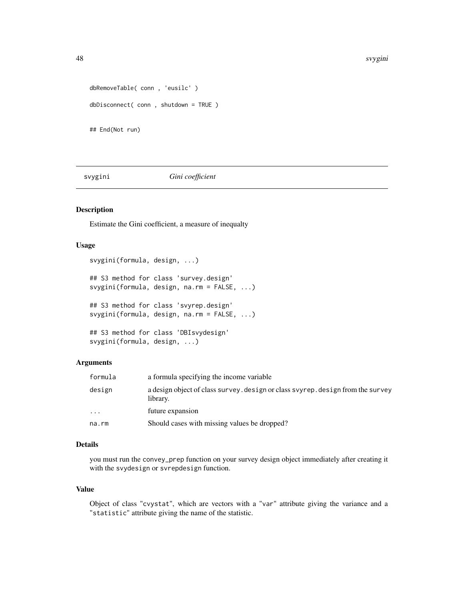```
dbRemoveTable( conn , 'eusilc' )
dbDisconnect( conn , shutdown = TRUE )
## End(Not run)
```
svygini *Gini coefficient*

#### Description

Estimate the Gini coefficient, a measure of inequalty

# Usage

```
svygini(formula, design, ...)
## S3 method for class 'survey.design'
svygini(formula, design, na.rm = FALSE, ...)
## S3 method for class 'svyrep.design'
svygini(formula, design, na.rm = FALSE, ...)
## S3 method for class 'DBIsvydesign'
svygini(formula, design, ...)
```
# Arguments

| formula  | a formula specifying the income variable                                                    |
|----------|---------------------------------------------------------------------------------------------|
| design   | a design object of class survey, design or class svyrep, design from the survey<br>library. |
| $\ddots$ | future expansion                                                                            |
| na.rm    | Should cases with missing values be dropped?                                                |

# Details

you must run the convey\_prep function on your survey design object immediately after creating it with the svydesign or svrepdesign function.

## Value

Object of class "cvystat", which are vectors with a "var" attribute giving the variance and a "statistic" attribute giving the name of the statistic.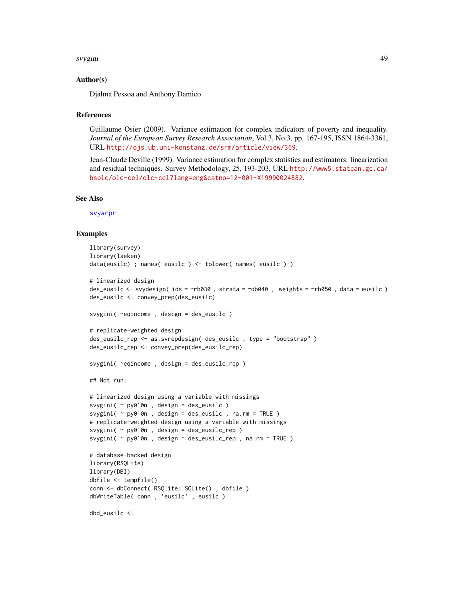#### svygini 49

## Author(s)

Djalma Pessoa and Anthony Damico

#### **References**

Guillaume Osier (2009). Variance estimation for complex indicators of poverty and inequality. *Journal of the European Survey Research Association*, Vol.3, No.3, pp. 167-195, ISSN 1864-3361, URL <http://ojs.ub.uni-konstanz.de/srm/article/view/369>.

Jean-Claude Deville (1999). Variance estimation for complex statistics and estimators: linearization and residual techniques. Survey Methodology, 25, 193-203, URL [http://www5.statcan.gc.ca/](http://www5.statcan.gc.ca/bsolc/olc-cel/olc-cel?lang=eng&catno=12-001-X19990024882) [bsolc/olc-cel/olc-cel?lang=eng&catno=12-001-X19990024882](http://www5.statcan.gc.ca/bsolc/olc-cel/olc-cel?lang=eng&catno=12-001-X19990024882).

### See Also

[svyarpr](#page-17-0)

```
library(survey)
library(laeken)
data(eusilc) ; names( eusilc ) <- tolower( names( eusilc ) )
# linearized design
des_eusilc \le svydesign( ids = \simrb030, strata = \simdb040, weights = \simrb050, data = eusilc)
des_eusilc <- convey_prep(des_eusilc)
svygini( ~eqincome , design = des_eusilc )
# replicate-weighted design
des_eusilc_rep <- as.svrepdesign( des_eusilc , type = "bootstrap" )
des_eusilc_rep <- convey_prep(des_eusilc_rep)
svygini( ~eqincome , design = des_eusilc_rep )
## Not run:
# linearized design using a variable with missings
svygini( ~ py010n , design = des_eusilc )
svygini( \sim py010n, design = des_eusilc, na.rm = TRUE )
# replicate-weighted design using a variable with missings
svygini( ~ py010n , design = des_eusilc_rep )
svygini( ~ py010n , design = des_eusilc_rep , na.rm = TRUE )
# database-backed design
library(RSQLite)
library(DBI)
dbfile <- tempfile()
conn <- dbConnect( RSQLite::SQLite() , dbfile )
dbWriteTable( conn , 'eusilc' , eusilc )
dbd_eusilc <-
```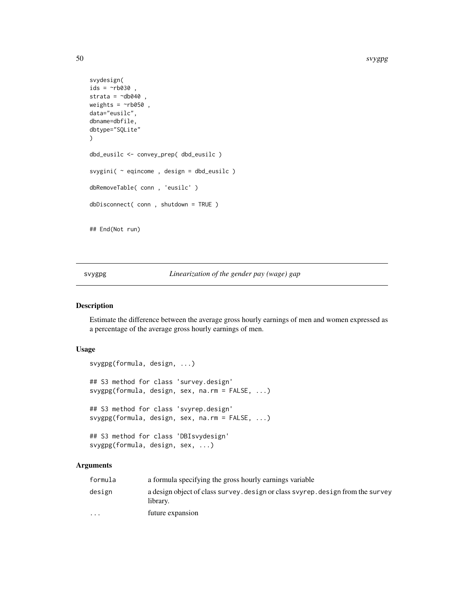```
svydesign(
ids = \simnb030,
strata = \simdb040,
weights = \negrb050,
data="eusilc",
dbname=dbfile,
dbtype="SQLite"
\mathcal{L}dbd_eusilc <- convey_prep( dbd_eusilc )
svygini( ~ eqincome , design = dbd_eusilc )
dbRemoveTable( conn , 'eusilc' )
dbDisconnect( conn , shutdown = TRUE )
## End(Not run)
```
svygpg *Linearization of the gender pay (wage) gap*

#### Description

Estimate the difference between the average gross hourly earnings of men and women expressed as a percentage of the average gross hourly earnings of men.

# Usage

```
svygpg(formula, design, ...)
## S3 method for class 'survey.design'
svygpg(formula, design, sex, na.rm = FALSE, ...)
## S3 method for class 'svyrep.design'
svygpg(formula, design, sex, na.rm = FALSE, ...)
## S3 method for class 'DBIsvydesign'
svygpg(formula, design, sex, ...)
```
# Arguments

| formula                 | a formula specifying the gross hourly earnings variable                                     |
|-------------------------|---------------------------------------------------------------------------------------------|
| design                  | a design object of class survey, design or class svyrep, design from the survey<br>library. |
| $\cdot$ $\cdot$ $\cdot$ | future expansion                                                                            |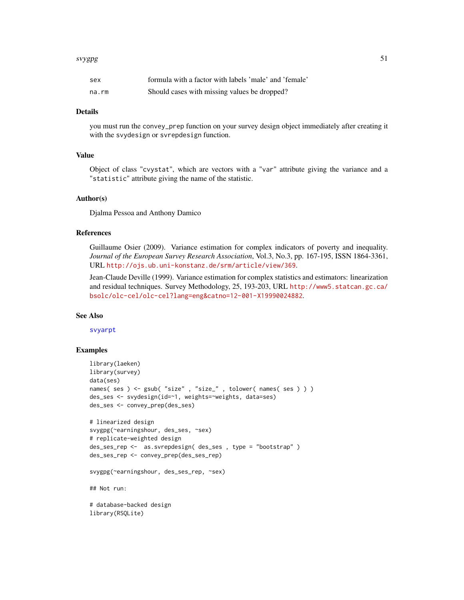#### svygpg 51

| sex   | formula with a factor with labels 'male' and 'female' |
|-------|-------------------------------------------------------|
| na.rm | Should cases with missing values be dropped?          |

#### Details

you must run the convey\_prep function on your survey design object immediately after creating it with the svydesign or svrepdesign function.

#### Value

Object of class "cvystat", which are vectors with a "var" attribute giving the variance and a "statistic" attribute giving the name of the statistic.

# Author(s)

Djalma Pessoa and Anthony Damico

# References

Guillaume Osier (2009). Variance estimation for complex indicators of poverty and inequality. *Journal of the European Survey Research Association*, Vol.3, No.3, pp. 167-195, ISSN 1864-3361, URL <http://ojs.ub.uni-konstanz.de/srm/article/view/369>.

Jean-Claude Deville (1999). Variance estimation for complex statistics and estimators: linearization and residual techniques. Survey Methodology, 25, 193-203, URL [http://www5.statcan.gc.ca/](http://www5.statcan.gc.ca/bsolc/olc-cel/olc-cel?lang=eng&catno=12-001-X19990024882) [bsolc/olc-cel/olc-cel?lang=eng&catno=12-001-X19990024882](http://www5.statcan.gc.ca/bsolc/olc-cel/olc-cel?lang=eng&catno=12-001-X19990024882).

#### See Also

[svyarpt](#page-19-0)

```
library(laeken)
library(survey)
data(ses)
names( ses ) <- gsub( "size", "size_", tolower( names( ses ) ) )
des_ses <- svydesign(id=~1, weights=~weights, data=ses)
des_ses <- convey_prep(des_ses)
# linearized design
svygpg(~earningshour, des_ses, ~sex)
# replicate-weighted design
des_ses_rep <- as.svrepdesign( des_ses , type = "bootstrap" )
des_ses_rep <- convey_prep(des_ses_rep)
svygpg(~earningshour, des_ses_rep, ~sex)
## Not run:
# database-backed design
library(RSQLite)
```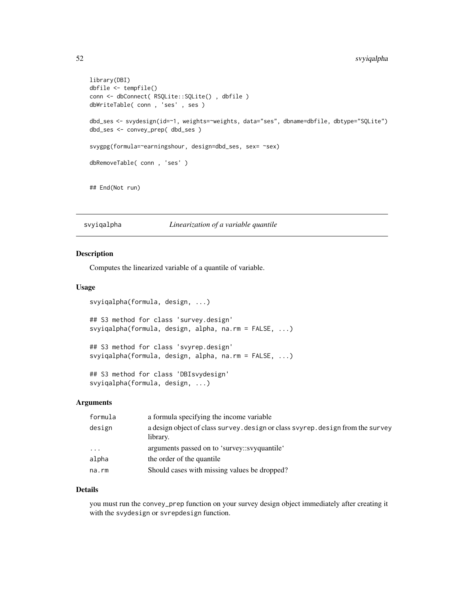```
library(DBI)
dbfile <- tempfile()
conn <- dbConnect( RSQLite::SQLite() , dbfile )
dbWriteTable( conn , 'ses' , ses )
dbd_ses <- svydesign(id=~1, weights=~weights, data="ses", dbname=dbfile, dbtype="SQLite")
dbd_ses <- convey_prep( dbd_ses )
svygpg(formula=~earningshour, design=dbd_ses, sex= ~sex)
dbRemoveTable( conn , 'ses' )
## End(Not run)
```
svyiqalpha *Linearization of a variable quantile*

### Description

Computes the linearized variable of a quantile of variable.

svyiqalpha(formula, design, ...)

### Usage

```
svyiqalpha(formula, design, ...)
## S3 method for class 'survey.design'
svyiqalpha(formula, design, alpha, na.rm = FALSE, ...)
## S3 method for class 'svyrep.design'
svyiqalpha(formula, design, alpha, na.rm = FALSE, ...)
## S3 method for class 'DBIsvydesign'
```
# Arguments

| formula                 | a formula specifying the income variable                                                    |
|-------------------------|---------------------------------------------------------------------------------------------|
| design                  | a design object of class survey. design or class svyrep. design from the survey<br>library. |
| $\cdot$ $\cdot$ $\cdot$ | arguments passed on to 'survey::svyquantile'                                                |
| alpha                   | the order of the quantile                                                                   |
| na.rm                   | Should cases with missing values be dropped?                                                |

#### Details

you must run the convey\_prep function on your survey design object immediately after creating it with the svydesign or svrepdesign function.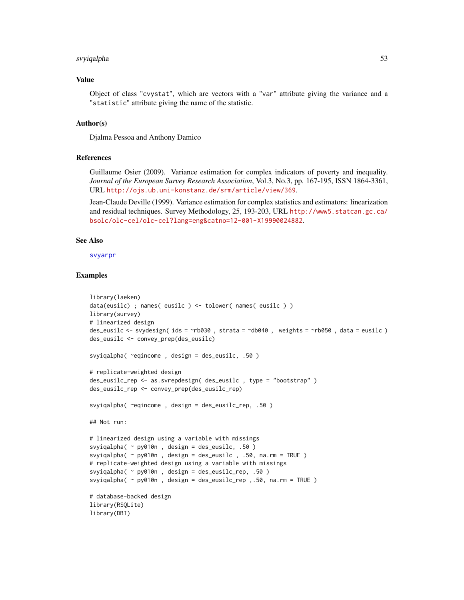# svyiqalpha 53

# Value

Object of class "cvystat", which are vectors with a "var" attribute giving the variance and a "statistic" attribute giving the name of the statistic.

#### Author(s)

Djalma Pessoa and Anthony Damico

## References

Guillaume Osier (2009). Variance estimation for complex indicators of poverty and inequality. *Journal of the European Survey Research Association*, Vol.3, No.3, pp. 167-195, ISSN 1864-3361, URL <http://ojs.ub.uni-konstanz.de/srm/article/view/369>.

Jean-Claude Deville (1999). Variance estimation for complex statistics and estimators: linearization and residual techniques. Survey Methodology, 25, 193-203, URL [http://www5.statcan.gc.ca/](http://www5.statcan.gc.ca/bsolc/olc-cel/olc-cel?lang=eng&catno=12-001-X19990024882) [bsolc/olc-cel/olc-cel?lang=eng&catno=12-001-X19990024882](http://www5.statcan.gc.ca/bsolc/olc-cel/olc-cel?lang=eng&catno=12-001-X19990024882).

### See Also

[svyarpr](#page-17-0)

```
library(laeken)
data(eusilc) ; names( eusilc ) <- tolower( names( eusilc ) )
library(survey)
# linearized design
des_eusilc <- svydesign( ids = ~rb030 , strata = ~db040 , weights = ~rb050 , data = eusilc )
des_eusilc <- convey_prep(des_eusilc)
svyiqalpha( ~eqincome , design = des_eusilc, .50 )
# replicate-weighted design
des_eusilc_rep <- as.svrepdesign( des_eusilc , type = "bootstrap" )
des_eusilc_rep <- convey_prep(des_eusilc_rep)
svyiqalpha( ~eqincome , design = des_eusilc_rep, .50 )
## Not run:
# linearized design using a variable with missings
svyiqalpha( ~ py010n , design = des_eusilc, .50 )
svyiqalpha( ~ py010n , design = des_eusilc , .50, na.rm = TRUE )
# replicate-weighted design using a variable with missings
svyiqalpha( ~ py010n , design = des_eusilc_rep, .50 )
svyiqalpha( ~ py010n , design = des_eusilc_rep ,.50, na.rm = TRUE )
# database-backed design
library(RSQLite)
library(DBI)
```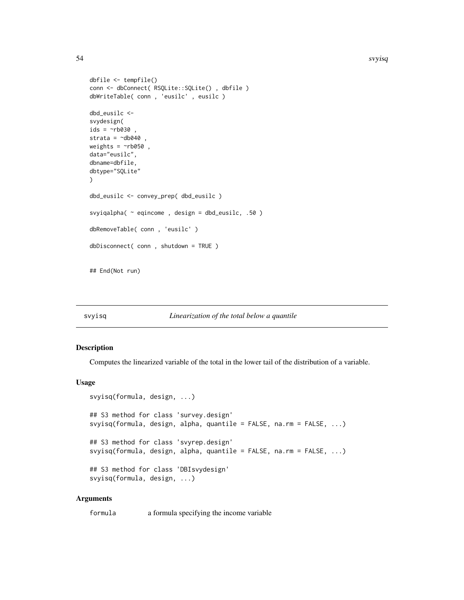#### 54 svyisq

```
dbfile <- tempfile()
conn <- dbConnect( RSQLite::SQLite() , dbfile )
dbWriteTable( conn , 'eusilc' , eusilc )
dbd_eusilc <-
svydesign(
ids = \sim b030,
strata = \negdb040,
weights = \nightharpoonuprb050,
data="eusilc",
dbname=dbfile,
dbtype="SQLite"
)
dbd_eusilc <- convey_prep( dbd_eusilc )
svyiqalpha( ~ eqincome , design = dbd_eusilc, .50 )
dbRemoveTable( conn , 'eusilc' )
dbDisconnect( conn , shutdown = TRUE )
## End(Not run)
```
#### svyisq *Linearization of the total below a quantile*

#### Description

Computes the linearized variable of the total in the lower tail of the distribution of a variable.

#### Usage

```
svyisq(formula, design, ...)
## S3 method for class 'survey.design'
svyisq(formula, design, alpha, quantile = FALSE, na.rm = FALSE, ...)
## S3 method for class 'svyrep.design'
svyisq(formula, design, alpha, quantile = FALSE, na.rm = FALSE, ...)
## S3 method for class 'DBIsvydesign'
svyisq(formula, design, ...)
```
# Arguments

formula a formula specifying the income variable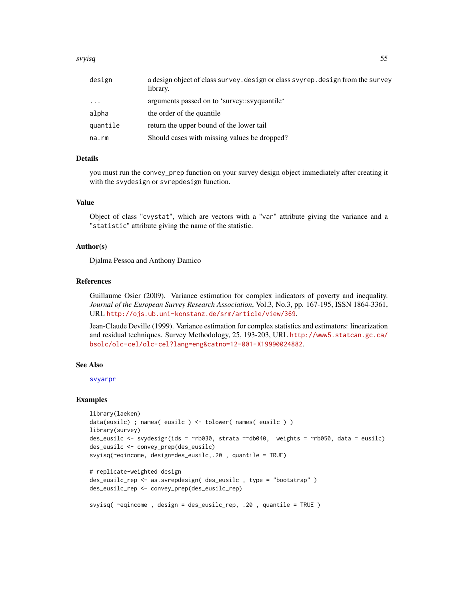#### svyisq 55

| design   | a design object of class survey. design or class svyrep. design from the survey<br>library. |
|----------|---------------------------------------------------------------------------------------------|
| $\cdots$ | arguments passed on to 'survey::svyquantile'                                                |
| alpha    | the order of the quantile                                                                   |
| quantile | return the upper bound of the lower tail                                                    |
| na.rm    | Should cases with missing values be dropped?                                                |

# Details

you must run the convey\_prep function on your survey design object immediately after creating it with the svydesign or svrepdesign function.

## Value

Object of class "cvystat", which are vectors with a "var" attribute giving the variance and a "statistic" attribute giving the name of the statistic.

# Author(s)

Djalma Pessoa and Anthony Damico

# References

Guillaume Osier (2009). Variance estimation for complex indicators of poverty and inequality. *Journal of the European Survey Research Association*, Vol.3, No.3, pp. 167-195, ISSN 1864-3361, URL <http://ojs.ub.uni-konstanz.de/srm/article/view/369>.

Jean-Claude Deville (1999). Variance estimation for complex statistics and estimators: linearization and residual techniques. Survey Methodology, 25, 193-203, URL [http://www5.statcan.gc.ca/](http://www5.statcan.gc.ca/bsolc/olc-cel/olc-cel?lang=eng&catno=12-001-X19990024882) [bsolc/olc-cel/olc-cel?lang=eng&catno=12-001-X19990024882](http://www5.statcan.gc.ca/bsolc/olc-cel/olc-cel?lang=eng&catno=12-001-X19990024882).

### See Also

[svyarpr](#page-17-0)

#### Examples

```
library(laeken)
data(eusilc) ; names( eusilc ) <- tolower( names( eusilc ) )
library(survey)
des_eusilc <- svydesign(ids = ~rb030, strata =~db040, weights = ~rb050, data = eusilc)
des_eusilc <- convey_prep(des_eusilc)
svyisq(~eqincome, design=des_eusilc,.20 , quantile = TRUE)
# replicate-weighted design
```

```
des_eusilc_rep <- as.svrepdesign( des_eusilc , type = "bootstrap" )
des_eusilc_rep <- convey_prep(des_eusilc_rep)
```
svyisq( ~eqincome , design = des\_eusilc\_rep, .20 , quantile = TRUE )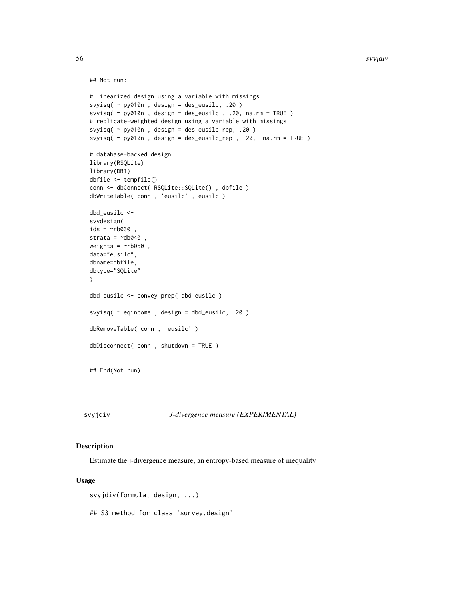```
## Not run:
```

```
# linearized design using a variable with missings
svyisq( ~ py010n , design = des_eusilc, .20 )
svyisq( \sim py010n, design = des_eusilc, .20, na.rm = TRUE )
# replicate-weighted design using a variable with missings
svyisq( ~ py010n , design = des_eusilc_rep, .20 )
svyisq( ~ py010n , design = des_eusilc_rep , .20, na.rm = TRUE )
# database-backed design
library(RSQLite)
library(DBI)
dbfile <- tempfile()
conn <- dbConnect( RSQLite::SQLite() , dbfile )
dbWriteTable( conn , 'eusilc' , eusilc )
dbd_eusilc <-
svydesign(
ids = \nightharpoonuprb030 ,
strata = \negdb040
weights = ~\simrb050,
data="eusilc",
dbname=dbfile,
dbtype="SQLite"
)
dbd_eusilc <- convey_prep( dbd_eusilc )
svyisq( ~ eqincome , design = dbd_eusilc, .20 )
dbRemoveTable( conn , 'eusilc' )
dbDisconnect( conn , shutdown = TRUE )
## End(Not run)
```
<span id="page-55-0"></span>svyjdiv *J-divergence measure (EXPERIMENTAL)*

# Description

Estimate the j-divergence measure, an entropy-based measure of inequality

## Usage

```
svyjdiv(formula, design, ...)
## S3 method for class 'survey.design'
```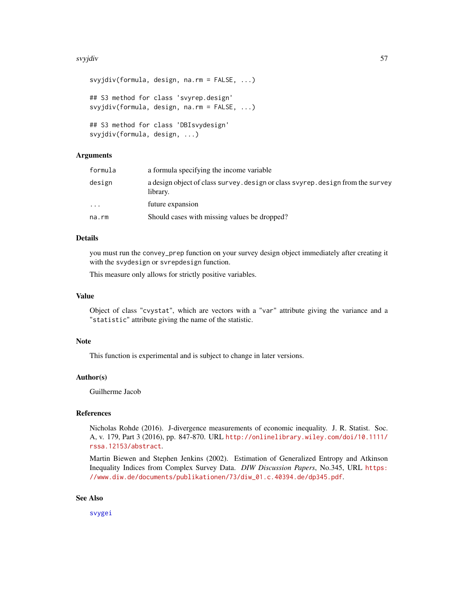#### svyjdiv 57 stoletju i 1999. godine 1999. godine 1999. godine 1999. godine 1999. godine 1999. godine 1999. godine 19

```
svyjdiv(formula, design, na.rm = FALSE, ...)
## S3 method for class 'svyrep.design'
svyjdiv(formula, design, na.rm = FALSE, ...)
## S3 method for class 'DBIsvydesign'
svyjdiv(formula, design, ...)
```
## Arguments

| a design object of class survey, design or class svyrep, design from the survey<br>design<br>library. |  |
|-------------------------------------------------------------------------------------------------------|--|
| future expansion<br>$\ddotsc$                                                                         |  |
| Should cases with missing values be dropped?<br>na.rm                                                 |  |

# Details

you must run the convey\_prep function on your survey design object immediately after creating it with the svydesign or svrepdesign function.

This measure only allows for strictly positive variables.

## Value

Object of class "cvystat", which are vectors with a "var" attribute giving the variance and a "statistic" attribute giving the name of the statistic.

# Note

This function is experimental and is subject to change in later versions.

## Author(s)

Guilherme Jacob

### References

Nicholas Rohde (2016). J-divergence measurements of economic inequality. J. R. Statist. Soc. A, v. 179, Part 3 (2016), pp. 847-870. URL [http://onlinelibrary.wiley.com/doi/10.1111/](http://onlinelibrary.wiley.com/doi/10.1111/rssa.12153/abstract) [rssa.12153/abstract](http://onlinelibrary.wiley.com/doi/10.1111/rssa.12153/abstract).

Martin Biewen and Stephen Jenkins (2002). Estimation of Generalized Entropy and Atkinson Inequality Indices from Complex Survey Data. *DIW Discussion Papers*, No.345, URL [https:](https://www.diw.de/documents/publikationen/73/diw_01.c.40394.de/dp345.pdf) [//www.diw.de/documents/publikationen/73/diw\\_01.c.40394.de/dp345.pdf](https://www.diw.de/documents/publikationen/73/diw_01.c.40394.de/dp345.pdf).

#### See Also

[svygei](#page-41-0)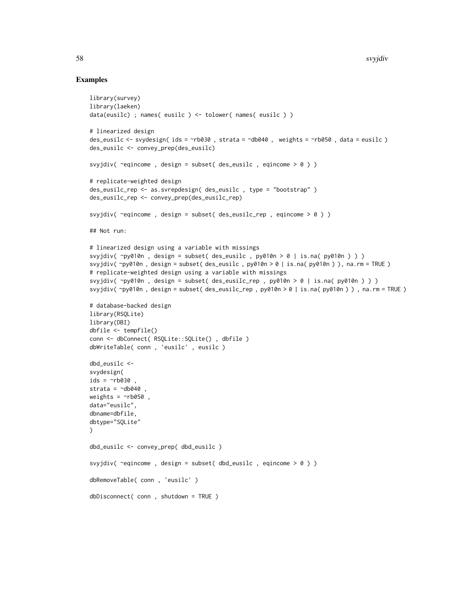```
library(survey)
library(laeken)
data(eusilc) ; names( eusilc ) <- tolower( names( eusilc ) )
# linearized design
des_eusilc <- svydesign( ids = ~rb030 , strata = ~db040 , weights = ~rb050 , data = eusilc )
des_eusilc <- convey_prep(des_eusilc)
svyjdiv( \epsiloneqincome, design = subset( des_eusilc, eqincome > 0 ) )
# replicate-weighted design
des_eusilc_rep <- as.svrepdesign( des_eusilc , type = "bootstrap" )
des_eusilc_rep <- convey_prep(des_eusilc_rep)
svyjdiv( ~eqincome , design = subset( des_eusilc_rep , eqincome > 0 ) )
## Not run:
# linearized design using a variable with missings
svyjdiv( ~py010n , design = subset( des_eusilc , py010n > 0 | is.na( py010n ) ) )
svyjdiv( ~py010n , design = subset( des_eusilc , py010n > 0 | is.na( py010n ) ), na.rm = TRUE )
# replicate-weighted design using a variable with missings
svyjdiv( ~py010n , design = subset( des_eusilc_rep , py010n > 0 | is.na( py010n ) ) )
svyjdiv( ~py010n , design = subset( des_eusilc_rep , py010n > 0 | is.na( py010n ) ) , na.rm = TRUE )
# database-backed design
library(RSQLite)
library(DBI)
dbfile <- tempfile()
conn <- dbConnect( RSQLite::SQLite() , dbfile )
dbWriteTable( conn , 'eusilc' , eusilc )
dbd_eusilc <-
svydesign(
ids = \sim b030strata = \simdb040
weights = \negrb050,
data="eusilc",
dbname=dbfile,
dbtype="SQLite"
\lambdadbd_eusilc <- convey_prep( dbd_eusilc )
svyjdiv( ~eqincome , design = subset( dbd_eusilc , eqincome > 0 ) )
dbRemoveTable( conn , 'eusilc' )
dbDisconnect( conn , shutdown = TRUE )
```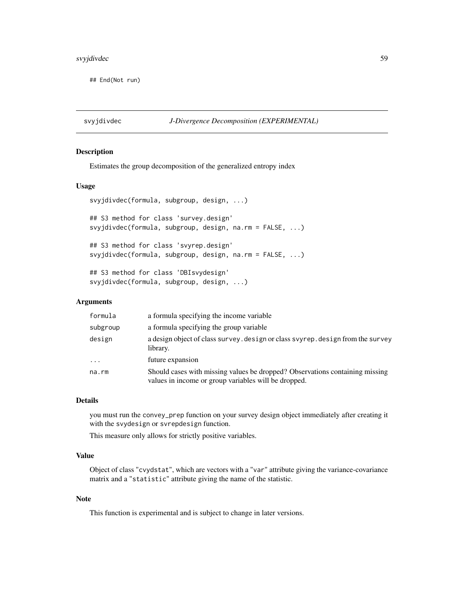# svyjdivdec 59

## End(Not run)

svyjdivdec *J-Divergence Decomposition (EXPERIMENTAL)*

# Description

Estimates the group decomposition of the generalized entropy index

# Usage

```
svyjdivdec(formula, subgroup, design, ...)
## S3 method for class 'survey.design'
svyjdivdec(formula, subgroup, design, na.rm = FALSE, ...)
## S3 method for class 'svyrep.design'
svyjdivdec(formula, subgroup, design, na.rm = FALSE, ...)
## S3 method for class 'DBIsvydesign'
svyjdivdec(formula, subgroup, design, ...)
```
# Arguments

| formula  | a formula specifying the income variable                                                                                             |
|----------|--------------------------------------------------------------------------------------------------------------------------------------|
| subgroup | a formula specifying the group variable                                                                                              |
| design   | a design object of class survey. design or class svyrep. design from the survey<br>library.                                          |
| $\ddots$ | future expansion                                                                                                                     |
| na.rm    | Should cases with missing values be dropped? Observations containing missing<br>values in income or group variables will be dropped. |

## Details

you must run the convey\_prep function on your survey design object immediately after creating it with the svydesign or svrepdesign function.

This measure only allows for strictly positive variables.

# Value

Object of class "cvydstat", which are vectors with a "var" attribute giving the variance-covariance matrix and a "statistic" attribute giving the name of the statistic.

### Note

This function is experimental and is subject to change in later versions.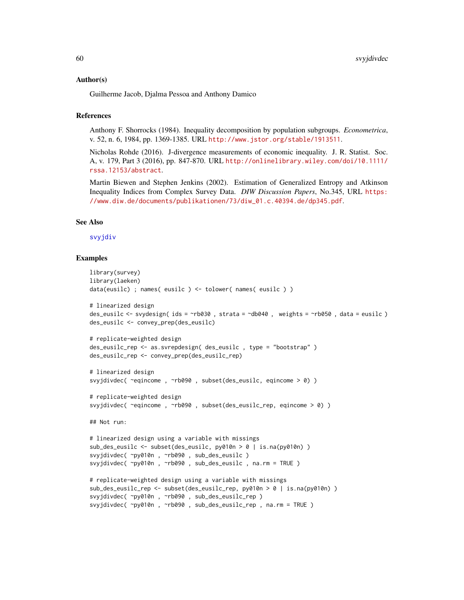#### Author(s)

Guilherme Jacob, Djalma Pessoa and Anthony Damico

### References

Anthony F. Shorrocks (1984). Inequality decomposition by population subgroups. *Econometrica*, v. 52, n. 6, 1984, pp. 1369-1385. URL <http://www.jstor.org/stable/1913511>.

Nicholas Rohde (2016). J-divergence measurements of economic inequality. J. R. Statist. Soc. A, v. 179, Part 3 (2016), pp. 847-870. URL [http://onlinelibrary.wiley.com/doi/10.1111/](http://onlinelibrary.wiley.com/doi/10.1111/rssa.12153/abstract) [rssa.12153/abstract](http://onlinelibrary.wiley.com/doi/10.1111/rssa.12153/abstract).

Martin Biewen and Stephen Jenkins (2002). Estimation of Generalized Entropy and Atkinson Inequality Indices from Complex Survey Data. *DIW Discussion Papers*, No.345, URL [https:](https://www.diw.de/documents/publikationen/73/diw_01.c.40394.de/dp345.pdf) [//www.diw.de/documents/publikationen/73/diw\\_01.c.40394.de/dp345.pdf](https://www.diw.de/documents/publikationen/73/diw_01.c.40394.de/dp345.pdf).

# See Also

## [svyjdiv](#page-55-0)

```
library(survey)
library(laeken)
data(eusilc) ; names( eusilc ) <- tolower( names( eusilc ) )
# linearized design
des_eusilc <- svydesign( ids = ~rb030 , strata = ~db040 , weights = ~rb050 , data = eusilc )
des_eusilc <- convey_prep(des_eusilc)
# replicate-weighted design
des_eusilc_rep <- as.svrepdesign( des_eusilc , type = "bootstrap" )
des_eusilc_rep <- convey_prep(des_eusilc_rep)
# linearized design
svyjdivdec( ~eqincome , ~rb090 , subset(des_eusilc, eqincome > 0) )
# replicate-weighted design
svyjdivdec( ~eqincome , ~rb090 , subset(des_eusilc_rep, eqincome > 0) )
## Not run:
# linearized design using a variable with missings
sub_des_eusilc <- subset(des_eusilc, py010n > 0 | is.na(py010n) )
svyjdivdec( ~py010n , ~rb090 , sub_des_eusilc )
svyjdivdec( ~py010n , ~rb090 , sub_des_eusilc , na.rm = TRUE )
# replicate-weighted design using a variable with missings
sub_des_eusilc_rep <- subset(des_eusilc_rep, py010n > 0 | is.na(py010n) )
svyjdivdec( ~py010n , ~rb090 , sub_des_eusilc_rep )
svyjdivdec( ~py010n , ~rb090 , sub_des_eusilc_rep , na.rm = TRUE )
```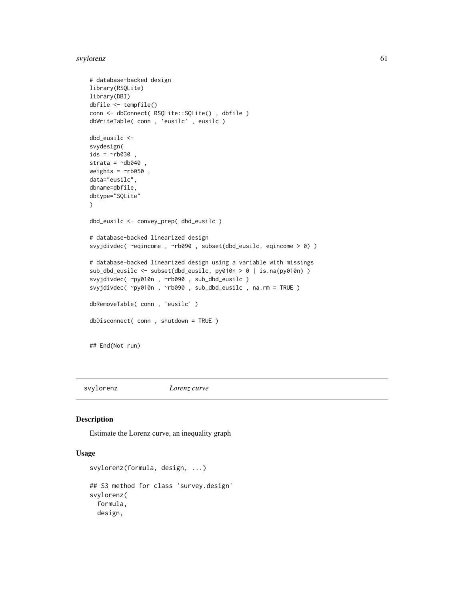svylorenz 61

```
# database-backed design
library(RSQLite)
library(DBI)
dbfile <- tempfile()
conn <- dbConnect( RSQLite::SQLite() , dbfile )
dbWriteTable( conn , 'eusilc' , eusilc )
dbd_eusilc <-
svydesign(
ids = \simrb030,
strata = \negdb040
weights = \negrb050,
data="eusilc",
dbname=dbfile,
dbtype="SQLite"
)
dbd_eusilc <- convey_prep( dbd_eusilc )
# database-backed linearized design
svyjdivdec( ~eqincome , ~rb090 , subset(dbd_eusilc, eqincome > 0) )
# database-backed linearized design using a variable with missings
sub_dbd_eusilc <- subset(dbd_eusilc, py010n > 0 | is.na(py010n) )
svyjdivdec( ~py010n , ~rb090 , sub_dbd_eusilc )
svyjdivdec( ~py010n , ~rb090 , sub_dbd_eusilc , na.rm = TRUE )
dbRemoveTable( conn , 'eusilc' )
dbDisconnect( conn , shutdown = TRUE )
## End(Not run)
```
svylorenz *Lorenz curve*

#### Description

Estimate the Lorenz curve, an inequality graph

# Usage

```
svylorenz(formula, design, ...)
## S3 method for class 'survey.design'
svylorenz(
  formula,
  design,
```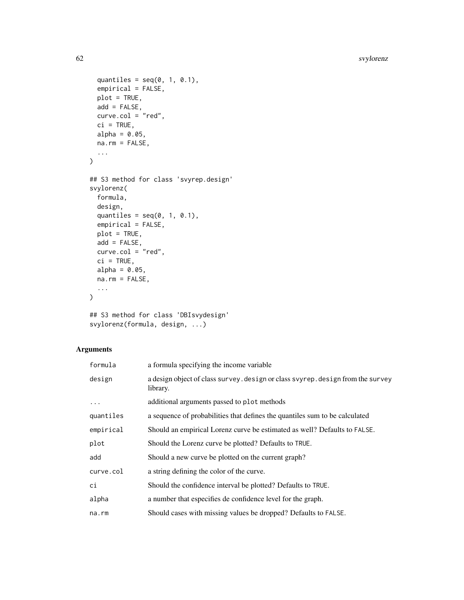```
quantiles = seq(0, 1, 0.1),
  empirical = FALSE,
 plot = TRUE,
 add = FALSE,
  curve.col = "red",ci = TRUE,alpha = 0.05,
 na.rm = FALSE,
  ...
\mathcal{L}## S3 method for class 'svyrep.design'
svylorenz(
 formula,
 design,
  quantiles = seq(0, 1, 0.1),
  empirical = FALSE,
 plot = TRUE,
 add = FALSE,curve.col = "red",ci = TRUE,alpha = 0.05,
 na.rm = FALSE,
  ...
\mathcal{L}
```

```
## S3 method for class 'DBIsvydesign'
svylorenz(formula, design, ...)
```
# Arguments

| formula   | a formula specifying the income variable                                                    |
|-----------|---------------------------------------------------------------------------------------------|
| design    | a design object of class survey. design or class svyrep. design from the survey<br>library. |
| $\ddots$  | additional arguments passed to plot methods                                                 |
| quantiles | a sequence of probabilities that defines the quantiles sum to be calculated                 |
| empirical | Should an empirical Lorenz curve be estimated as well? Defaults to FALSE.                   |
| plot      | Should the Lorenz curve be plotted? Defaults to TRUE.                                       |
| add       | Should a new curve be plotted on the current graph?                                         |
| curve.col | a string defining the color of the curve.                                                   |
| сi        | Should the confidence interval be plotted? Defaults to TRUE.                                |
| alpha     | a number that especifies de confidence level for the graph.                                 |
| na.rm     | Should cases with missing values be dropped? Defaults to FALSE.                             |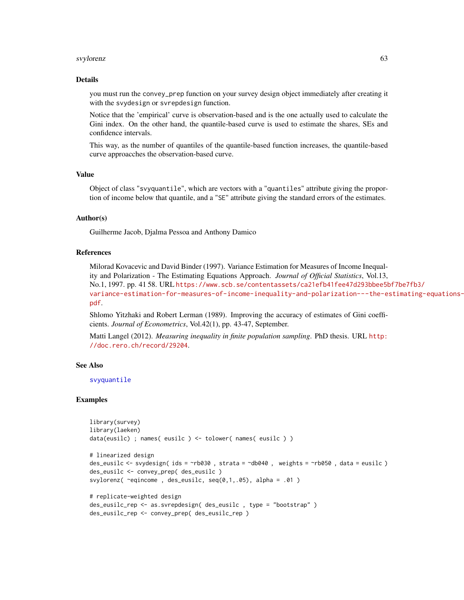#### svylorenz 63

#### Details

you must run the convey\_prep function on your survey design object immediately after creating it with the svydesign or svrepdesign function.

Notice that the 'empirical' curve is observation-based and is the one actually used to calculate the Gini index. On the other hand, the quantile-based curve is used to estimate the shares, SEs and confidence intervals.

This way, as the number of quantiles of the quantile-based function increases, the quantile-based curve approacches the observation-based curve.

# Value

Object of class "svyquantile", which are vectors with a "quantiles" attribute giving the proportion of income below that quantile, and a "SE" attribute giving the standard errors of the estimates.

# Author(s)

Guilherme Jacob, Djalma Pessoa and Anthony Damico

### References

Milorad Kovacevic and David Binder (1997). Variance Estimation for Measures of Income Inequality and Polarization - The Estimating Equations Approach. *Journal of Official Statistics*, Vol.13, No.1, 1997. pp. 41 58. URL [https://www.scb.se/contentassets/ca21efb41fee47d293bbee5b](https://www.scb.se/contentassets/ca21efb41fee47d293bbee5bf7be7fb3/variance-estimation-for-measures-of-income-inequality-and-polarization---the-estimating-equations-approach.pdf)f7be7fb3/ [variance-estimation-for-measures-of-income-inequality-and-polarization---the-es](https://www.scb.se/contentassets/ca21efb41fee47d293bbee5bf7be7fb3/variance-estimation-for-measures-of-income-inequality-and-polarization---the-estimating-equations-approach.pdf)timating-equations[pdf](https://www.scb.se/contentassets/ca21efb41fee47d293bbee5bf7be7fb3/variance-estimation-for-measures-of-income-inequality-and-polarization---the-estimating-equations-approach.pdf).

Shlomo Yitzhaki and Robert Lerman (1989). Improving the accuracy of estimates of Gini coefficients. *Journal of Econometrics*, Vol.42(1), pp. 43-47, September.

Matti Langel (2012). *Measuring inequality in finite population sampling*. PhD thesis. URL [http:](http://doc.rero.ch/record/29204) [//doc.rero.ch/record/29204](http://doc.rero.ch/record/29204).

## See Also

[svyquantile](#page-0-0)

```
library(survey)
library(laeken)
data(eusilc) ; names( eusilc ) <- tolower( names( eusilc ) )
# linearized design
des_eusilc <- svydesign( ids = ~rb030 , strata = ~db040 , weights = ~rb050 , data = eusilc )
des_eusilc <- convey_prep( des_eusilc )
svylorenz( ~eqincome , des_eusilc, seq(0,1,.05), alpha = .01 )
# replicate-weighted design
des_eusilc_rep <- as.svrepdesign( des_eusilc , type = "bootstrap" )
```

```
des_eusilc_rep <- convey_prep( des_eusilc_rep )
```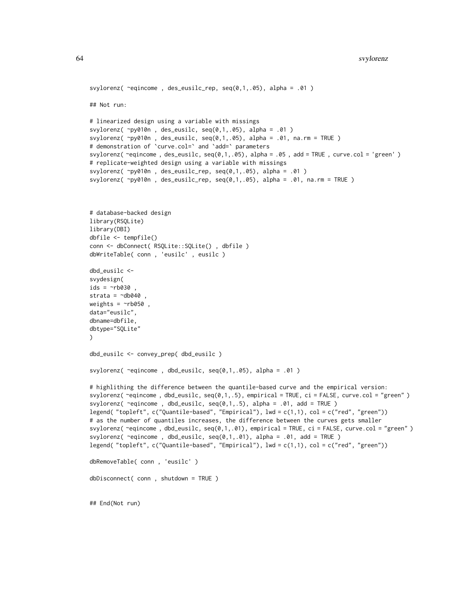```
svylorenz(\text{`equicome}, des_eusilc_rep, \text{seq}(0,1,.05), alpha = .01)
## Not run:
# linearized design using a variable with missings
svylorenz(\negpy010n, des_eusilc, seq(0,1,.05), alpha = .01)
svylorenz( ~py010n , des_eusilc, seq(0,1,.05), alpha = .01, na.rm = TRUE )
# demonstration of `curve.col=` and `add=` parameters
svylorenz( ~eqincome , des_eusilc, seq(0,1,.05), alpha = .05 , add = TRUE , curve.col = 'green' )
# replicate-weighted design using a variable with missings
svylorenz( ~py010n , des_eusilc_rep, seq(0,1,.05), alpha = .01 )
svylorenz(\gammapy010n, des_eusilc_rep, seq(0,1,.05), alpha = .01, na.rm = TRUE)
# database-backed design
library(RSQLite)
library(DBI)
dbfile <- tempfile()
conn <- dbConnect( RSQLite::SQLite() , dbfile )
dbWriteTable( conn , 'eusilc' , eusilc )
dbd_eusilc <-
svydesign(
ids = \negrb030 ,
strata = \simdb040
weights = \nightharpoonuprb050,
data="eusilc",
dbname=dbfile,
dbtype="SQLite"
\lambdadbd_eusilc <- convey_prep( dbd_eusilc )
svylorenz( ~eqincome , dbd_eusilc, seq(0,1,.05), alpha = .01 )
# highlithing the difference between the quantile-based curve and the empirical version:
svylorenz(\text{``equicome}, \text{dbd\_eusilc}, \text{seq}(0,1,.5), \text{empirical} = \text{TRUE}, \text{ci} = \text{FALSE}, \text{curve}.\text{col} = \text{''green''})svylorenz( \text{`equicome}, dbd_eusilc, \text{seq}(0,1,.5), alpha = .01, add = TRUE )
legend( "topleft", c("Quantile-based", "Empirical"), lwd = c(1,1), col = c("red", "green"))
# as the number of quantiles increases, the difference between the curves gets smaller
svylorenz( ~eqincome , dbd_eusilc, seq(0,1,.01), empirical = TRUE, ci = FALSE, curve.col = "green" )
svylorenz( ~eqincome , dbd_eusilc, seq(0,1,.01), alpha = .01, add = TRUE )
legend( "topleft", c("Quantile-based", "Empirical"), lwd = c(1,1), col = c("red", "green"))
dbRemoveTable( conn , 'eusilc' )
dbDisconnect( conn , shutdown = TRUE )
```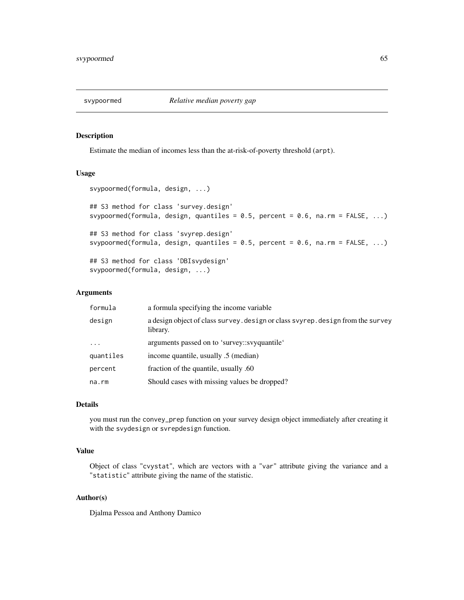## Description

Estimate the median of incomes less than the at-risk-of-poverty threshold (arpt).

# Usage

```
svypoormed(formula, design, ...)
## S3 method for class 'survey.design'
svypoormed(formula, design, quantiles = 0.5, percent = 0.6, na.rm = FALSE, ...)
## S3 method for class 'svyrep.design'
svypoormed(formula, design, quantiles = 0.5, percent = 0.6, na.rm = FALSE, ...)
## S3 method for class 'DBIsvydesign'
svypoormed(formula, design, ...)
```
# Arguments

| formula   | a formula specifying the income variable                                                    |
|-----------|---------------------------------------------------------------------------------------------|
| design    | a design object of class survey. design or class svyrep. design from the survey<br>library. |
| $\cdots$  | arguments passed on to 'survey::svyquantile'                                                |
| quantiles | income quantile, usually .5 (median)                                                        |
| percent   | fraction of the quantile, usually .60                                                       |
| na.rm     | Should cases with missing values be dropped?                                                |
|           |                                                                                             |

# Details

you must run the convey\_prep function on your survey design object immediately after creating it with the svydesign or svrepdesign function.

# Value

Object of class "cvystat", which are vectors with a "var" attribute giving the variance and a "statistic" attribute giving the name of the statistic.

# Author(s)

Djalma Pessoa and Anthony Damico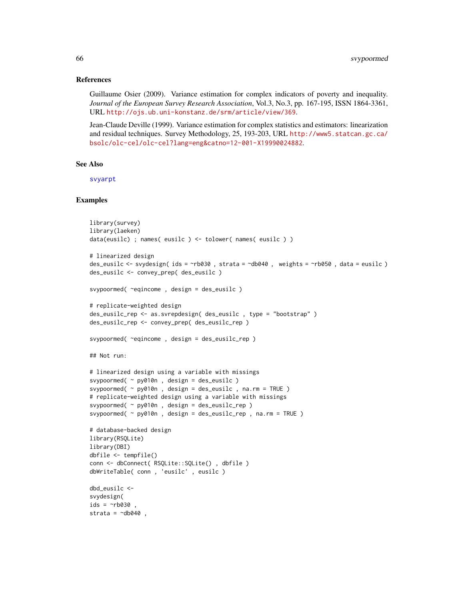## References

Guillaume Osier (2009). Variance estimation for complex indicators of poverty and inequality. *Journal of the European Survey Research Association*, Vol.3, No.3, pp. 167-195, ISSN 1864-3361, URL <http://ojs.ub.uni-konstanz.de/srm/article/view/369>.

Jean-Claude Deville (1999). Variance estimation for complex statistics and estimators: linearization and residual techniques. Survey Methodology, 25, 193-203, URL [http://www5.statcan.gc.ca/](http://www5.statcan.gc.ca/bsolc/olc-cel/olc-cel?lang=eng&catno=12-001-X19990024882) [bsolc/olc-cel/olc-cel?lang=eng&catno=12-001-X19990024882](http://www5.statcan.gc.ca/bsolc/olc-cel/olc-cel?lang=eng&catno=12-001-X19990024882).

### See Also

[svyarpt](#page-19-0)

```
library(survey)
library(laeken)
data(eusilc) ; names( eusilc ) <- tolower( names( eusilc ) )
# linearized design
des_eusilc <- svydesign( ids = ~rb030 , strata = ~db040 , weights = ~rb050 , data = eusilc )
des_eusilc <- convey_prep( des_eusilc )
svypoormed( ~eqincome , design = des_eusilc )
# replicate-weighted design
des_eusilc_rep <- as.svrepdesign( des_eusilc , type = "bootstrap" )
des_eusilc_rep <- convey_prep( des_eusilc_rep )
svypoormed( ~eqincome , design = des_eusilc_rep )
## Not run:
# linearized design using a variable with missings
svypoormed( ~ py010n , design = des_eusilc )
svypoormed( ~ py010n , design = des_eusilc , na.rm = TRUE )
# replicate-weighted design using a variable with missings
svypoormed( ~ py010n , design = des_eusilc_rep )
svypoormed(\sim py010n, design = des_eusilc_rep, na.rm = TRUE)
# database-backed design
library(RSQLite)
library(DBI)
dbfile <- tempfile()
conn <- dbConnect( RSQLite::SQLite() , dbfile )
dbWriteTable( conn , 'eusilc' , eusilc )
dbd_eusilc <-
svydesign(
ids = \negrb030
strata = \simdb040,
```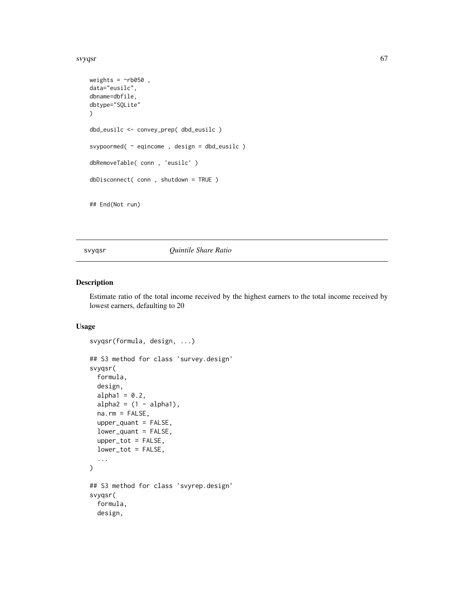#### svyqsr 67 metals of the state of the state of the state of the state of the state of the state of the state of the state of the state of the state of the state of the state of the state of the state of the state of the sta

```
weights = \negrb050,
data="eusilc",
dbname=dbfile,
dbtype="SQLite"
)
dbd_eusilc <- convey_prep( dbd_eusilc )
svypoormed( ~ eqincome , design = dbd_eusilc )
dbRemoveTable( conn , 'eusilc' )
dbDisconnect( conn , shutdown = TRUE )
## End(Not run)
```
svyqsr *Quintile Share Ratio*

## Description

Estimate ratio of the total income received by the highest earners to the total income received by lowest earners, defaulting to 20

# Usage

```
svyqsr(formula, design, ...)
## S3 method for class 'survey.design'
svyqsr(
  formula,
 design,
  alpha1 = 0.2,
  alpha2 = (1 - alpha1),
 na.rm = FALSE,upper_quant = FALSE,
  lower_quant = FALSE,
 upper_tot = FALSE,
  lower_tot = FALSE,
  ...
\mathcal{L}## S3 method for class 'svyrep.design'
svyqsr(
  formula,
 design,
```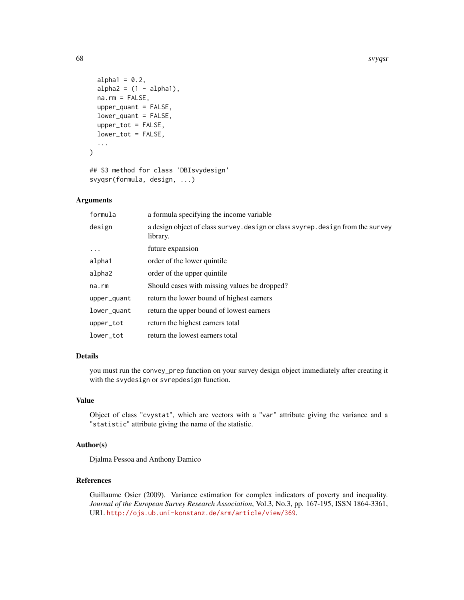```
alpha1 = 0.2,
  alpha2 = (1 - alpha1),
 na.rm = FALSE,
  upper_quant = FALSE,
  lower_quant = FALSE,
  upper_tot = FALSE,
  lower_tot = FALSE,
  ...
)
```

```
## S3 method for class 'DBIsvydesign'
svyqsr(formula, design, ...)
```
# Arguments

| formula     | a formula specifying the income variable                                                    |
|-------------|---------------------------------------------------------------------------------------------|
| design      | a design object of class survey. design or class svyrep. design from the survey<br>library. |
| $\cdot$     | future expansion                                                                            |
| alpha1      | order of the lower quintile.                                                                |
| alpha2      | order of the upper quintile.                                                                |
| $na$ . $rm$ | Should cases with missing values be dropped?                                                |
| upper_quant | return the lower bound of highest earners                                                   |
| lower_quant | return the upper bound of lowest earners                                                    |
| upper_tot   | return the highest earners total                                                            |
| lower tot   | return the lowest earners total                                                             |

## Details

you must run the convey\_prep function on your survey design object immediately after creating it with the svydesign or svrepdesign function.

# Value

Object of class "cvystat", which are vectors with a "var" attribute giving the variance and a "statistic" attribute giving the name of the statistic.

# Author(s)

Djalma Pessoa and Anthony Damico

# References

Guillaume Osier (2009). Variance estimation for complex indicators of poverty and inequality. *Journal of the European Survey Research Association*, Vol.3, No.3, pp. 167-195, ISSN 1864-3361, URL <http://ojs.ub.uni-konstanz.de/srm/article/view/369>.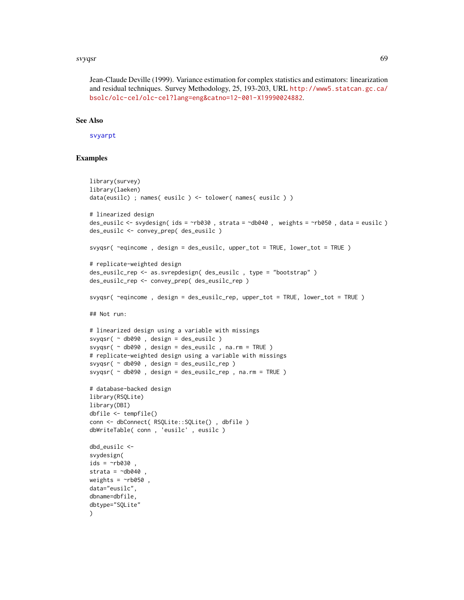#### svyqsr 69

Jean-Claude Deville (1999). Variance estimation for complex statistics and estimators: linearization and residual techniques. Survey Methodology, 25, 193-203, URL [http://www5.statcan.gc.ca/](http://www5.statcan.gc.ca/bsolc/olc-cel/olc-cel?lang=eng&catno=12-001-X19990024882) [bsolc/olc-cel/olc-cel?lang=eng&catno=12-001-X19990024882](http://www5.statcan.gc.ca/bsolc/olc-cel/olc-cel?lang=eng&catno=12-001-X19990024882).

# See Also

[svyarpt](#page-19-0)

```
library(survey)
library(laeken)
data(eusilc) ; names( eusilc ) <- tolower( names( eusilc ) )
# linearized design
des_eusilc <- svydesign( ids = ~rb030 , strata = ~db040 , weights = ~rb050 , data = eusilc )
des_eusilc <- convey_prep( des_eusilc )
svyqsr( ~eqincome , design = des_eusilc, upper_tot = TRUE, lower_tot = TRUE )
# replicate-weighted design
des_eusilc_rep <- as.svrepdesign( des_eusilc , type = "bootstrap" )
des_eusilc_rep <- convey_prep( des_eusilc_rep )
svyqsr( ~eqincome , design = des_eusilc_rep, upper_tot = TRUE, lower_tot = TRUE )
## Not run:
# linearized design using a variable with missings
svyqsr( ~ db090 , design = des_eusilc )
svyqsr( ~ db090 , design = des_eusilc , na.rm = TRUE )
# replicate-weighted design using a variable with missings
svyqsr( ~ db090 , design = des_eusilc_rep )
svyqsr( ~ db090 , design = des_eusilc_rep , na.rm = TRUE )
# database-backed design
library(RSQLite)
library(DBI)
dbfile <- tempfile()
conn <- dbConnect( RSQLite::SQLite() , dbfile )
dbWriteTable( conn , 'eusilc' , eusilc )
dbd_eusilc <-
svydesign(
ids = \negrb030
strata = \simdb040
weights = \nightharpoonuprb050,
data="eusilc",
dbname=dbfile,
dbtype="SQLite"
)
```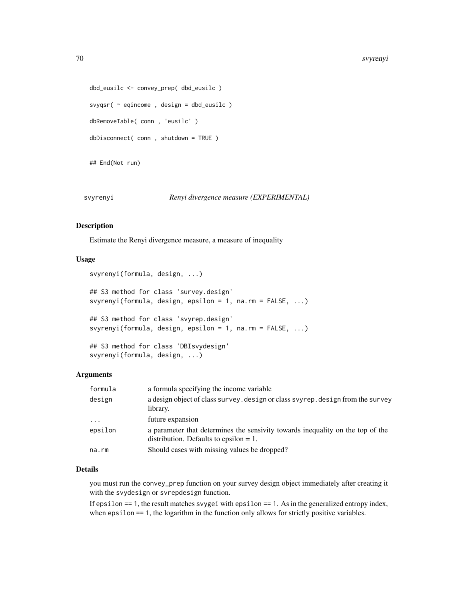```
dbd_eusilc <- convey_prep( dbd_eusilc )
svyqsr( ~ eqincome , design = dbd_eusilc )
dbRemoveTable( conn , 'eusilc' )
dbDisconnect( conn , shutdown = TRUE )
```
## End(Not run)

svyrenyi *Renyi divergence measure (EXPERIMENTAL)*

#### Description

Estimate the Renyi divergence measure, a measure of inequality

## Usage

```
svyrenyi(formula, design, ...)
## S3 method for class 'survey.design'
svyrenyi(formula, design, epsilon = 1, na.rm = FALSE, ...)
## S3 method for class 'svyrep.design'
svyrenyi(formula, design, epsilon = 1, na.rm = FALSE, ...)
## S3 method for class 'DBIsvydesign'
svyrenyi(formula, design, ...)
```
# Arguments

| formula   | a formula specifying the income variable                                                                                    |
|-----------|-----------------------------------------------------------------------------------------------------------------------------|
| design    | a design object of class survey. design or class svyrep. design from the survey<br>library.                                 |
| $\ddotsc$ | future expansion                                                                                                            |
| epsilon   | a parameter that determines the sensivity towards inequality on the top of the<br>distribution. Defaults to epsilon $= 1$ . |
| na.rm     | Should cases with missing values be dropped?                                                                                |

## Details

you must run the convey\_prep function on your survey design object immediately after creating it with the svydesign or svrepdesign function.

If epsilon  $== 1$ , the result matches svygei with epsilon  $== 1$ . As in the generalized entropy index, when epsilon == 1, the logarithm in the function only allows for strictly positive variables.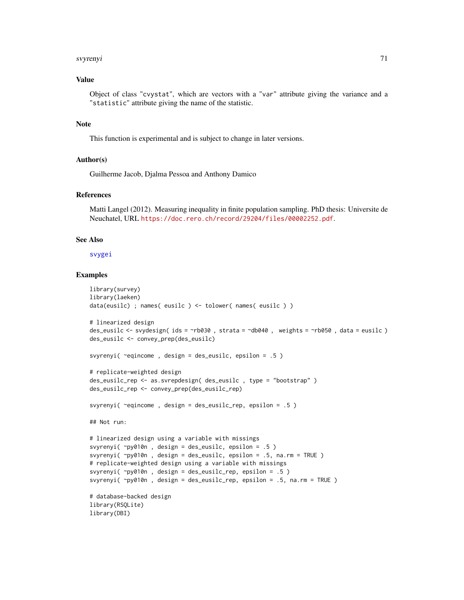#### svyrenyi 71

# Value

Object of class "cvystat", which are vectors with a "var" attribute giving the variance and a "statistic" attribute giving the name of the statistic.

# Note

This function is experimental and is subject to change in later versions.

#### Author(s)

Guilherme Jacob, Djalma Pessoa and Anthony Damico

# References

Matti Langel (2012). Measuring inequality in finite population sampling. PhD thesis: Universite de Neuchatel, URL <https://doc.rero.ch/record/29204/files/00002252.pdf>.

#### See Also

[svygei](#page-41-0)

```
library(survey)
library(laeken)
data(eusilc) ; names( eusilc ) <- tolower( names( eusilc ) )
# linearized design
des_eusilc <- svydesign( ids = ~rb030 , strata = ~db040 , weights = ~rb050 , data = eusilc )
des_eusilc <- convey_prep(des_eusilc)
svyrenyi( ~eqincome , design = des_eusilc, epsilon = .5 )
# replicate-weighted design
des_eusilc_rep <- as.svrepdesign( des_eusilc , type = "bootstrap" )
des_eusilc_rep <- convey_prep(des_eusilc_rep)
svyrenyi( ~eqincome , design = des_eusilc_rep, epsilon = .5 )
## Not run:
# linearized design using a variable with missings
svyrenyi( ~py010n , design = des_eusilc, epsilon = .5 )
svyrenyi( ~py010n , design = des_eusilc, epsilon = .5, na.rm = TRUE )
# replicate-weighted design using a variable with missings
svyrenyi( ~py010n , design = des_eusilc_rep, epsilon = .5 )
svyrenyi( ~py010n , design = des_eusilc_rep, epsilon = .5, na.rm = TRUE )
# database-backed design
library(RSQLite)
library(DBI)
```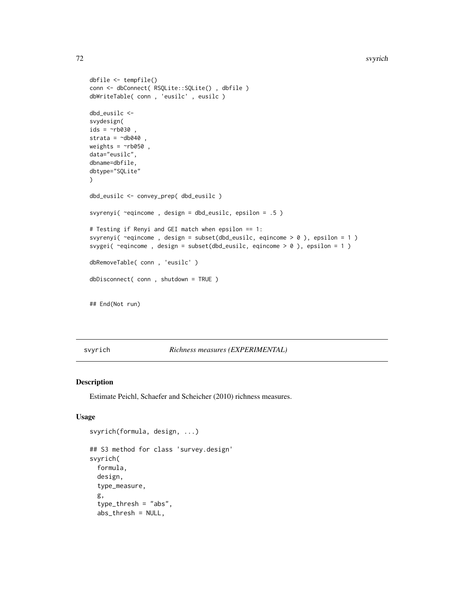#### 72 svyrich

```
dbfile <- tempfile()
conn <- dbConnect( RSQLite::SQLite() , dbfile )
dbWriteTable( conn , 'eusilc' , eusilc )
dbd_eusilc <-
svydesign(
ids = \sim b030,
strata = \simdb040,
weights = \nightharpoonuprb050,
data="eusilc",
dbname=dbfile,
dbtype="SQLite"
)
dbd_eusilc <- convey_prep( dbd_eusilc )
svyrenyi( ~eqincome , design = dbd_eusilc, epsilon = .5 )
# Testing if Renyi and GEI match when epsilon == 1:
svyrenyi( ~eqincome , design = subset(dbd_eusilc, eqincome > 0 ), epsilon = 1 )
svygei( ~eqincome , design = subset(dbd_eusilc, eqincome > 0 ), epsilon = 1 )
dbRemoveTable( conn , 'eusilc' )
dbDisconnect( conn , shutdown = TRUE )
## End(Not run)
```
# svyrich *Richness measures (EXPERIMENTAL)*

## Description

Estimate Peichl, Schaefer and Scheicher (2010) richness measures.

# Usage

```
svyrich(formula, design, ...)
## S3 method for class 'survey.design'
svyrich(
  formula,
 design,
  type_measure,
  g,
  type_thresh = "abs",
  abs_thresh = NULL,
```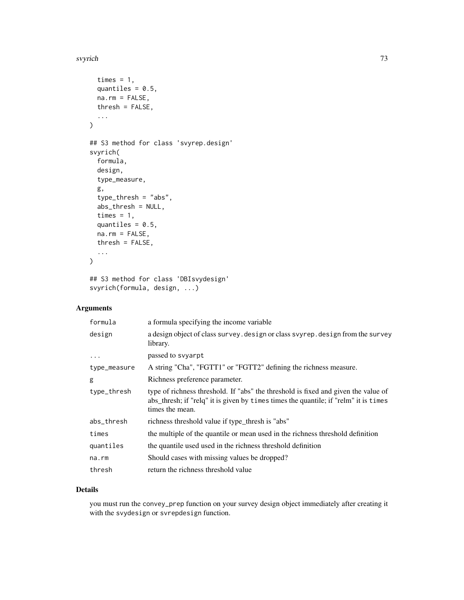#### svyrich 73

```
times = 1,
 quantiles = 0.5,
 na.rm = FALSE,thresh = FALSE,
  ...
)
## S3 method for class 'svyrep.design'
svyrich(
 formula,
 design,
  type_measure,
 g,
  type_thresh = "abs",
 abs_thresh = NULL,
 times = 1,
 quantiles = 0.5,
 na.rm = FALSE,thresh = FALSE,
  ...
\mathcal{L}
```

```
## S3 method for class 'DBIsvydesign'
svyrich(formula, design, ...)
```
# Arguments

| formula      | a formula specifying the income variable                                                                                                                                                      |
|--------------|-----------------------------------------------------------------------------------------------------------------------------------------------------------------------------------------------|
| design       | a design object of class survey. design or class svyrep. design from the survey<br>library.                                                                                                   |
| $\cdots$     | passed to svyarpt                                                                                                                                                                             |
| type_measure | A string "Cha", "FGTT1" or "FGTT2" defining the richness measure.                                                                                                                             |
| g            | Richness preference parameter.                                                                                                                                                                |
| type_thresh  | type of richness threshold. If "abs" the threshold is fixed and given the value of<br>abs_thresh; if "relq" it is given by times times the quantile; if "relm" it is times<br>times the mean. |
| abs_thresh   | richness threshold value if type_thresh is "abs"                                                                                                                                              |
| times        | the multiple of the quantile or mean used in the richness threshold definition                                                                                                                |
| quantiles    | the quantile used used in the richness threshold definition                                                                                                                                   |
| na.rm        | Should cases with missing values be dropped?                                                                                                                                                  |
| thresh       | return the richness threshold value                                                                                                                                                           |

# Details

you must run the convey\_prep function on your survey design object immediately after creating it with the svydesign or svrepdesign function.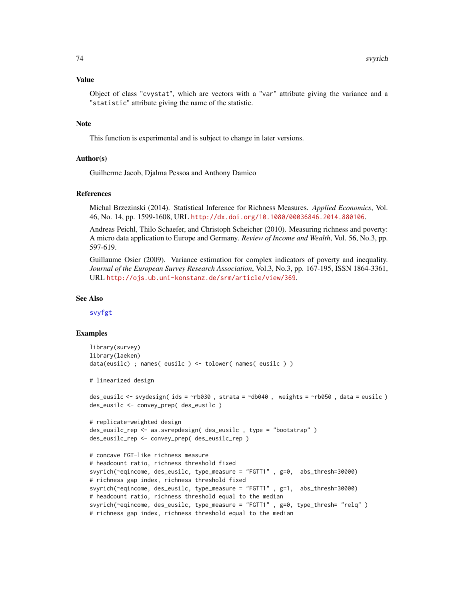#### <span id="page-73-0"></span>Value

Object of class "cvystat", which are vectors with a "var" attribute giving the variance and a "statistic" attribute giving the name of the statistic.

# **Note**

This function is experimental and is subject to change in later versions.

# Author(s)

Guilherme Jacob, Djalma Pessoa and Anthony Damico

#### References

Michal Brzezinski (2014). Statistical Inference for Richness Measures. *Applied Economics*, Vol. 46, No. 14, pp. 1599-1608, URL <http://dx.doi.org/10.1080/00036846.2014.880106>.

Andreas Peichl, Thilo Schaefer, and Christoph Scheicher (2010). Measuring richness and poverty: A micro data application to Europe and Germany. *Review of Income and Wealth*, Vol. 56, No.3, pp. 597-619.

Guillaume Osier (2009). Variance estimation for complex indicators of poverty and inequality. *Journal of the European Survey Research Association*, Vol.3, No.3, pp. 167-195, ISSN 1864-3361, URL <http://ojs.ub.uni-konstanz.de/srm/article/view/369>.

#### See Also

[svyfgt](#page-34-0)

```
library(survey)
library(laeken)
data(eusilc) ; names( eusilc ) <- tolower( names( eusilc ) )
# linearized design
des_eusilc <- svydesign( ids = ~rb030 , strata = ~db040 , weights = ~rb050 , data = eusilc )
des_eusilc <- convey_prep( des_eusilc )
# replicate-weighted design
des_eusilc_rep <- as.svrepdesign( des_eusilc , type = "bootstrap" )
des_eusilc_rep <- convey_prep( des_eusilc_rep )
# concave FGT-like richness measure
# headcount ratio, richness threshold fixed
svyrich(~eqincome, des_eusilc, type_measure = "FGTT1" , g=0, abs_thresh=30000)
# richness gap index, richness threshold fixed
svyrich(~eqincome, des_eusilc, type_measure = "FGTT1" , g=1, abs_thresh=30000)
# headcount ratio, richness threshold equal to the median
svyrich(~eqincome, des_eusilc, type_measure = "FGTT1" , g=0, type_thresh= "relq" )
# richness gap index, richness threshold equal to the median
```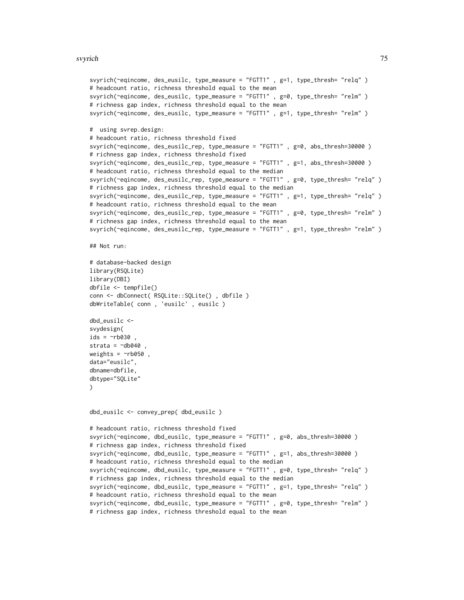#### svyrich 75

```
svyrich(~eqincome, des_eusilc, type_measure = "FGTT1" , g=1, type_thresh= "relq" )
# headcount ratio, richness threshold equal to the mean
svyrich(~eqincome, des_eusilc, type_measure = "FGTT1" , g=0, type_thresh= "relm" )
# richness gap index, richness threshold equal to the mean
svyrich(~eqincome, des_eusilc, type_measure = "FGTT1" , g=1, type_thresh= "relm" )
# using svrep.design:
# headcount ratio, richness threshold fixed
svyrich(~eqincome, des_eusilc_rep, type_measure = "FGTT1" , g=0, abs_thresh=30000 )
# richness gap index, richness threshold fixed
svyrich(~eqincome, des_eusilc_rep, type_measure = "FGTT1" , g=1, abs_thresh=30000 )
# headcount ratio, richness threshold equal to the median
svyrich(~eqincome, des_eusilc_rep, type_measure = "FGTT1" , g=0, type_thresh= "relq" )
# richness gap index, richness threshold equal to the median
svyrich(~eqincome, des_eusilc_rep, type_measure = "FGTT1" , g=1, type_thresh= "relq" )
# headcount ratio, richness threshold equal to the mean
svyrich(~eqincome, des_eusilc_rep, type_measure = "FGTT1" , g=0, type_thresh= "relm" )
# richness gap index, richness threshold equal to the mean
svyrich(~eqincome, des_eusilc_rep, type_measure = "FGTT1" , g=1, type_thresh= "relm" )
## Not run:
# database-backed design
library(RSQLite)
library(DBI)
dbfile <- tempfile()
conn <- dbConnect( RSQLite::SQLite() , dbfile )
dbWriteTable( conn , 'eusilc' , eusilc )
dbd_eusilc <-
svydesign(
ids = \nightharpoonuprb030
strata = \negdb040,
weights = ~\simrb050,
data="eusilc",
dbname=dbfile,
dbtype="SQLite"
)
dbd_eusilc <- convey_prep( dbd_eusilc )
# headcount ratio, richness threshold fixed
svyrich(~eqincome, dbd_eusilc, type_measure = "FGTT1" , g=0, abs_thresh=30000 )
# richness gap index, richness threshold fixed
svyrich(~eqincome, dbd_eusilc, type_measure = "FGTT1" , g=1, abs_thresh=30000 )
# headcount ratio, richness threshold equal to the median
svyrich(~eqincome, dbd_eusilc, type_measure = "FGTT1" , g=0, type_thresh= "relq" )
# richness gap index, richness threshold equal to the median
svyrich(~eqincome, dbd_eusilc, type_measure = "FGTT1" , g=1, type_thresh= "relq" )
# headcount ratio, richness threshold equal to the mean
svyrich(~eqincome, dbd_eusilc, type_measure = "FGTT1" , g=0, type_thresh= "relm" )
# richness gap index, richness threshold equal to the mean
```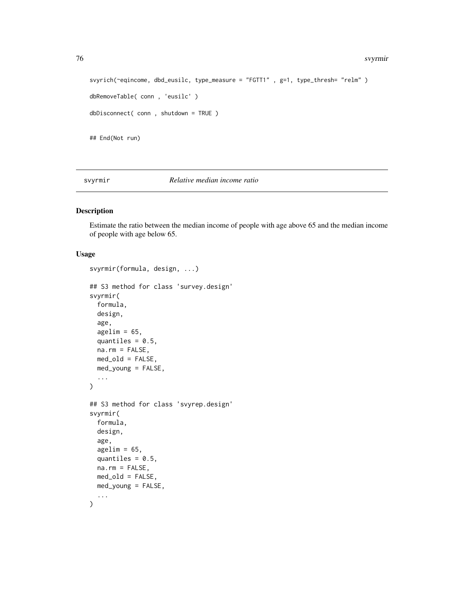#### 76 svyrmir

```
svyrich(~eqincome, dbd_eusilc, type_measure = "FGTT1" , g=1, type_thresh= "relm" )
dbRemoveTable( conn , 'eusilc' )
dbDisconnect( conn , shutdown = TRUE )
## End(Not run)
```
# svyrmir *Relative median income ratio*

# Description

Estimate the ratio between the median income of people with age above 65 and the median income of people with age below 65.

```
svyrmir(formula, design, ...)
## S3 method for class 'survey.design'
svyrmir(
 formula,
 design,
  age,
  agelim = 65,quantiles = 0.5,
 na.rm = FALSE,med_old = FALSE,
 med_young = FALSE,
  ...
\mathcal{L}## S3 method for class 'svyrep.design'
svyrmir(
 formula,
 design,
  age,
  agelim = 65,quantiles = 0.5,
 na.rm = FALSE,
 med_old = FALSE,
 med_young = FALSE,
  ...
)
```
<span id="page-75-0"></span>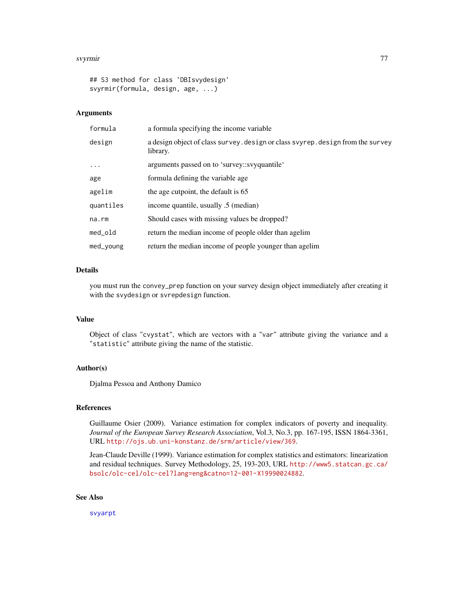#### <span id="page-76-0"></span>svyrmir 77

```
## S3 method for class 'DBIsvydesign'
svyrmir(formula, design, age, ...)
```
#### Arguments

| formula   | a formula specifying the income variable                                                    |
|-----------|---------------------------------------------------------------------------------------------|
| design    | a design object of class survey. design or class svyrep. design from the survey<br>library. |
| $\cdots$  | arguments passed on to 'survey::svyquantile'                                                |
| age       | formula defining the variable age.                                                          |
| agelim    | the age cutpoint, the default is 65                                                         |
| quantiles | income quantile, usually .5 (median)                                                        |
| na.rm     | Should cases with missing values be dropped?                                                |
| med_old   | return the median income of people older than agelim                                        |
| med_young | return the median income of people younger than agelim                                      |

# Details

you must run the convey\_prep function on your survey design object immediately after creating it with the svydesign or svrepdesign function.

# Value

Object of class "cvystat", which are vectors with a "var" attribute giving the variance and a "statistic" attribute giving the name of the statistic.

#### Author(s)

Djalma Pessoa and Anthony Damico

# References

Guillaume Osier (2009). Variance estimation for complex indicators of poverty and inequality. *Journal of the European Survey Research Association*, Vol.3, No.3, pp. 167-195, ISSN 1864-3361, URL <http://ojs.ub.uni-konstanz.de/srm/article/view/369>.

Jean-Claude Deville (1999). Variance estimation for complex statistics and estimators: linearization and residual techniques. Survey Methodology, 25, 193-203, URL [http://www5.statcan.gc.ca/](http://www5.statcan.gc.ca/bsolc/olc-cel/olc-cel?lang=eng&catno=12-001-X19990024882) [bsolc/olc-cel/olc-cel?lang=eng&catno=12-001-X19990024882](http://www5.statcan.gc.ca/bsolc/olc-cel/olc-cel?lang=eng&catno=12-001-X19990024882).

#### See Also

[svyarpt](#page-19-0)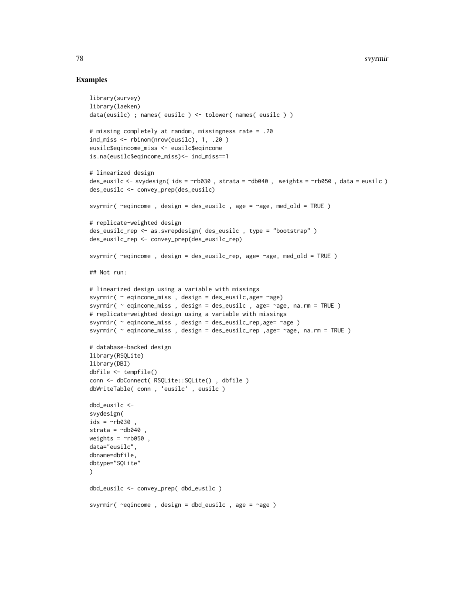```
library(survey)
library(laeken)
data(eusilc) ; names( eusilc ) <- tolower( names( eusilc ) )
# missing completely at random, missingness rate = .20
ind_miss <- rbinom(nrow(eusilc), 1, .20 )
eusilc$eqincome_miss <- eusilc$eqincome
is.na(eusilc$eqincome_miss)<- ind_miss==1
# linearized design
des_eusilc <- svydesign( ids = ~rb030 , strata = ~db040 , weights = ~rb050 , data = eusilc )
des_eusilc <- convey_prep(des_eusilc)
svyrmir( \simeqincome, design = des_eusilc, age = \simage, med_old = TRUE)
# replicate-weighted design
des_eusilc_rep <- as.svrepdesign( des_eusilc , type = "bootstrap" )
des_eusilc_rep <- convey_prep(des_eusilc_rep)
svyrmir( ~eqincome , design = des_eusilc_rep, age= ~age, med_old = TRUE )
## Not run:
# linearized design using a variable with missings
svyrmir( ~ eqincome_miss , design = des_eusilc,age= ~age)
svyrmir( \sim eqincome_miss, design = des_eusilc, age= \simage, na.rm = TRUE)
# replicate-weighted design using a variable with missings
svyrmir( ~ eqincome_miss , design = des_eusilc_rep,age= ~age )
svyrmir( ~ eqincome_miss , design = des_eusilc_rep ,age= ~age, na.rm = TRUE )
# database-backed design
library(RSQLite)
library(DBI)
dbfile <- tempfile()
conn <- dbConnect( RSQLite::SQLite() , dbfile )
dbWriteTable( conn , 'eusilc' , eusilc )
dbd_eusilc <-
svydesign(
ids = \sim b030,
strata = \negdb040,
weights = \negrb050,
data="eusilc",
dbname=dbfile,
dbtype="SQLite"
)
dbd_eusilc <- convey_prep( dbd_eusilc )
svyrmir( ~eqincome , design = dbd_eusilc , age = ~age )
```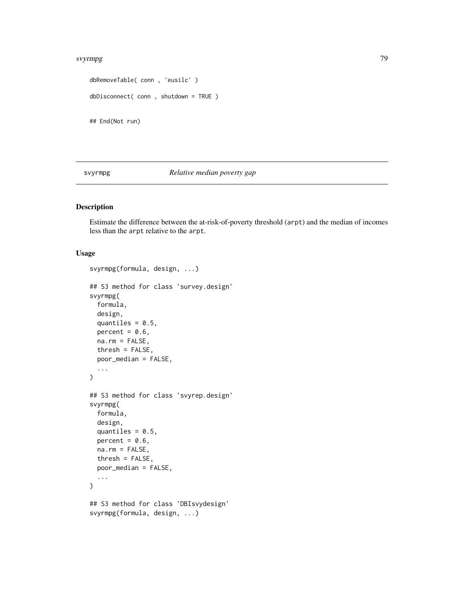#### <span id="page-78-0"></span>svyrmpg and the state of the state of the state of the state of the state of the state of the state of the state of the state of the state of the state of the state of the state of the state of the state of the state of th

```
dbRemoveTable( conn , 'eusilc' )
dbDisconnect( conn , shutdown = TRUE )
## End(Not run)
```
# svyrmpg *Relative median poverty gap*

# Description

Estimate the difference between the at-risk-of-poverty threshold (arpt) and the median of incomes less than the arpt relative to the arpt.

```
svyrmpg(formula, design, ...)
## S3 method for class 'survey.design'
svyrmpg(
 formula,
 design,
 quantiles = 0.5,
 percent = 0.6,
 na.rm = FALSE,
 thresh = FALSE,poor_median = FALSE,
  ...
)
## S3 method for class 'svyrep.design'
svyrmpg(
 formula,
 design,
  quantiles = 0.5,
 percent = 0.6,
 na.rm = FALSE,thresh = FALSE,
 poor_median = FALSE,
  ...
\lambda## S3 method for class 'DBIsvydesign'
svyrmpg(formula, design, ...)
```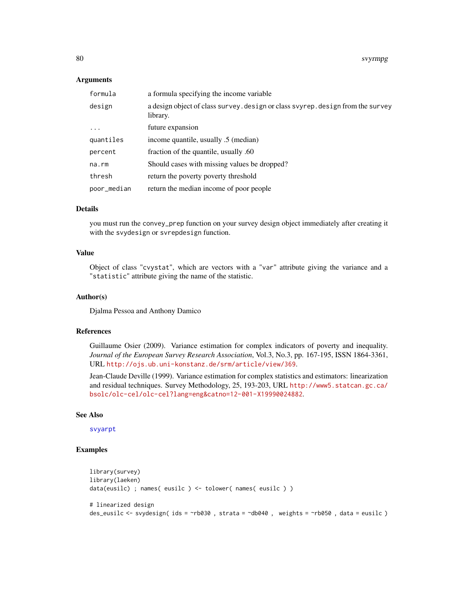# Arguments

| formula     | a formula specifying the income variable                                                    |
|-------------|---------------------------------------------------------------------------------------------|
| design      | a design object of class survey. design or class svyrep. design from the survey<br>library. |
| $\ddots$ .  | future expansion                                                                            |
| quantiles   | income quantile, usually .5 (median)                                                        |
| percent     | fraction of the quantile, usually .60                                                       |
| $na$ . $rm$ | Should cases with missing values be dropped?                                                |
| thresh      | return the poverty poverty threshold                                                        |
| poor_median | return the median income of poor people                                                     |

# Details

you must run the convey\_prep function on your survey design object immediately after creating it with the svydesign or svrepdesign function.

# Value

Object of class "cvystat", which are vectors with a "var" attribute giving the variance and a "statistic" attribute giving the name of the statistic.

# Author(s)

Djalma Pessoa and Anthony Damico

#### References

Guillaume Osier (2009). Variance estimation for complex indicators of poverty and inequality. *Journal of the European Survey Research Association*, Vol.3, No.3, pp. 167-195, ISSN 1864-3361, URL <http://ojs.ub.uni-konstanz.de/srm/article/view/369>.

Jean-Claude Deville (1999). Variance estimation for complex statistics and estimators: linearization and residual techniques. Survey Methodology, 25, 193-203, URL [http://www5.statcan.gc.ca/](http://www5.statcan.gc.ca/bsolc/olc-cel/olc-cel?lang=eng&catno=12-001-X19990024882) [bsolc/olc-cel/olc-cel?lang=eng&catno=12-001-X19990024882](http://www5.statcan.gc.ca/bsolc/olc-cel/olc-cel?lang=eng&catno=12-001-X19990024882).

#### See Also

[svyarpt](#page-19-0)

```
library(survey)
library(laeken)
data(eusilc) ; names( eusilc ) <- tolower( names( eusilc ) )
# linearized design
des_eusilc <- svydesign( ids = ~rb030 , strata = ~db040 , weights = ~rb050 , data = eusilc )
```
<span id="page-79-0"></span>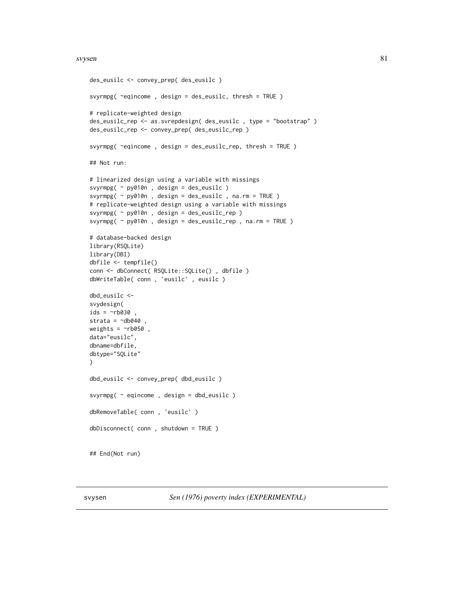#### <span id="page-80-1"></span>svysen 81 augustus 1989. September 2008 september 2008 september 2008 september 2008 september 2008 september 2008 september 2008 september 2008 september 2008 september 2008 september 2008 september 2008 september 2008 se

```
des_eusilc <- convey_prep( des_eusilc )
svyrmpg( ~eqincome , design = des_eusilc, thresh = TRUE )
# replicate-weighted design
des_eusilc_rep <- as.svrepdesign( des_eusilc , type = "bootstrap" )
des_eusilc_rep <- convey_prep( des_eusilc_rep )
svyrmpg( ~eqincome , design = des_eusilc_rep, thresh = TRUE )
## Not run:
# linearized design using a variable with missings
svyrmpg( ~ py010n , design = des_eusilc )
svyrmpg( ~ py010n , design = des_eusilc , na.rm = TRUE )
# replicate-weighted design using a variable with missings
svyrmpg( ~ py010n , design = des_eusilc_rep )
svyrmpg( ~ py010n , design = des_eusilc_rep , na.rm = TRUE )
# database-backed design
library(RSQLite)
library(DBI)
dbfile <- tempfile()
conn <- dbConnect( RSQLite::SQLite() , dbfile )
dbWriteTable( conn , 'eusilc' , eusilc )
dbd_eusilc <-
svydesign(
ids = \simnb030,
strata = \simdb040
weights = \nightharpoonuprb050,
data="eusilc",
dbname=dbfile,
dbtype="SQLite"
\lambdadbd_eusilc <- convey_prep( dbd_eusilc )
svyrmpg( ~ eqincome , design = dbd_eusilc )
dbRemoveTable( conn , 'eusilc' )
dbDisconnect( conn , shutdown = TRUE )
## End(Not run)
```
<span id="page-80-0"></span>svysen *Sen (1976) poverty index (EXPERIMENTAL)*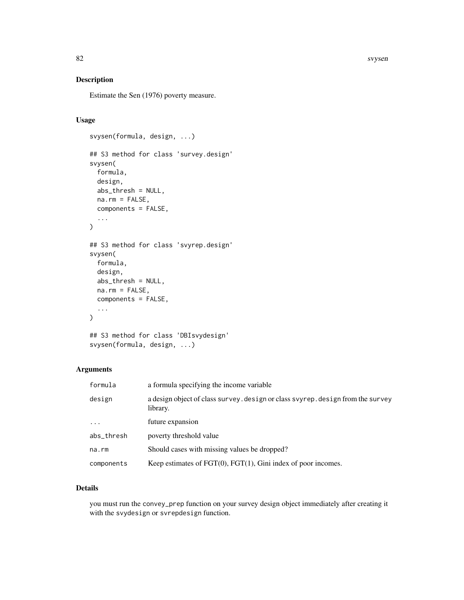# Description

Estimate the Sen (1976) poverty measure.

# Usage

```
svysen(formula, design, ...)
## S3 method for class 'survey.design'
svysen(
 formula,
 design,
 abs_thresh = NULL,
 na.rm = FALSE,
 components = FALSE,
  ...
\mathcal{L}## S3 method for class 'svyrep.design'
svysen(
 formula,
 design,
 abs_thresh = NULL,
 na.rm = FALSE,components = FALSE,
  ...
\mathcal{L}## S3 method for class 'DBIsvydesign'
```
svysen(formula, design, ...)

# Arguments

| formula    | a formula specifying the income variable                                                    |
|------------|---------------------------------------------------------------------------------------------|
| design     | a design object of class survey. design or class svyrep. design from the survey<br>library. |
| $\ddots$   | future expansion                                                                            |
| abs_thresh | poverty threshold value                                                                     |
| na.rm      | Should cases with missing values be dropped?                                                |
| components | Keep estimates of $FGT(0)$ , $FGT(1)$ , Gini index of poor incomes.                         |

# Details

you must run the convey\_prep function on your survey design object immediately after creating it with the svydesign or svrepdesign function.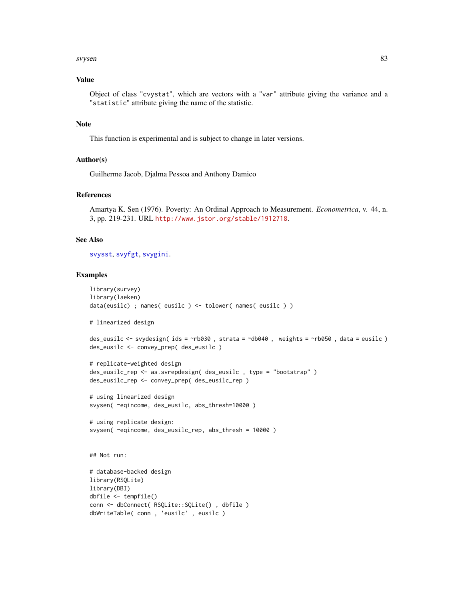#### <span id="page-82-0"></span>svysen assetting the state of the state of the state of the state of the state of the state of the state of the state of the state of the state of the state of the state of the state of the state of the state of the state

# Value

Object of class "cvystat", which are vectors with a "var" attribute giving the variance and a "statistic" attribute giving the name of the statistic.

# Note

This function is experimental and is subject to change in later versions.

#### Author(s)

Guilherme Jacob, Djalma Pessoa and Anthony Damico

# References

Amartya K. Sen (1976). Poverty: An Ordinal Approach to Measurement. *Econometrica*, v. 44, n. 3, pp. 219-231. URL <http://www.jstor.org/stable/1912718>.

#### See Also

[svysst](#page-83-0), [svyfgt](#page-34-0), [svygini](#page-47-0).

```
library(survey)
library(laeken)
data(eusilc) ; names( eusilc ) <- tolower( names( eusilc ) )
# linearized design
des_eusilc <- svydesign( ids = ~rb030 , strata = ~db040 , weights = ~rb050 , data = eusilc )
des_eusilc <- convey_prep( des_eusilc )
# replicate-weighted design
des_eusilc_rep <- as.svrepdesign( des_eusilc , type = "bootstrap" )
des_eusilc_rep <- convey_prep( des_eusilc_rep )
# using linearized design
svysen( ~eqincome, des_eusilc, abs_thresh=10000 )
# using replicate design:
svysen( ~eqincome, des_eusilc_rep, abs_thresh = 10000 )
## Not run:
# database-backed design
library(RSQLite)
library(DBI)
dbfile <- tempfile()
```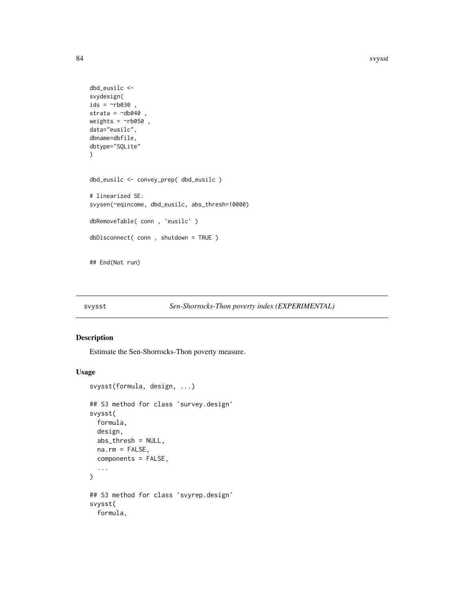```
dbd_eusilc <-
svydesign(
ids = ~rb030,
strata = \negdb040,
weights = \negrb050,
data="eusilc",
dbname=dbfile,
dbtype="SQLite"
\mathcal{L}dbd_eusilc <- convey_prep( dbd_eusilc )
# linearized SE:
svysen(~eqincome, dbd_eusilc, abs_thresh=10000)
dbRemoveTable( conn , 'eusilc' )
dbDisconnect( conn , shutdown = TRUE )
## End(Not run)
```
# <span id="page-83-0"></span>svysst *Sen-Shorrocks-Thon poverty index (EXPERIMENTAL)*

# Description

Estimate the Sen-Shorrocks-Thon poverty measure.

```
svysst(formula, design, ...)
## S3 method for class 'survey.design'
svysst(
 formula,
  design,
 abs_thresh = NULL,
 na.rm = FALSE,components = FALSE,
  ...
\mathcal{L}## S3 method for class 'svyrep.design'
svysst(
  formula,
```
<span id="page-83-1"></span>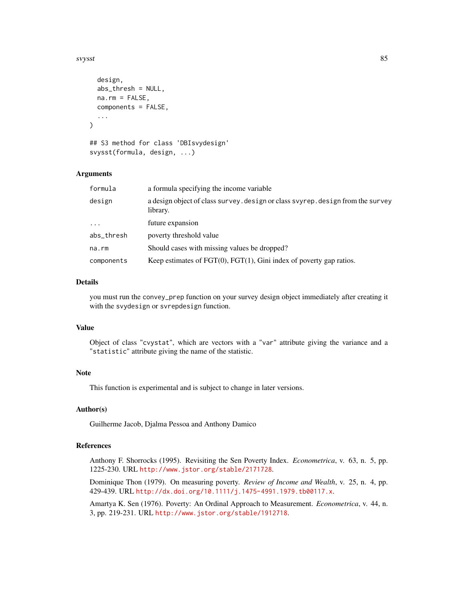#### svysst 35 april 2008 i 1990 i 1990 i 1990 i 1990 i 1990 i 1990 i 1990 i 1990 i 1990 i 1990 i 1990 i 1990 i 19

```
design,
  abs_thresh = NULL,
 na.rm = FALSE,components = FALSE,
  ...
)
## S3 method for class 'DBIsvydesign'
```
svysst(formula, design, ...)

#### Arguments

| formula    | a formula specifying the income variable                                                    |
|------------|---------------------------------------------------------------------------------------------|
| design     | a design object of class survey. design or class svyrep. design from the survey<br>library. |
| $\cdot$    | future expansion                                                                            |
| abs_thresh | poverty threshold value                                                                     |
| na.rm      | Should cases with missing values be dropped?                                                |
| components | Keep estimates of $FGT(0)$ , $FGT(1)$ , Gini index of poverty gap ratios.                   |

#### Details

you must run the convey\_prep function on your survey design object immediately after creating it with the svydesign or svrepdesign function.

# Value

Object of class "cvystat", which are vectors with a "var" attribute giving the variance and a "statistic" attribute giving the name of the statistic.

# Note

This function is experimental and is subject to change in later versions.

#### Author(s)

Guilherme Jacob, Djalma Pessoa and Anthony Damico

# References

Anthony F. Shorrocks (1995). Revisiting the Sen Poverty Index. *Econometrica*, v. 63, n. 5, pp. 1225-230. URL <http://www.jstor.org/stable/2171728>.

Dominique Thon (1979). On measuring poverty. *Review of Income and Wealth*, v. 25, n. 4, pp. 429-439. URL <http://dx.doi.org/10.1111/j.1475-4991.1979.tb00117.x>.

Amartya K. Sen (1976). Poverty: An Ordinal Approach to Measurement. *Econometrica*, v. 44, n. 3, pp. 219-231. URL <http://www.jstor.org/stable/1912718>.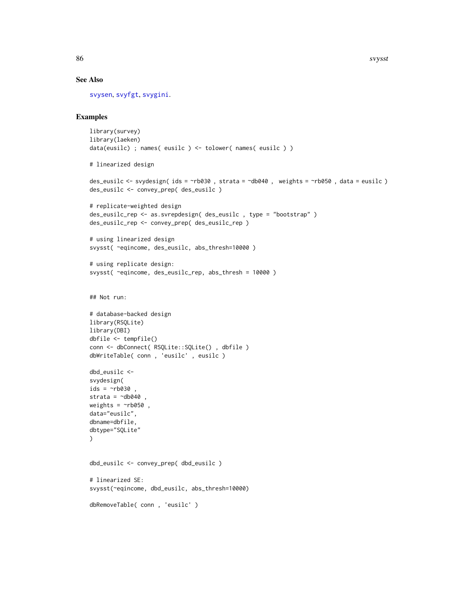# See Also

[svysen](#page-80-0), [svyfgt](#page-34-0), [svygini](#page-47-0).

```
library(survey)
library(laeken)
data(eusilc) ; names( eusilc ) <- tolower( names( eusilc ) )
# linearized design
des_eusilc <- svydesign( ids = ~rb030 , strata = ~db040 , weights = ~rb050 , data = eusilc )
des_eusilc <- convey_prep( des_eusilc )
# replicate-weighted design
des_eusilc_rep <- as.svrepdesign( des_eusilc , type = "bootstrap" )
des_eusilc_rep <- convey_prep( des_eusilc_rep )
# using linearized design
svysst( ~eqincome, des_eusilc, abs_thresh=10000 )
# using replicate design:
svysst( ~eqincome, des_eusilc_rep, abs_thresh = 10000 )
## Not run:
# database-backed design
library(RSQLite)
library(DBI)
dbfile <- tempfile()
conn <- dbConnect( RSQLite::SQLite() , dbfile )
dbWriteTable( conn , 'eusilc' , eusilc )
dbd_eusilc <-
svydesign(
ids = \negrb030,
strata = \negdb040
weights = \negrb050,
data="eusilc",
dbname=dbfile,
dbtype="SQLite"
\mathcal{L}dbd_eusilc <- convey_prep( dbd_eusilc )
# linearized SE:
svysst(~eqincome, dbd_eusilc, abs_thresh=10000)
dbRemoveTable( conn , 'eusilc' )
```
<span id="page-85-0"></span>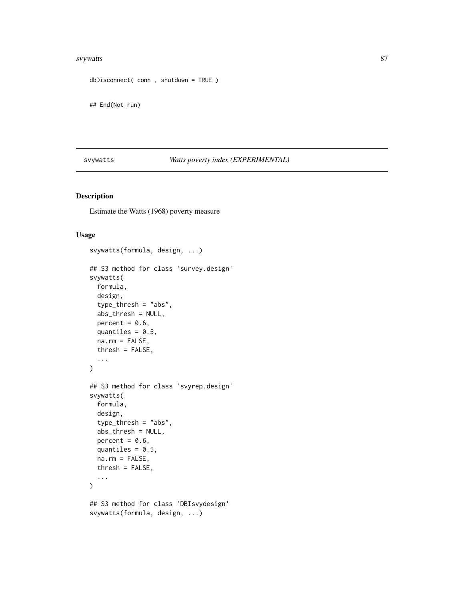#### <span id="page-86-1"></span>svywatts and the state of the state of the state of the state of the state of the state of the state of the state of the state of the state of the state of the state of the state of the state of the state of the state of t

```
dbDisconnect( conn , shutdown = TRUE )
```
## End(Not run)

# <span id="page-86-0"></span>svywatts *Watts poverty index (EXPERIMENTAL)*

# Description

Estimate the Watts (1968) poverty measure

```
svywatts(formula, design, ...)
## S3 method for class 'survey.design'
svywatts(
 formula,
 design,
  type_thresh = "abs",
 abs_thresh = NULL,
 percent = 0.6,
 quantiles = 0.5,
 na.rm = FALSE,
 thresh = FALSE,...
)
## S3 method for class 'svyrep.design'
svywatts(
 formula,
 design,
  type_thresh = "abs",
  abs_thresh = NULL,
 percent = 0.6,
 quantiles = 0.5,
 na.rm = FALSE,
  thresh = FALSE,
  ...
)
## S3 method for class 'DBIsvydesign'
svywatts(formula, design, ...)
```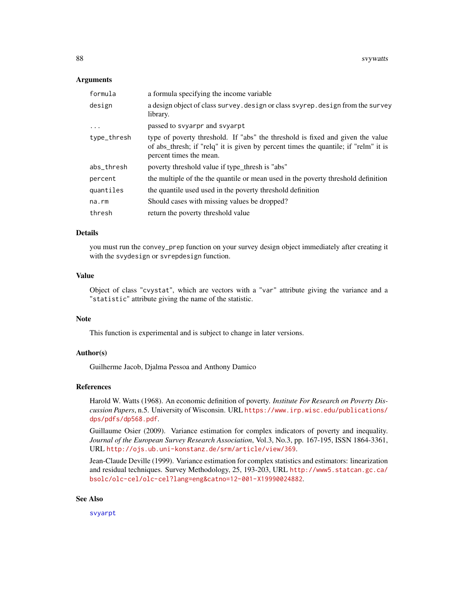# <span id="page-87-0"></span>Arguments

| formula     | a formula specifying the income variable                                                                                                                                                         |
|-------------|--------------------------------------------------------------------------------------------------------------------------------------------------------------------------------------------------|
| design      | a design object of class survey. design or class svyrep. design from the survey<br>library.                                                                                                      |
| $\cdots$    | passed to syyarpr and syyarpt                                                                                                                                                                    |
| type_thresh | type of poverty threshold. If "abs" the threshold is fixed and given the value<br>of abs_thresh; if "relq" it is given by percent times the quantile; if "relm" it is<br>percent times the mean. |
| abs_thresh  | poverty threshold value if type_thresh is "abs"                                                                                                                                                  |
| percent     | the multiple of the the quantile or mean used in the poverty threshold definition                                                                                                                |
| quantiles   | the quantile used used in the poverty threshold definition                                                                                                                                       |
| na.rm       | Should cases with missing values be dropped?                                                                                                                                                     |
| thresh      | return the poverty threshold value                                                                                                                                                               |

# Details

you must run the convey\_prep function on your survey design object immediately after creating it with the svydesign or svrepdesign function.

#### Value

Object of class "cvystat", which are vectors with a "var" attribute giving the variance and a "statistic" attribute giving the name of the statistic.

#### Note

This function is experimental and is subject to change in later versions.

# Author(s)

Guilherme Jacob, Djalma Pessoa and Anthony Damico

# References

Harold W. Watts (1968). An economic definition of poverty. *Institute For Research on Poverty Discussion Papers*, n.5. University of Wisconsin. URL [https://www.irp.wisc.edu/publications/](https://www.irp.wisc.edu/publications/dps/pdfs/dp568.pdf) [dps/pdfs/dp568.pdf](https://www.irp.wisc.edu/publications/dps/pdfs/dp568.pdf).

Guillaume Osier (2009). Variance estimation for complex indicators of poverty and inequality. *Journal of the European Survey Research Association*, Vol.3, No.3, pp. 167-195, ISSN 1864-3361, URL <http://ojs.ub.uni-konstanz.de/srm/article/view/369>.

Jean-Claude Deville (1999). Variance estimation for complex statistics and estimators: linearization and residual techniques. Survey Methodology, 25, 193-203, URL [http://www5.statcan.gc.ca/](http://www5.statcan.gc.ca/bsolc/olc-cel/olc-cel?lang=eng&catno=12-001-X19990024882) [bsolc/olc-cel/olc-cel?lang=eng&catno=12-001-X19990024882](http://www5.statcan.gc.ca/bsolc/olc-cel/olc-cel?lang=eng&catno=12-001-X19990024882).

#### See Also

[svyarpt](#page-19-0)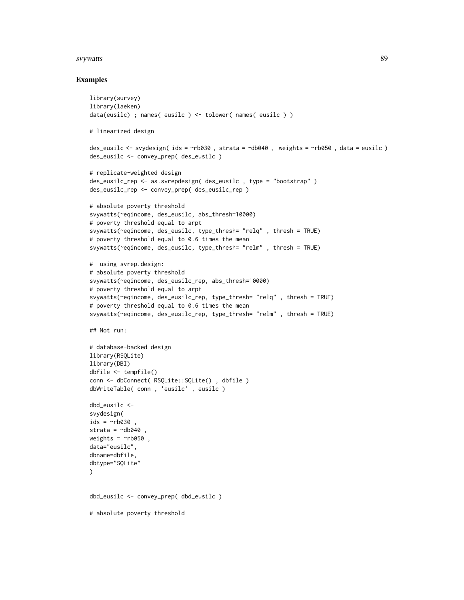#### svywatts and the state of the state of the state of the state of the state of the state of the state of the state of the state of the state of the state of the state of the state of the state of the state of the state of t

```
library(survey)
library(laeken)
data(eusilc) ; names( eusilc ) <- tolower( names( eusilc ) )
# linearized design
des_eusilc <- svydesign( ids = ~rb030 , strata = ~db040 , weights = ~rb050 , data = eusilc )
des_eusilc <- convey_prep( des_eusilc )
# replicate-weighted design
des_eusilc_rep <- as.svrepdesign( des_eusilc , type = "bootstrap" )
des_eusilc_rep <- convey_prep( des_eusilc_rep )
# absolute poverty threshold
svywatts(~eqincome, des_eusilc, abs_thresh=10000)
# poverty threshold equal to arpt
svywatts(~eqincome, des_eusilc, type_thresh= "relq" , thresh = TRUE)
# poverty threshold equal to 0.6 times the mean
svywatts(~eqincome, des_eusilc, type_thresh= "relm" , thresh = TRUE)
# using svrep.design:
# absolute poverty threshold
svywatts(~eqincome, des_eusilc_rep, abs_thresh=10000)
# poverty threshold equal to arpt
svywatts(~eqincome, des_eusilc_rep, type_thresh= "relq" , thresh = TRUE)
# poverty threshold equal to 0.6 times the mean
svywatts(~eqincome, des_eusilc_rep, type_thresh= "relm" , thresh = TRUE)
## Not run:
# database-backed design
library(RSQLite)
library(DBI)
dbfile <- tempfile()
conn <- dbConnect( RSQLite::SQLite() , dbfile )
dbWriteTable( conn , 'eusilc' , eusilc )
dbd_eusilc <-
svydesign(
ids = \sim b030,
strata = \negdb040,
weights = \nightharpoonuprb050,
data="eusilc",
dbname=dbfile,
dbtype="SQLite"
)
dbd_eusilc <- convey_prep( dbd_eusilc )
# absolute poverty threshold
```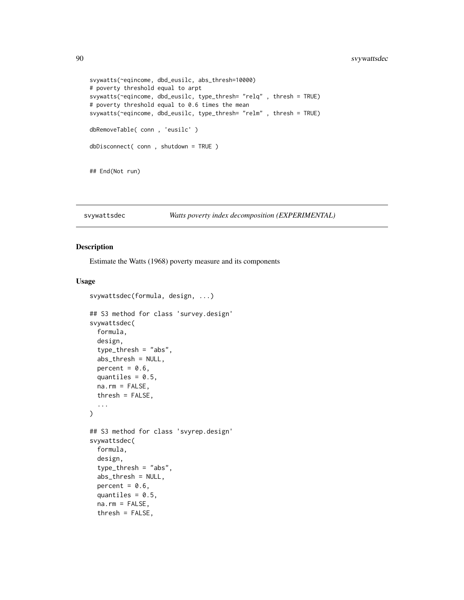```
svywatts(~eqincome, dbd_eusilc, abs_thresh=10000)
# poverty threshold equal to arpt
svywatts(~eqincome, dbd_eusilc, type_thresh= "relq" , thresh = TRUE)
# poverty threshold equal to 0.6 times the mean
svywatts(~eqincome, dbd_eusilc, type_thresh= "relm" , thresh = TRUE)
dbRemoveTable( conn , 'eusilc' )
dbDisconnect( conn , shutdown = TRUE )
## End(Not run)
```
#### svywattsdec *Watts poverty index decomposition (EXPERIMENTAL)*

# Description

Estimate the Watts (1968) poverty measure and its components

```
svywattsdec(formula, design, ...)
## S3 method for class 'survey.design'
svywattsdec(
  formula,
 design,
  type_thresh = "abs",
  abs_thresh = NULL,
 percent = 0.6,
 quantiles = 0.5,
 na.rm = FALSE,
  thresh = FALSE,
  ...
\lambda## S3 method for class 'svyrep.design'
svywattsdec(
  formula,
  design,
  type_thresh = "abs",
  abs_thresh = NULL,
 percent = 0.6,
 quantiles = 0.5,
  na.rm = FALSE,thresh = FALSE,
```
<span id="page-89-0"></span>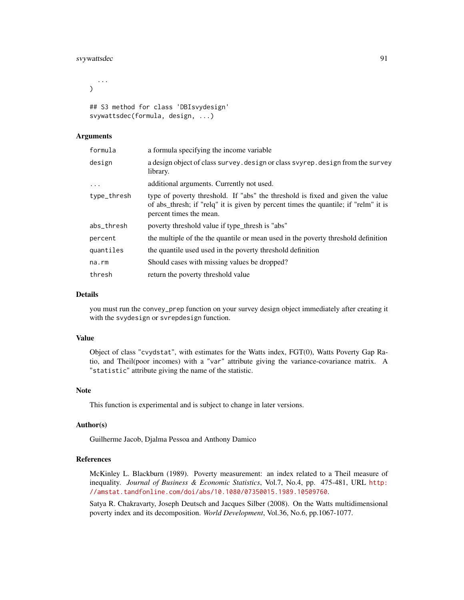# svywattsdec 91

```
...
\lambda## S3 method for class 'DBIsvydesign'
svywattsdec(formula, design, ...)
```
# Arguments

| formula     | a formula specifying the income variable                                                                                                                                                         |
|-------------|--------------------------------------------------------------------------------------------------------------------------------------------------------------------------------------------------|
| design      | a design object of class survey. design or class svyrep. design from the survey<br>library.                                                                                                      |
| $\ddots$ .  | additional arguments. Currently not used.                                                                                                                                                        |
| type_thresh | type of poverty threshold. If "abs" the threshold is fixed and given the value<br>of abs_thresh; if "relq" it is given by percent times the quantile; if "relm" it is<br>percent times the mean. |
| abs_thresh  | poverty threshold value if type thresh is "abs"                                                                                                                                                  |
| percent     | the multiple of the the quantile or mean used in the poverty threshold definition                                                                                                                |
| quantiles   | the quantile used used in the poverty threshold definition                                                                                                                                       |
| na.rm       | Should cases with missing values be dropped?                                                                                                                                                     |
| thresh      | return the poverty threshold value                                                                                                                                                               |

# Details

you must run the convey\_prep function on your survey design object immediately after creating it with the svydesign or svrepdesign function.

#### Value

Object of class "cvydstat", with estimates for the Watts index, FGT(0), Watts Poverty Gap Ratio, and Theil(poor incomes) with a "var" attribute giving the variance-covariance matrix. A "statistic" attribute giving the name of the statistic.

#### Note

This function is experimental and is subject to change in later versions.

# Author(s)

Guilherme Jacob, Djalma Pessoa and Anthony Damico

#### References

McKinley L. Blackburn (1989). Poverty measurement: an index related to a Theil measure of inequality. *Journal of Business & Economic Statistics*, Vol.7, No.4, pp. 475-481, URL [http:](http://amstat.tandfonline.com/doi/abs/10.1080/07350015.1989.10509760) [//amstat.tandfonline.com/doi/abs/10.1080/07350015.1989.10509760](http://amstat.tandfonline.com/doi/abs/10.1080/07350015.1989.10509760).

Satya R. Chakravarty, Joseph Deutsch and Jacques Silber (2008). On the Watts multidimensional poverty index and its decomposition. *World Development*, Vol.36, No.6, pp.1067-1077.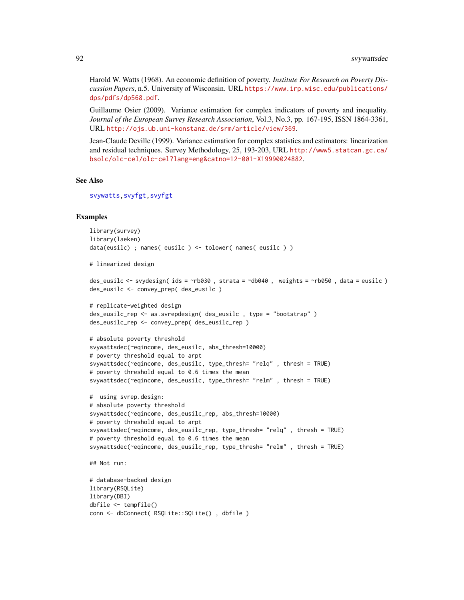<span id="page-91-0"></span>Harold W. Watts (1968). An economic definition of poverty. *Institute For Research on Poverty Discussion Papers*, n.5. University of Wisconsin. URL [https://www.irp.wisc.edu/publications/](https://www.irp.wisc.edu/publications/dps/pdfs/dp568.pdf) [dps/pdfs/dp568.pdf](https://www.irp.wisc.edu/publications/dps/pdfs/dp568.pdf).

Guillaume Osier (2009). Variance estimation for complex indicators of poverty and inequality. *Journal of the European Survey Research Association*, Vol.3, No.3, pp. 167-195, ISSN 1864-3361, URL <http://ojs.ub.uni-konstanz.de/srm/article/view/369>.

Jean-Claude Deville (1999). Variance estimation for complex statistics and estimators: linearization and residual techniques. Survey Methodology, 25, 193-203, URL [http://www5.statcan.gc.ca/](http://www5.statcan.gc.ca/bsolc/olc-cel/olc-cel?lang=eng&catno=12-001-X19990024882) [bsolc/olc-cel/olc-cel?lang=eng&catno=12-001-X19990024882](http://www5.statcan.gc.ca/bsolc/olc-cel/olc-cel?lang=eng&catno=12-001-X19990024882).

#### See Also

[svywatts](#page-86-0)[,svyfgt,svyfgt](#page-34-0)

```
library(survey)
library(laeken)
data(eusilc) ; names( eusilc ) <- tolower( names( eusilc ) )
# linearized design
des_eusilc <- svydesign( ids = ~rb030 , strata = ~db040 , weights = ~rb050 , data = eusilc )
des_eusilc <- convey_prep( des_eusilc )
# replicate-weighted design
des_eusilc_rep <- as.svrepdesign( des_eusilc , type = "bootstrap" )
des_eusilc_rep <- convey_prep( des_eusilc_rep )
# absolute poverty threshold
svywattsdec(~eqincome, des_eusilc, abs_thresh=10000)
# poverty threshold equal to arpt
svywattsdec(~eqincome, des_eusilc, type_thresh= "relq" , thresh = TRUE)
# poverty threshold equal to 0.6 times the mean
svywattsdec(~eqincome, des_eusilc, type_thresh= "relm" , thresh = TRUE)
# using svrep.design:
# absolute poverty threshold
svywattsdec(~eqincome, des_eusilc_rep, abs_thresh=10000)
# poverty threshold equal to arpt
svywattsdec(~eqincome, des_eusilc_rep, type_thresh= "relq" , thresh = TRUE)
# poverty threshold equal to 0.6 times the mean
svywattsdec(~eqincome, des_eusilc_rep, type_thresh= "relm" , thresh = TRUE)
## Not run:
# database-backed design
library(RSQLite)
library(DBI)
dbfile <- tempfile()
conn <- dbConnect( RSQLite::SQLite() , dbfile )
```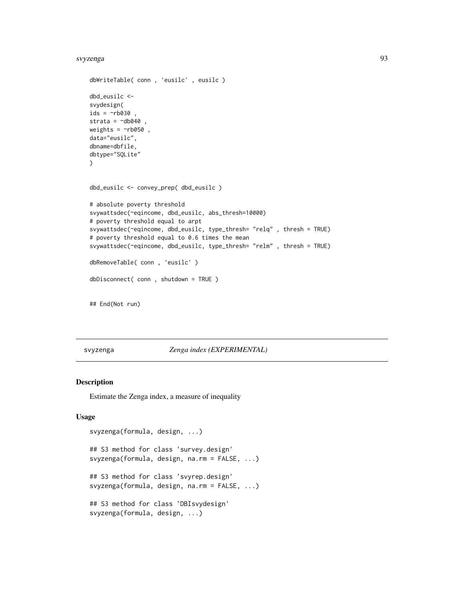#### <span id="page-92-0"></span>svyzenga 1933 - 1936 - 1937 - 1938 - 1939 - 1939 - 1939 - 1939 - 1939 - 1939 - 1939 - 1939 - 1939 - 1939 - 193

```
dbWriteTable( conn , 'eusilc' , eusilc )
dbd_eusilc <-
svydesign(
ids = \negrb030 ,
strata = \negdb040,
weights = ~\simrb050,
data="eusilc",
dbname=dbfile,
dbtype="SQLite"
)
dbd_eusilc <- convey_prep( dbd_eusilc )
# absolute poverty threshold
svywattsdec(~eqincome, dbd_eusilc, abs_thresh=10000)
# poverty threshold equal to arpt
svywattsdec(~eqincome, dbd_eusilc, type_thresh= "relq" , thresh = TRUE)
# poverty threshold equal to 0.6 times the mean
svywattsdec(~eqincome, dbd_eusilc, type_thresh= "relm" , thresh = TRUE)
dbRemoveTable( conn , 'eusilc' )
dbDisconnect( conn , shutdown = TRUE )
## End(Not run)
```
### svyzenga *Zenga index (EXPERIMENTAL)*

# Description

Estimate the Zenga index, a measure of inequality

```
svyzenga(formula, design, ...)
## S3 method for class 'survey.design'
svyzenga(formula, design, na.rm = FALSE, ...)
## S3 method for class 'svyrep.design'
svyzenga(formula, design, na.rm = FALSE, ...)
## S3 method for class 'DBIsvydesign'
svyzenga(formula, design, ...)
```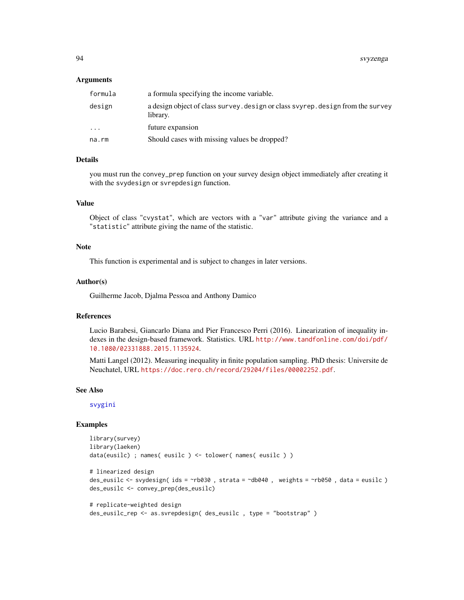#### <span id="page-93-0"></span>Arguments

| formula | a formula specifying the income variable.                                                   |
|---------|---------------------------------------------------------------------------------------------|
| design  | a design object of class survey, design or class svyrep, design from the survey<br>library. |
| .       | future expansion                                                                            |
| na.rm   | Should cases with missing values be dropped?                                                |
|         |                                                                                             |

# Details

you must run the convey\_prep function on your survey design object immediately after creating it with the svydesign or svrepdesign function.

# Value

Object of class "cvystat", which are vectors with a "var" attribute giving the variance and a "statistic" attribute giving the name of the statistic.

# Note

This function is experimental and is subject to changes in later versions.

#### Author(s)

Guilherme Jacob, Djalma Pessoa and Anthony Damico

# References

Lucio Barabesi, Giancarlo Diana and Pier Francesco Perri (2016). Linearization of inequality indexes in the design-based framework. Statistics. URL [http://www.tandfonline.com/doi/pdf/](http://www.tandfonline.com/doi/pdf/10.1080/02331888.2015.1135924) [10.1080/02331888.2015.1135924](http://www.tandfonline.com/doi/pdf/10.1080/02331888.2015.1135924).

Matti Langel (2012). Measuring inequality in finite population sampling. PhD thesis: Universite de Neuchatel, URL <https://doc.rero.ch/record/29204/files/00002252.pdf>.

#### See Also

[svygini](#page-47-0)

```
library(survey)
library(laeken)
data(eusilc) ; names( eusilc ) <- tolower( names( eusilc ) )
# linearized design
des_eusilc <- svydesign( ids = ~rb030 , strata = ~db040 , weights = ~rb050 , data = eusilc )
des_eusilc <- convey_prep(des_eusilc)
# replicate-weighted design
des_eusilc_rep <- as.svrepdesign( des_eusilc , type = "bootstrap" )
```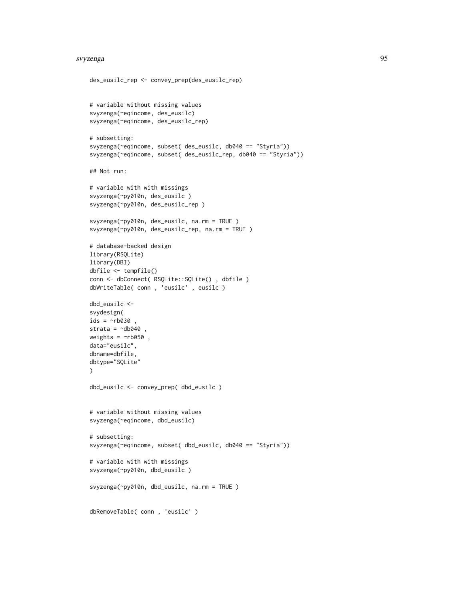#### svyzenga 95

```
des_eusilc_rep <- convey_prep(des_eusilc_rep)
# variable without missing values
svyzenga(~eqincome, des_eusilc)
svyzenga(~eqincome, des_eusilc_rep)
# subsetting:
svyzenga(~eqincome, subset( des_eusilc, db040 == "Styria"))
svyzenga(~eqincome, subset( des_eusilc_rep, db040 == "Styria"))
## Not run:
# variable with with missings
svyzenga(~py010n, des_eusilc )
svyzenga(~py010n, des_eusilc_rep )
svyzenga(~py010n, des_eusilc, na.rm = TRUE )
svyzenga(~py010n, des_eusilc_rep, na.rm = TRUE )
# database-backed design
library(RSQLite)
library(DBI)
dbfile <- tempfile()
conn <- dbConnect( RSQLite::SQLite() , dbfile )
dbWriteTable( conn , 'eusilc' , eusilc )
dbd_eusilc <-
svydesign(
ids = \negrb030 ,
strata = \simdb040
weights = \negrb050,
data="eusilc",
dbname=dbfile,
dbtype="SQLite"
\mathcal{L}dbd_eusilc <- convey_prep( dbd_eusilc )
# variable without missing values
svyzenga(~eqincome, dbd_eusilc)
# subsetting:
svyzenga(~eqincome, subset( dbd_eusilc, db040 == "Styria"))
# variable with with missings
svyzenga(~py010n, dbd_eusilc )
svyzenga(~py010n, dbd_eusilc, na.rm = TRUE )
dbRemoveTable( conn , 'eusilc' )
```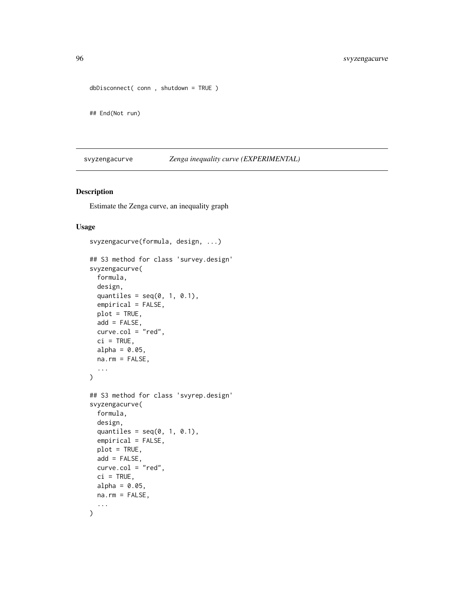```
dbDisconnect( conn , shutdown = TRUE )
```
## End(Not run)

svyzengacurve *Zenga inequality curve (EXPERIMENTAL)*

# Description

Estimate the Zenga curve, an inequality graph

```
svyzengacurve(formula, design, ...)
## S3 method for class 'survey.design'
svyzengacurve(
 formula,
 design,
  quantiles = seq(0, 1, 0.1),
 empirical = FALSE,
 plot = TRUE,
 add = FALSE,curve.col = "red",ci = TRUE,alpha = 0.05,
 na.rm = FALSE,
  ...
\mathcal{L}## S3 method for class 'svyrep.design'
svyzengacurve(
  formula,
 design,
  quantiles = seq(0, 1, 0.1),
  empirical = FALSE,
 plot = TRUE,
 add = FALSE,
 curve.col = "red",ci = TRUE,alpha = 0.05,
 na.rm = FALSE,
  ...
)
```
<span id="page-95-0"></span>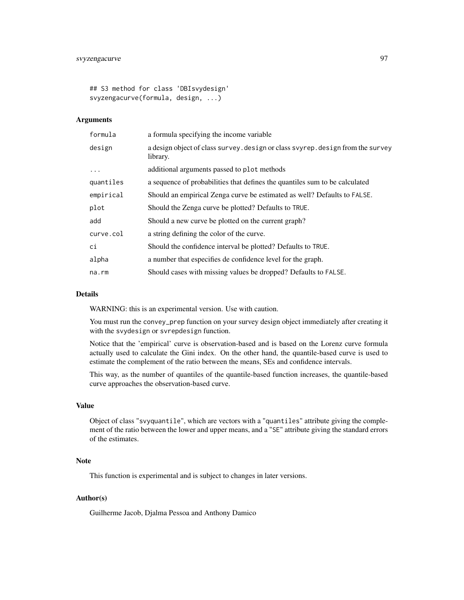## S3 method for class 'DBIsvydesign' svyzengacurve(formula, design, ...)

#### Arguments

| formula   | a formula specifying the income variable                                                    |
|-----------|---------------------------------------------------------------------------------------------|
| design    | a design object of class survey. design or class svyrep. design from the survey<br>library. |
| .         | additional arguments passed to plot methods                                                 |
| quantiles | a sequence of probabilities that defines the quantiles sum to be calculated                 |
| empirical | Should an empirical Zenga curve be estimated as well? Defaults to FALSE.                    |
| plot      | Should the Zenga curve be plotted? Defaults to TRUE.                                        |
| add       | Should a new curve be plotted on the current graph?                                         |
| curve.col | a string defining the color of the curve.                                                   |
| ci        | Should the confidence interval be plotted? Defaults to TRUE.                                |
| alpha     | a number that especifies de confidence level for the graph.                                 |
| na.rm     | Should cases with missing values be dropped? Defaults to FALSE.                             |

#### Details

WARNING: this is an experimental version. Use with caution.

You must run the convey\_prep function on your survey design object immediately after creating it with the svydesign or svrepdesign function.

Notice that the 'empirical' curve is observation-based and is based on the Lorenz curve formula actually used to calculate the Gini index. On the other hand, the quantile-based curve is used to estimate the complement of the ratio between the means, SEs and confidence intervals.

This way, as the number of quantiles of the quantile-based function increases, the quantile-based curve approaches the observation-based curve.

#### Value

Object of class "svyquantile", which are vectors with a "quantiles" attribute giving the complement of the ratio between the lower and upper means, and a "SE" attribute giving the standard errors of the estimates.

# Note

This function is experimental and is subject to changes in later versions.

# Author(s)

Guilherme Jacob, Djalma Pessoa and Anthony Damico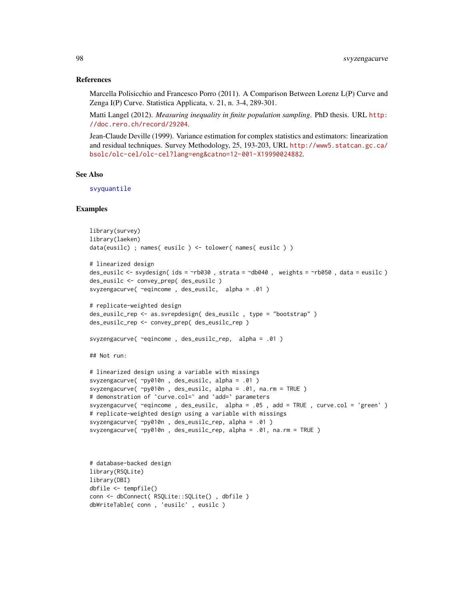#### References

Marcella Polisicchio and Francesco Porro (2011). A Comparison Between Lorenz L(P) Curve and Zenga I(P) Curve. Statistica Applicata, v. 21, n. 3-4, 289-301.

Matti Langel (2012). *Measuring inequality in finite population sampling*. PhD thesis. URL [http:](http://doc.rero.ch/record/29204) [//doc.rero.ch/record/29204](http://doc.rero.ch/record/29204).

Jean-Claude Deville (1999). Variance estimation for complex statistics and estimators: linearization and residual techniques. Survey Methodology, 25, 193-203, URL [http://www5.statcan.gc.ca/](http://www5.statcan.gc.ca/bsolc/olc-cel/olc-cel?lang=eng&catno=12-001-X19990024882) [bsolc/olc-cel/olc-cel?lang=eng&catno=12-001-X19990024882](http://www5.statcan.gc.ca/bsolc/olc-cel/olc-cel?lang=eng&catno=12-001-X19990024882).

# See Also

[svyquantile](#page-0-0)

```
library(survey)
library(laeken)
data(eusilc) ; names( eusilc ) <- tolower( names( eusilc ) )
# linearized design
des_eusilc <- svydesign( ids = ~rb030 , strata = ~db040 , weights = ~rb050 , data = eusilc )
des_eusilc <- convey_prep( des_eusilc )
svyzengacurve( ~eqincome , des_eusilc, alpha = .01 )
# replicate-weighted design
des_eusilc_rep <- as.svrepdesign( des_eusilc , type = "bootstrap" )
des_eusilc_rep <- convey_prep( des_eusilc_rep )
svyzengacurve( ~eqincome , des_eusilc_rep, alpha = .01 )
## Not run:
# linearized design using a variable with missings
svyzengacurve( ~py010n , des_eusilc, alpha = .01 )
svyzengacurve( ~py010n , des_eusilc, alpha = .01, na.rm = TRUE )
# demonstration of `curve.col=` and `add=` parameters
svyzengacurve( ~eqincome , des_eusilc, alpha = .05 , add = TRUE , curve.col = 'green' )
# replicate-weighted design using a variable with missings
svyzengacurve( ~py010n , des_eusilc_rep, alpha = .01 )
svyzengacurve( ~py010n , des_eusilc_rep, alpha = .01, na.rm = TRUE )
```

```
# database-backed design
library(RSQLite)
library(DBI)
dbfile <- tempfile()
conn <- dbConnect( RSQLite::SQLite() , dbfile )
dbWriteTable( conn , 'eusilc' , eusilc )
```
<span id="page-97-0"></span>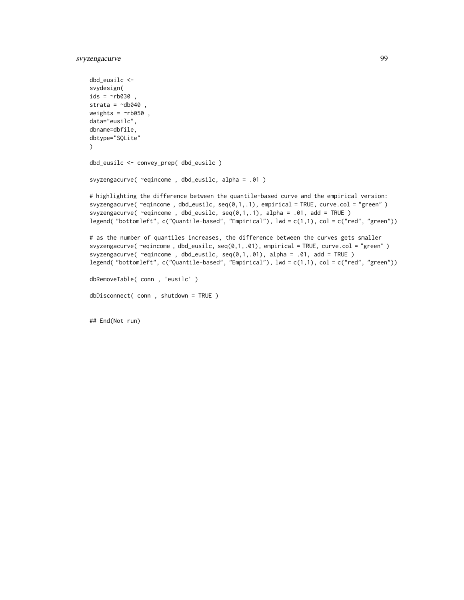svyzengacurve 99

```
dbd_eusilc <-
svydesign(
ids = \simnb030,
strata = \simdb040,
weights = \nightharpoonuprb050,
data="eusilc",
dbname=dbfile,
dbtype="SQLite"
\lambdadbd_eusilc <- convey_prep( dbd_eusilc )
svyzengacurve( ~eqincome , dbd_eusilc, alpha = .01 )
# highlighting the difference between the quantile-based curve and the empirical version:
svyzengacurve( ~eqincome , dbd_eusilc, seq(0,1,.1), empirical = TRUE, curve.col = "green" )
svyzengacurve( ~eqincome , dbd_eusilc, seq(0,1,.1), alpha = .01, add = TRUE )
legend( "bottomleft", c("Quantile-based", "Empirical"), lwd = c(1,1), col = c("red", "green"))
# as the number of quantiles increases, the difference between the curves gets smaller
svyzengacurve( ~eqincome , dbd_eusilc, seq(0,1,.01), empirical = TRUE, curve.col = "green" )
svyzengacurve( ~eqincome , dbd_eusilc, seq(0,1,.01), alpha = .01, add = TRUE )
legend( "bottomleft", c("Quantile-based", "Empirical"), lwd = c(1,1), col = c("red", "green"))
dbRemoveTable( conn , 'eusilc' )
dbDisconnect( conn , shutdown = TRUE )
```
## End(Not run)